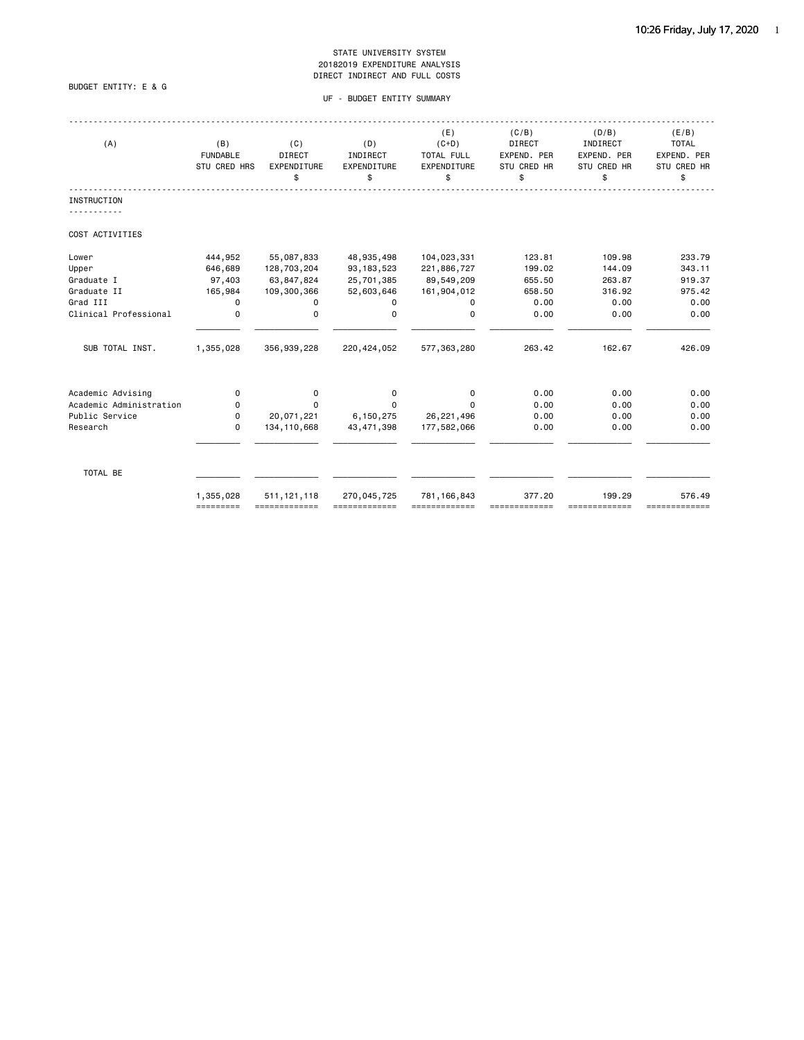### BUDGET ENTITY: E & G

### UF - BUDGET ENTITY SUMMARY

| (A)                     | (B)<br><b>FUNDABLE</b><br><b>STU CRED HRS</b> | (C)<br>DIRECT<br><b>EXPENDITURE</b><br>\$ | (D)<br>INDIRECT<br>EXPENDITURE<br>\$ | (E)<br>$(C+D)$<br>TOTAL FULL<br><b>EXPENDITURE</b><br>\$ | (C/B)<br>DIRECT<br>EXPEND. PER<br><b>STU CRED HR</b><br>\$ | (D/B)<br>INDIRECT<br>EXPEND. PER<br><b>STU CRED HR</b><br>\$ | (E/B)<br><b>TOTAL</b><br>EXPEND. PER<br>STU CRED HR<br>\$ |
|-------------------------|-----------------------------------------------|-------------------------------------------|--------------------------------------|----------------------------------------------------------|------------------------------------------------------------|--------------------------------------------------------------|-----------------------------------------------------------|
| <b>INSTRUCTION</b>      |                                               |                                           |                                      |                                                          |                                                            |                                                              |                                                           |
| COST ACTIVITIES         |                                               |                                           |                                      |                                                          |                                                            |                                                              |                                                           |
| Lower                   | 444,952                                       | 55,087,833                                | 48,935,498                           | 104,023,331                                              | 123.81                                                     | 109.98                                                       | 233.79                                                    |
| Upper                   | 646,689                                       | 128,703,204                               | 93, 183, 523                         | 221,886,727                                              | 199.02                                                     | 144.09                                                       | 343.11                                                    |
| Graduate I              | 97,403                                        | 63,847,824                                | 25,701,385                           | 89,549,209                                               | 655.50                                                     | 263.87                                                       | 919.37                                                    |
| Graduate II             | 165,984                                       | 109,300,366                               | 52,603,646                           | 161,904,012                                              | 658.50                                                     | 316.92                                                       | 975.42                                                    |
| Grad III                | 0                                             | 0                                         | 0                                    | 0                                                        | 0.00                                                       | 0.00                                                         | 0.00                                                      |
| Clinical Professional   | 0                                             | 0                                         | $\Omega$                             | $\mathbf 0$                                              | 0.00                                                       | 0.00                                                         | 0.00                                                      |
| SUB TOTAL INST.         | 1,355,028                                     | 356,939,228                               | 220, 424, 052                        | 577, 363, 280                                            | 263.42                                                     | 162.67                                                       | 426.09                                                    |
| Academic Advising       | 0                                             | 0                                         | 0                                    | 0                                                        | 0.00                                                       | 0.00                                                         | 0.00                                                      |
| Academic Administration | 0                                             | $\Omega$                                  | $\Omega$                             | $\Omega$                                                 | 0.00                                                       | 0.00                                                         | 0.00                                                      |
| Public Service          | $\Omega$                                      | 20,071,221                                | 6,150,275                            | 26, 221, 496                                             | 0.00                                                       | 0.00                                                         | 0.00                                                      |
| Research                | 0                                             | 134, 110, 668                             | 43, 471, 398                         | 177,582,066                                              | 0.00                                                       | 0.00                                                         | 0.00                                                      |
| TOTAL BE                |                                               |                                           |                                      |                                                          |                                                            |                                                              |                                                           |
|                         | 1,355,028<br>=========                        | 511, 121, 118<br>=============            | 270,045,725<br>=============         | 781, 166, 843<br>=============                           | 377.20                                                     | 199.29<br>-------------                                      | 576.49<br>=============                                   |
|                         |                                               |                                           |                                      |                                                          |                                                            |                                                              |                                                           |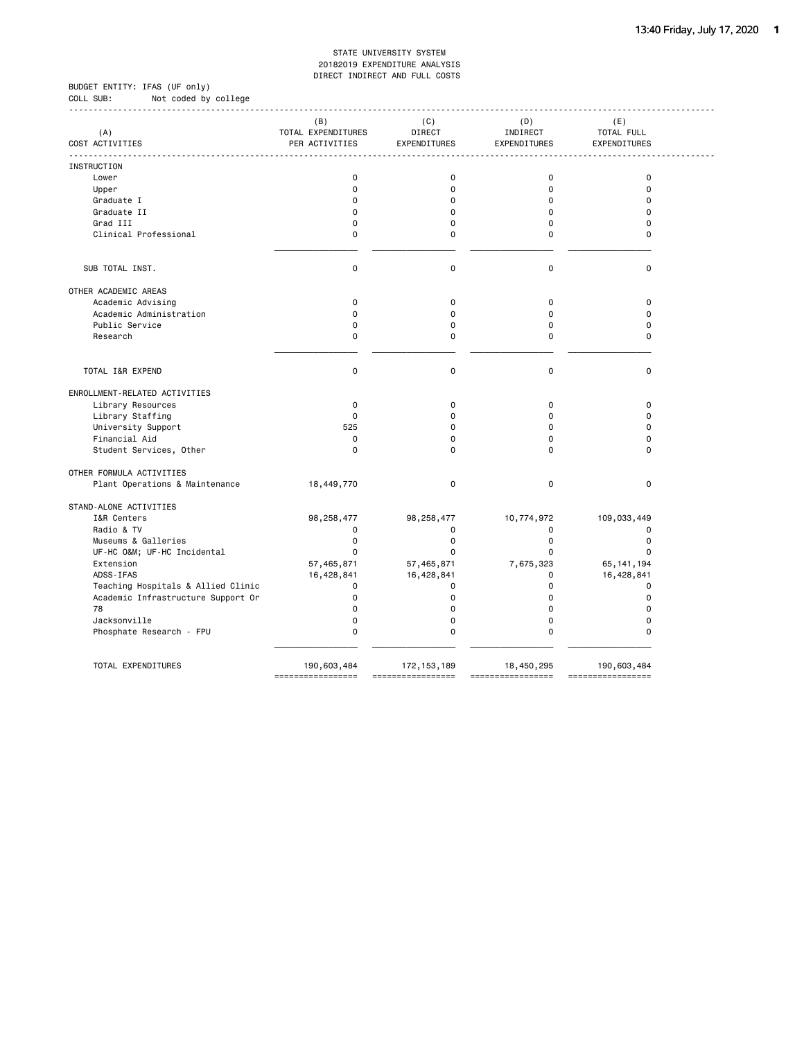BUDGET ENTITY: IFAS (UF only) COLL SUB: Not coded by college

|                                    | (B)                                  | (C)<br><b>DIRECT</b> | (D)                      | (E)                        |
|------------------------------------|--------------------------------------|----------------------|--------------------------|----------------------------|
| (A)<br>COST ACTIVITIES             | TOTAL EXPENDITURES<br>PER ACTIVITIES | EXPENDITURES         | INDIRECT<br>EXPENDITURES | TOTAL FULL<br>EXPENDITURES |
|                                    |                                      |                      |                          |                            |
| INSTRUCTION                        |                                      |                      |                          |                            |
| Lower                              | 0                                    | $\mathbf 0$          | $\mathbf 0$              | $\mathbf 0$                |
| Upper                              | 0                                    | $\mathbf 0$          | $\mathbf 0$              | $\mathbf 0$                |
| Graduate I                         | $\Omega$                             | $\Omega$             | $\Omega$                 | $\Omega$                   |
| Graduate II                        | $\Omega$                             | $\Omega$             | $\Omega$                 | $\Omega$                   |
| Grad III                           | $\Omega$                             | 0                    | $\mathbf 0$              | $\Omega$                   |
| Clinical Professional              | 0                                    | 0                    | 0                        | $\Omega$                   |
|                                    |                                      |                      |                          |                            |
| SUB TOTAL INST.                    | $\mathbf 0$                          | $\mathbf 0$          | $\mathbf 0$              | $\mathbf 0$                |
| OTHER ACADEMIC AREAS               |                                      |                      |                          |                            |
| Academic Advising                  | $\mathbf 0$                          | 0                    | 0                        | $\pmb{0}$                  |
| Academic Administration            | $\Omega$                             | $\mathbf 0$          | $\Omega$                 | $\Omega$                   |
| Public Service                     | 0                                    | 0                    | 0                        | $\mathbf 0$                |
| Research                           | 0                                    | $\mathbf 0$          | 0                        | $\Omega$                   |
|                                    |                                      |                      |                          |                            |
| TOTAL I&R EXPEND                   | $\mathbf 0$                          | $\mathbf 0$          | $\mathbf 0$              | $\mathbf 0$                |
| ENROLLMENT-RELATED ACTIVITIES      |                                      |                      |                          |                            |
| Library Resources                  | $\mathbf 0$                          | $\mathbf 0$          | $\Omega$                 | $\mathbf 0$                |
| Library Staffing                   | $\Omega$                             | $\Omega$             | $\Omega$                 | $\Omega$                   |
| University Support                 | 525                                  | $\Omega$             | $\mathbf 0$              | $\Omega$                   |
| Financial Aid                      | $\Omega$                             | $\Omega$             | $\Omega$                 | $\Omega$                   |
| Student Services, Other            | $\mathbf 0$                          | $\Omega$             | $\Omega$                 | $\Omega$                   |
| OTHER FORMULA ACTIVITIES           |                                      |                      |                          |                            |
| Plant Operations & Maintenance     | 18,449,770                           | 0                    | 0                        | $\mathbf 0$                |
| STAND-ALONE ACTIVITIES             |                                      |                      |                          |                            |
| I&R Centers                        | 98,258,477                           | 98, 258, 477         | 10,774,972               | 109,033,449                |
| Radio & TV                         | $\Omega$                             | 0                    | 0                        | 0                          |
| Museums & Galleries                | $\Omega$                             | $\mathbf 0$          | $\mathbf 0$              | $\mathbf 0$                |
| UF-HC O&M UF-HC Incidental         | $\Omega$                             | $\Omega$             | 0                        | $\Omega$                   |
| Extension                          | 57,465,871                           | 57,465,871           | 7,675,323                | 65, 141, 194               |
| ADSS-IFAS                          | 16,428,841                           | 16,428,841           | $\Omega$                 | 16,428,841                 |
| Teaching Hospitals & Allied Clinic | 0                                    | $\mathbf 0$          | $\Omega$                 | $\mathbf 0$                |
| Academic Infrastructure Support Or | 0                                    | 0                    | $\Omega$                 | $\mathbf 0$                |
| 78                                 | 0                                    | 0                    | $\Omega$                 | $\mathbf 0$                |
| Jacksonville                       | $\Omega$                             | 0                    | $\Omega$                 | $\mathbf 0$                |
| Phosphate Research - FPU           | 0                                    | $\mathbf 0$          | $\mathbf 0$              | $\mathbf 0$                |
|                                    |                                      |                      |                          |                            |
| TOTAL EXPENDITURES                 | 190,603,484                          | 172, 153, 189        | 18,450,295               | 190,603,484                |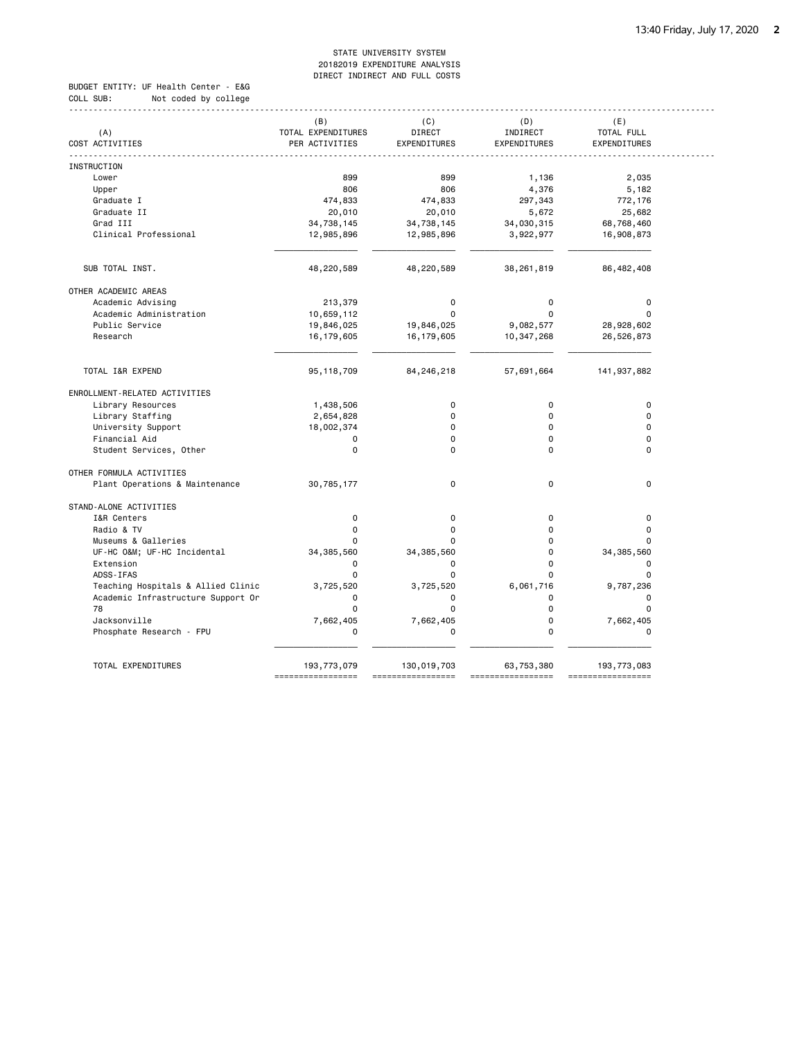BUDGET ENTITY: UF Health Center - E&G COLL SUB: Not coded by college

| (A)                                | (B)<br>TOTAL EXPENDITURES | (C)<br><b>DIRECT</b> | (D)<br>INDIRECT | (E)<br>TOTAL FULL |
|------------------------------------|---------------------------|----------------------|-----------------|-------------------|
| COST ACTIVITIES                    | PER ACTIVITIES            | EXPENDITURES         | EXPENDITURES    | EXPENDITURES      |
| INSTRUCTION                        |                           |                      |                 |                   |
| Lower                              | 899                       | 899                  | 1,136           | 2,035             |
| Upper                              | 806                       | 806                  | 4,376           | 5,182             |
| Graduate I                         | 474,833                   | 474,833              | 297,343         | 772,176           |
| Graduate II                        | 20,010                    | 20,010               | 5,672           | 25,682            |
| Grad III                           | 34,738,145                | 34,738,145           | 34,030,315      | 68,768,460        |
| Clinical Professional              | 12,985,896                | 12,985,896           | 3,922,977       | 16,908,873        |
|                                    |                           |                      |                 |                   |
| SUB TOTAL INST.                    | 48,220,589                | 48,220,589           | 38,261,819      | 86, 482, 408      |
| OTHER ACADEMIC AREAS               |                           |                      |                 |                   |
| Academic Advising                  | 213,379                   | 0                    | 0               | 0                 |
| Academic Administration            | 10,659,112                | $\Omega$             | $\Omega$        | $\Omega$          |
| Public Service                     | 19,846,025                | 19,846,025           | 9,082,577       | 28,928,602        |
| Research                           | 16, 179, 605              | 16, 179, 605         | 10,347,268      | 26,526,873        |
| TOTAL I&R EXPEND                   | 95, 118, 709              | 84,246,218           | 57,691,664      | 141,937,882       |
| ENROLLMENT-RELATED ACTIVITIES      |                           |                      |                 |                   |
| Library Resources                  | 1,438,506                 | $\mathbf 0$          | $\mathbf 0$     | $\mathbf 0$       |
| Library Staffing                   | 2,654,828                 | 0                    | 0               | $\mathbf 0$       |
| University Support                 | 18,002,374                | $\Omega$             | $\mathbf 0$     | $\Omega$          |
| Financial Aid                      | 0                         | 0                    | $\Omega$        | $\mathbf 0$       |
| Student Services, Other            | $\Omega$                  | $\Omega$             | 0               | $\Omega$          |
| OTHER FORMULA ACTIVITIES           |                           |                      |                 |                   |
| Plant Operations & Maintenance     | 30,785,177                | $\mathbf 0$          | 0               | $\mathbf 0$       |
| STAND-ALONE ACTIVITIES             |                           |                      |                 |                   |
| I&R Centers                        | $\mathbf 0$               | 0                    | $\Omega$        | $\mathbf 0$       |
| Radio & TV                         | $\mathbf 0$               | 0                    | $\Omega$        | $\mathbf 0$       |
| Museums & Galleries                | 0                         | O                    | 0               | $\Omega$          |
| UF-HC O&M UF-HC Incidental         | 34, 385, 560              | 34, 385, 560         | 0               | 34, 385, 560      |
| Extension                          | $\mathbf 0$               | 0                    | 0               | 0                 |
| ADSS-IFAS                          | $\mathbf 0$               | $\mathbf 0$          | $\Omega$        | $\mathbf 0$       |
| Teaching Hospitals & Allied Clinic | 3,725,520                 | 3,725,520            | 6,061,716       | 9,787,236         |
| Academic Infrastructure Support Or | $\Omega$                  | 0                    | 0               | 0                 |
| 78                                 | $\Omega$                  | $\mathbf 0$          | $\mathbf 0$     | $\mathbf 0$       |
| Jacksonville                       | 7,662,405                 | 7,662,405            | 0               | 7,662,405         |
| Phosphate Research - FPU           | $\mathbf 0$               | 0                    | $\Omega$        | $\mathbf 0$       |
|                                    |                           |                      |                 |                   |
| TOTAL EXPENDITURES                 | 193,773,079               | 130,019,703          | 63,753,380      | 193,773,083       |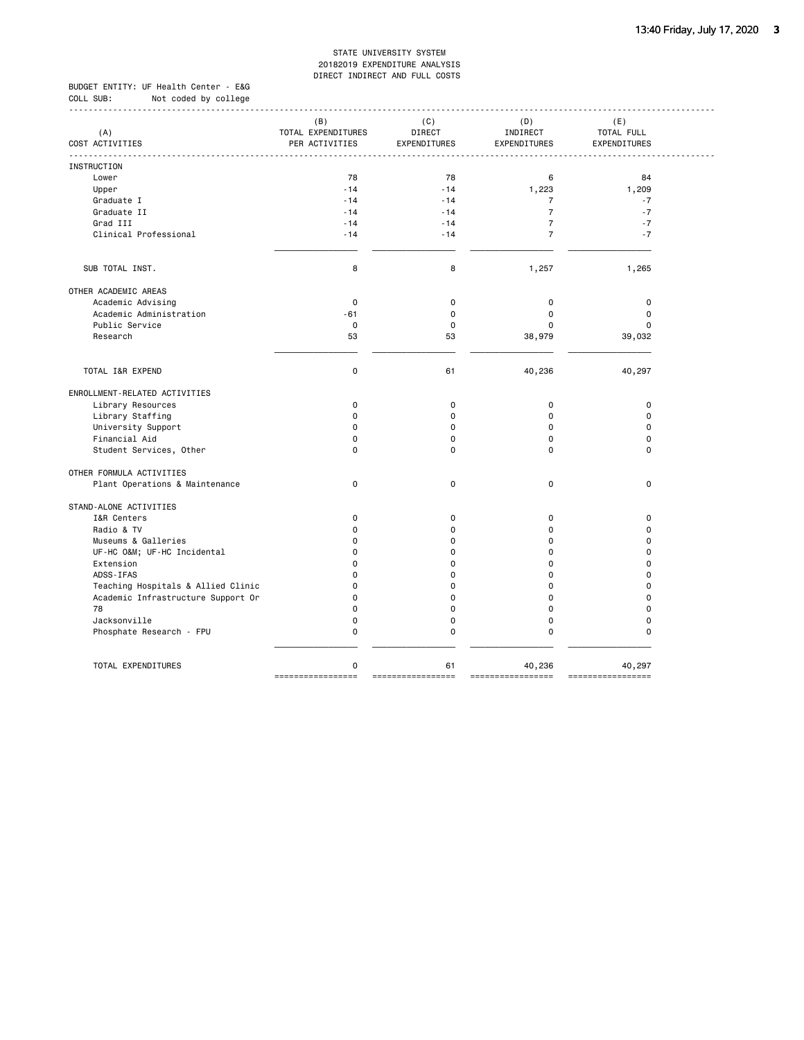BUDGET ENTITY: UF Health Center - E&G COLL SUB: Not coded by college ------------------------------------------------------------------------------------------------------------------------------------

| (A)<br>COST ACTIVITIES             | (B)<br>TOTAL EXPENDITURES<br>PER ACTIVITIES | (C)<br>DIRECT<br>EXPENDITURES | (D)<br>INDIRECT<br>EXPENDITURES | (E)<br>TOTAL FULL<br>EXPENDITURES |  |
|------------------------------------|---------------------------------------------|-------------------------------|---------------------------------|-----------------------------------|--|
| <b>INSTRUCTION</b>                 |                                             |                               |                                 |                                   |  |
| Lower                              | 78                                          | 78                            | 6                               | 84                                |  |
| Upper                              | $-14$                                       | $-14$                         | 1,223                           | 1,209                             |  |
| Graduate I                         | $-14$                                       | $-14$                         | $\overline{7}$                  | $-7$                              |  |
| Graduate II                        | $-14$                                       | $-14$                         | $\overline{7}$                  | $-7$                              |  |
| Grad III                           | $-14$                                       | $-14$                         | $\overline{7}$                  | $-7$                              |  |
| Clinical Professional              | $-14$                                       | $-14$                         | $\overline{7}$                  | $-7$                              |  |
|                                    |                                             |                               |                                 |                                   |  |
| SUB TOTAL INST.                    | 8                                           | 8                             | 1,257                           | 1,265                             |  |
| OTHER ACADEMIC AREAS               |                                             |                               |                                 |                                   |  |
| Academic Advising                  | $\mathbf 0$                                 | $\mathbf 0$                   | 0                               | 0                                 |  |
| Academic Administration            | $-61$                                       | $\mathbf 0$                   | $\mathbf 0$                     | $\pmb{0}$                         |  |
| Public Service                     | $\mathsf 0$                                 | $\mathbf 0$                   | 0                               | $\mathbf 0$                       |  |
| Research                           | 53                                          | 53                            | 38,979                          | 39,032                            |  |
| TOTAL I&R EXPEND                   | $\mathbf 0$                                 | 61                            | 40,236                          | 40,297                            |  |
| ENROLLMENT-RELATED ACTIVITIES      |                                             |                               |                                 |                                   |  |
| Library Resources                  | $\mathbf 0$                                 | 0                             | $\mathbf 0$                     | $\pmb{0}$                         |  |
| Library Staffing                   | $\Omega$                                    | 0                             | $\Omega$                        | $\mathbf 0$                       |  |
| University Support                 | $\Omega$                                    | 0                             | $\Omega$                        | $\mathbf 0$                       |  |
| Financial Aid                      | $\Omega$                                    | $\Omega$                      | $\Omega$                        | $\Omega$                          |  |
| Student Services, Other            | $\mathbf 0$                                 | $\mathbf 0$                   | $\Omega$                        | $\mathbf 0$                       |  |
| OTHER FORMULA ACTIVITIES           |                                             |                               |                                 |                                   |  |
| Plant Operations & Maintenance     | $\mathbf 0$                                 | 0                             | $\mathbf 0$                     | $\mathbf 0$                       |  |
| STAND-ALONE ACTIVITIES             |                                             |                               |                                 |                                   |  |
| I&R Centers                        | $\mathbf 0$                                 | 0                             | $\mathbf 0$                     | 0                                 |  |
| Radio & TV                         | $\mathbf 0$                                 | 0                             | $\Omega$                        | $\mathbf 0$                       |  |
| Museums & Galleries                | $\Omega$                                    | 0                             | $\Omega$                        | $\mathbf 0$                       |  |
| UF-HC O&M UF-HC Incidental         | $\Omega$                                    | 0                             | $\Omega$                        | $\mathbf 0$                       |  |
| Extension                          | $\Omega$                                    | 0                             | $\Omega$                        | $\Omega$                          |  |
| ADSS-IFAS                          | $\Omega$                                    | $\Omega$                      | $\Omega$                        | $\Omega$                          |  |
| Teaching Hospitals & Allied Clinic | $\mathbf 0$                                 | 0                             | 0                               | $\mathbf 0$                       |  |
| Academic Infrastructure Support Or | $\mathbf 0$                                 | $\mathbf 0$                   | $\mathbf 0$<br>$\mathbf 0$      | $\mathbf 0$<br>$\mathbf 0$        |  |
| 78                                 | $\mathbf 0$                                 | $\mathbf 0$                   |                                 |                                   |  |
| Jacksonville                       | $\mathbf 0$                                 | $\mathbf 0$                   | 0                               | $\mathbf 0$                       |  |
| Phosphate Research - FPU           | $\mathbf 0$                                 | $\mathbf 0$                   | 0                               | $\mathbf 0$                       |  |
| TOTAL EXPENDITURES                 | 0<br>=================                      | 61<br>=================       | 40,236<br>-------               | 40,297<br>=================       |  |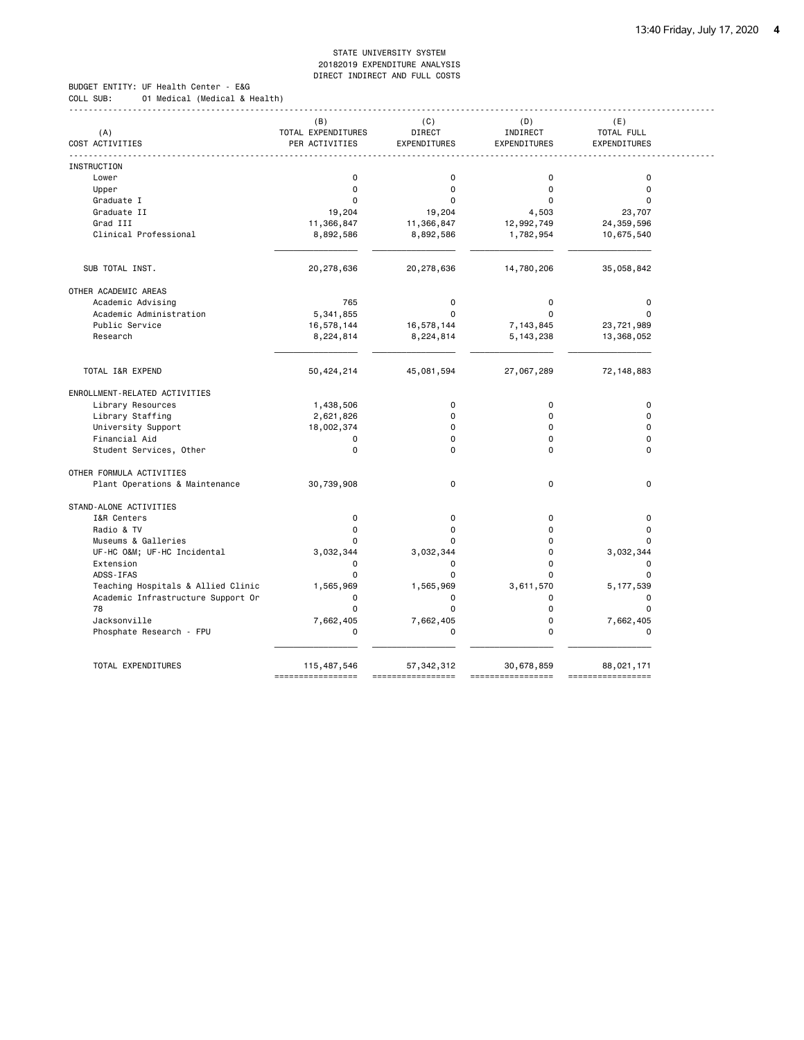BUDGET ENTITY: UF Health Center - E&G COLL SUB: 01 Medical (Medical & Health)

|                                    | (B)                | (C)          | (D)          | (E)          |
|------------------------------------|--------------------|--------------|--------------|--------------|
| (A)                                | TOTAL EXPENDITURES | DIRECT       | INDIRECT     | TOTAL FULL   |
| COST ACTIVITIES                    | PER ACTIVITIES     | EXPENDITURES | EXPENDITURES | EXPENDITURES |
| INSTRUCTION                        |                    |              |              |              |
| Lower                              | $\mathbf 0$        | $\mathbf 0$  | $\mathbf 0$  | $\mathbf 0$  |
| Upper                              | $\mathbf 0$        | 0            | $\Omega$     | $\mathbf 0$  |
| Graduate I                         | $\Omega$           | $\mathbf 0$  | $\Omega$     | $\Omega$     |
| Graduate II                        | 19,204             | 19,204       | 4,503        | 23,707       |
| Grad III                           | 11,366,847         | 11,366,847   | 12,992,749   | 24,359,596   |
| Clinical Professional              | 8,892,586          | 8,892,586    | 1,782,954    | 10,675,540   |
|                                    |                    |              |              |              |
| SUB TOTAL INST.                    | 20,278,636         | 20,278,636   | 14,780,206   | 35,058,842   |
| OTHER ACADEMIC AREAS               |                    |              |              |              |
| Academic Advising                  | 765                | $\mathbf 0$  | 0            | $\pmb{0}$    |
| Academic Administration            | 5,341,855          | $\Omega$     | $\Omega$     | $\Omega$     |
| Public Service                     | 16,578,144         | 16,578,144   | 7,143,845    | 23,721,989   |
| Research                           | 8,224,814          | 8,224,814    | 5, 143, 238  | 13,368,052   |
|                                    |                    |              |              |              |
| TOTAL I&R EXPEND                   | 50,424,214         | 45,081,594   | 27,067,289   | 72, 148, 883 |
| ENROLLMENT-RELATED ACTIVITIES      |                    |              |              |              |
| Library Resources                  | 1,438,506          | $\mathbf 0$  | $\mathbf 0$  | $\mathbf 0$  |
| Library Staffing                   | 2,621,826          | 0            | $\Omega$     | $\Omega$     |
| University Support                 | 18,002,374         | $\Omega$     | $\Omega$     | $\Omega$     |
| Financial Aid                      | 0                  | 0            | $\Omega$     | $\mathbf 0$  |
| Student Services, Other            | $\mathbf 0$        | $\Omega$     | $\Omega$     | $\Omega$     |
| OTHER FORMULA ACTIVITIES           |                    |              |              |              |
| Plant Operations & Maintenance     | 30,739,908         | $\mathbf 0$  | $\mathbf 0$  | $\mathbf 0$  |
| STAND-ALONE ACTIVITIES             |                    |              |              |              |
| I&R Centers                        | $\mathbf 0$        | 0            | $\Omega$     | $\mathbf 0$  |
| Radio & TV                         | $\mathbf 0$        | $\mathbf 0$  | 0            | $\mathbf 0$  |
| Museums & Galleries                | 0                  | $\Omega$     | 0            | $\Omega$     |
| UF-HC O&M UF-HC Incidental         | 3,032,344          | 3,032,344    | 0            | 3,032,344    |
| Extension                          | $\Omega$           | 0            | $\Omega$     | $\mathbf 0$  |
| ADSS-IFAS                          | $\mathbf 0$        | $\mathbf 0$  | 0            | $\mathbf 0$  |
| Teaching Hospitals & Allied Clinic | 1,565,969          | 1,565,969    | 3,611,570    | 5, 177, 539  |
| Academic Infrastructure Support Or | $\mathbf 0$        | 0            | 0            | $\mathbf 0$  |
| 78                                 | $\mathbf 0$        | $\mathbf 0$  | 0            | $\mathbf 0$  |
| Jacksonville                       | 7,662,405          | 7,662,405    | $\Omega$     | 7,662,405    |
| Phosphate Research - FPU           | $\mathbf 0$        | 0            | 0            | $\mathbf 0$  |
| TOTAL EXPENDITURES                 | 115,487,546        | 57, 342, 312 | 30,678,859   | 88,021,171   |
|                                    |                    |              |              |              |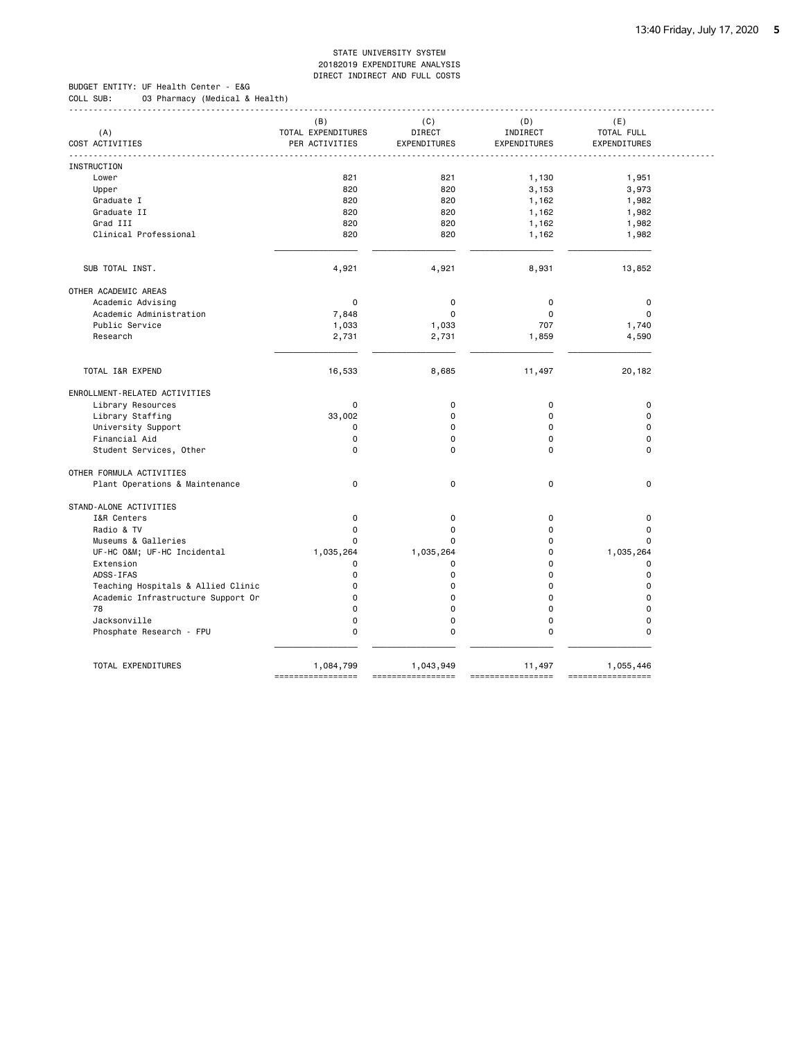------------------------------------------------------------------------------------------------------------------------------------

BUDGET ENTITY: UF Health Center - E&G COLL SUB: 03 Pharmacy (Medical & Health)

| (A)                                | (B)<br>TOTAL EXPENDITURES      | (C)<br>DIRECT                  | (D)<br>INDIRECT             | (E)<br>TOTAL FULL              |  |
|------------------------------------|--------------------------------|--------------------------------|-----------------------------|--------------------------------|--|
| COST ACTIVITIES                    | PER ACTIVITIES                 | EXPENDITURES                   | EXPENDITURES                | EXPENDITURES                   |  |
| <b>INSTRUCTION</b>                 |                                |                                |                             |                                |  |
| Lower                              | 821                            | 821                            | 1,130                       | 1,951                          |  |
| Upper                              | 820                            | 820                            | 3,153                       | 3,973                          |  |
| Graduate I                         | 820                            | 820                            | 1,162                       | 1,982                          |  |
| Graduate II                        | 820                            | 820                            | 1,162                       | 1,982                          |  |
| Grad III                           | 820                            | 820                            | 1,162                       | 1,982                          |  |
| Clinical Professional              | 820                            | 820                            | 1,162                       | 1,982                          |  |
|                                    |                                |                                |                             |                                |  |
| SUB TOTAL INST.                    | 4,921                          | 4,921                          | 8,931                       | 13,852                         |  |
| OTHER ACADEMIC AREAS               |                                |                                |                             |                                |  |
| Academic Advising                  | $\mathbf 0$                    | $\mathbf 0$                    | 0                           | 0                              |  |
| Academic Administration            | 7,848                          | $\mathbf 0$                    | $\Omega$                    | $\mathbf 0$                    |  |
| Public Service                     | 1,033                          | 1,033                          | 707                         | 1,740                          |  |
| Research                           | 2,731                          | 2,731                          | 1,859                       | 4,590                          |  |
| TOTAL I&R EXPEND                   | 16,533                         | 8,685                          | 11,497                      | 20,182                         |  |
| ENROLLMENT-RELATED ACTIVITIES      |                                |                                |                             |                                |  |
| Library Resources                  | 0                              | $\mathbf 0$                    | $\pmb{0}$                   | $\pmb{0}$                      |  |
| Library Staffing                   | 33,002                         | $\mathbf 0$                    | 0                           | $\mathbf 0$                    |  |
| University Support                 | 0                              | 0                              | 0                           | $\mathbf 0$                    |  |
| Financial Aid                      | 0                              | 0                              | $\Omega$                    | $\mathbf 0$                    |  |
| Student Services, Other            | 0                              | 0                              | $\Omega$                    | $\mathbf 0$                    |  |
| OTHER FORMULA ACTIVITIES           |                                |                                |                             |                                |  |
| Plant Operations & Maintenance     | $\mathbf 0$                    | $\mathbf 0$                    | 0                           | $\mathbf 0$                    |  |
| STAND-ALONE ACTIVITIES             |                                |                                |                             |                                |  |
| I&R Centers                        | $\pmb{0}$                      | $\mathbf 0$                    | $\mathsf 0$                 | $\pmb{0}$                      |  |
| Radio & TV                         | 0                              | $\mathbf 0$                    | 0                           | $\pmb{0}$                      |  |
| Museums & Galleries                | 0                              | $\mathbf 0$                    | 0                           | $\mathbf 0$                    |  |
| UF-HC O&M UF-HC Incidental         | 1,035,264                      | 1,035,264                      | 0                           | 1,035,264                      |  |
| Extension                          | 0                              | 0                              | 0                           | 0                              |  |
| ADSS-IFAS                          | 0                              | 0                              | $\Omega$                    | $\mathbf 0$                    |  |
| Teaching Hospitals & Allied Clinic | 0                              | 0                              | $\Omega$                    | $\mathbf 0$                    |  |
| Academic Infrastructure Support Or | $\Omega$                       | 0                              | $\Omega$                    | $\Omega$                       |  |
| 78                                 | $\Omega$                       | 0                              | $\Omega$                    | $\mathbf 0$                    |  |
| Jacksonville                       | $\Omega$                       | 0                              | $\Omega$                    | $\mathbf 0$                    |  |
| Phosphate Research - FPU           | 0                              | 0                              | $\Omega$                    | $\Omega$                       |  |
| TOTAL EXPENDITURES                 | 1,084,799<br>================= | 1,043,949<br>----------------- | 11,497<br>================= | 1,055,446<br>----------------- |  |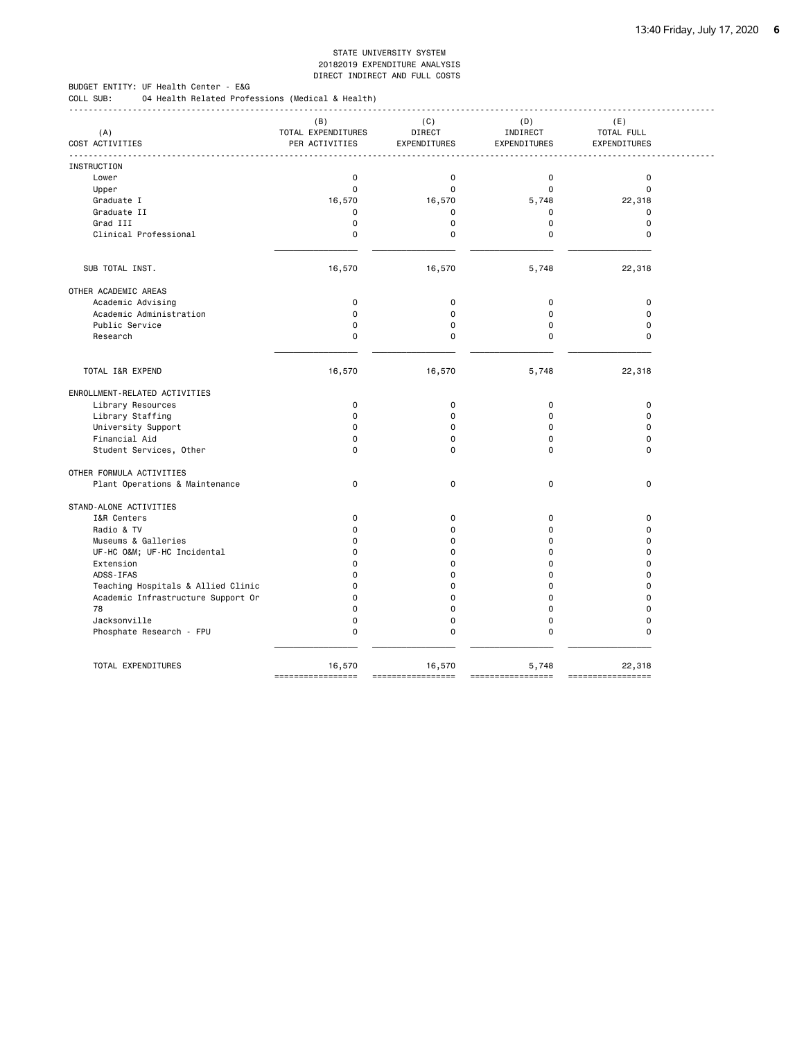BUDGET ENTITY: UF Health Center - E&G COLL SUB: 04 Health Related Professions (Medical & Health)

|                                    | (B)                | (C)          | (D)          | (E)                 |
|------------------------------------|--------------------|--------------|--------------|---------------------|
| (A)                                | TOTAL EXPENDITURES | DIRECT       | INDIRECT     | TOTAL FULL          |
| COST ACTIVITIES                    | PER ACTIVITIES     | EXPENDITURES | EXPENDITURES | <b>EXPENDITURES</b> |
| <b>INSTRUCTION</b>                 |                    |              |              |                     |
| Lower                              | 0                  | $\mathbf 0$  | $\mathbf 0$  | $\mathbf 0$         |
| Upper                              | 0                  | 0            | $\Omega$     | $\mathbf 0$         |
| Graduate I                         | 16,570             | 16,570       | 5,748        | 22,318              |
| Graduate II                        | 0                  | 0            | $\Omega$     | $\mathbf 0$         |
| Grad III                           | $\mathbf 0$        | $\mathbf 0$  | $\mathbf 0$  | $\mathbf 0$         |
| Clinical Professional              | 0                  | 0            | $\Omega$     | $\Omega$            |
|                                    |                    |              |              |                     |
| SUB TOTAL INST.                    | 16,570             | 16,570       | 5,748        | 22,318              |
| OTHER ACADEMIC AREAS               |                    |              |              |                     |
| Academic Advising                  | 0                  | $\mathbf 0$  | $\Omega$     | $\mathbf 0$         |
| Academic Administration            | 0                  | $\mathbf 0$  | $\mathbf 0$  | $\mathbf 0$         |
| Public Service                     | $\mathbf 0$        | $\mathbf 0$  | $\Omega$     | $\mathbf 0$         |
| Research                           | 0                  | $\mathbf 0$  | 0            | $\mathbf 0$         |
|                                    |                    |              |              |                     |
| TOTAL I&R EXPEND                   | 16,570             | 16,570       | 5,748        | 22,318              |
| ENROLLMENT-RELATED ACTIVITIES      |                    |              |              |                     |
| Library Resources                  | $\mathbf 0$        | 0            | 0            | $\mathbf 0$         |
| Library Staffing                   | $\Omega$           | $\Omega$     | $\Omega$     | $\Omega$            |
| University Support                 | $\mathbf 0$        | 0            | $\mathbf 0$  | $\mathbf 0$         |
| Financial Aid                      | $\mathbf 0$        | $\mathbf 0$  | $\mathbf 0$  | $\mathbf 0$         |
| Student Services, Other            | $\Omega$           | $\Omega$     | 0            | $\Omega$            |
| OTHER FORMULA ACTIVITIES           |                    |              |              |                     |
| Plant Operations & Maintenance     | $\mathbf 0$        | 0            | 0            | $\mathbf 0$         |
| STAND-ALONE ACTIVITIES             |                    |              |              |                     |
| I&R Centers                        | $\Omega$           | 0            | $\Omega$     | $\mathbf 0$         |
| Radio & TV                         | 0                  | $\mathbf 0$  | $\Omega$     | $\mathbf 0$         |
| Museums & Galleries                | $\Omega$           | $\Omega$     | $\Omega$     | $\Omega$            |
| UF-HC O&M UF-HC Incidental         | $\Omega$           | 0            | $\Omega$     | $\Omega$            |
| Extension                          | 0                  | $\Omega$     | $\mathbf 0$  | $\Omega$            |
| ADSS-IFAS                          | $\Omega$           | $\Omega$     | $\Omega$     | $\Omega$            |
| Teaching Hospitals & Allied Clinic | 0                  | $\mathbf 0$  | $\Omega$     | $\mathbf 0$         |
| Academic Infrastructure Support Or | $\Omega$           | $\mathbf 0$  | $\mathbf 0$  | $\Omega$            |
| 78                                 | $\Omega$           | $\Omega$     | $\Omega$     | $\Omega$            |
| Jacksonville                       | 0                  | $\mathbf 0$  | 0            | $\mathbf 0$         |
| Phosphate Research - FPU           | 0                  | 0            | $\Omega$     | $\mathbf 0$         |
|                                    |                    |              |              |                     |
| TOTAL EXPENDITURES                 | 16,570             | 16,570       | 5,748        | 22,318              |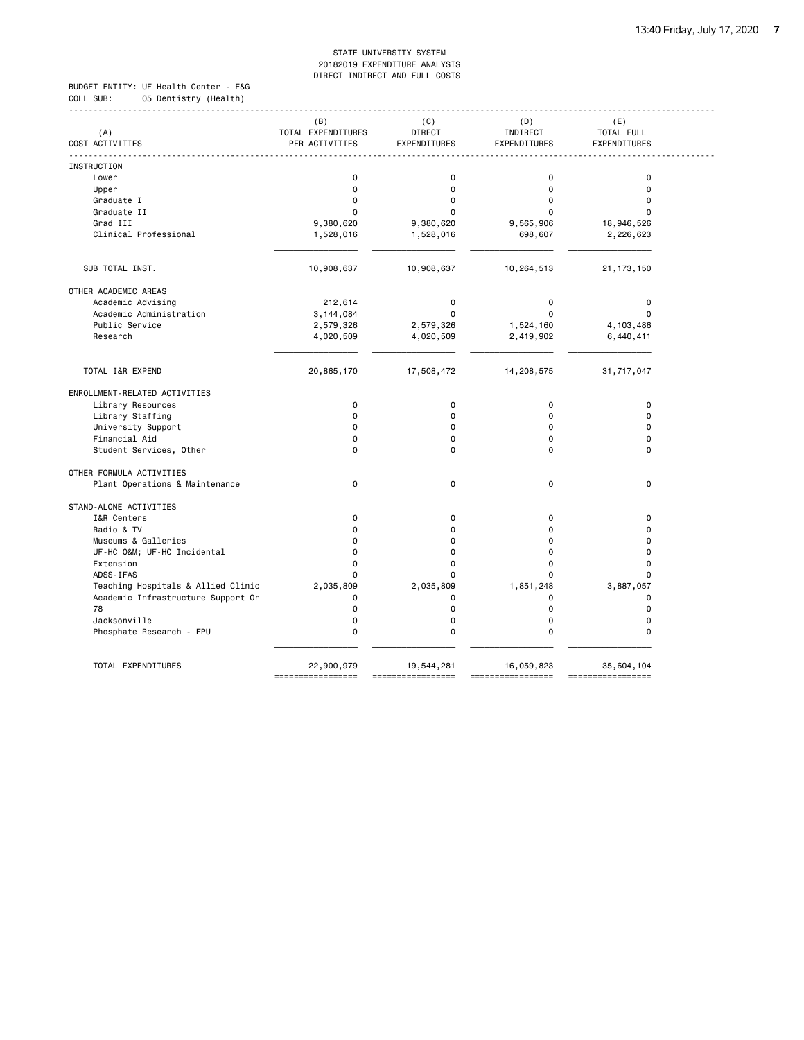BUDGET ENTITY: UF Health Center - E&G COLL SUB: 05 Dentistry (Health)

|                                    | (B)                | (C)           | (D)          | (E)          |
|------------------------------------|--------------------|---------------|--------------|--------------|
| (A)                                | TOTAL EXPENDITURES | <b>DIRECT</b> | INDIRECT     | TOTAL FULL   |
| COST ACTIVITIES                    | PER ACTIVITIES     | EXPENDITURES  | EXPENDITURES | EXPENDITURES |
| INSTRUCTION                        |                    |               |              |              |
| Lower                              | $\mathbf 0$        | 0             | $\mathbf 0$  | $\mathbf 0$  |
| Upper                              | $\pmb{0}$          | 0             | $\mathbf 0$  | $\mathbf 0$  |
| Graduate I                         | $\Omega$           | 0             | $\Omega$     | $\Omega$     |
| Graduate II                        | $\Omega$           | 0             |              | 0            |
| Grad III                           | 9,380,620          | 9,380,620     | 9,565,906    | 18,946,526   |
| Clinical Professional              | 1,528,016          | 1,528,016     | 698,607      | 2,226,623    |
|                                    |                    |               |              |              |
| SUB TOTAL INST.                    | 10,908,637         | 10,908,637    | 10,264,513   | 21, 173, 150 |
| OTHER ACADEMIC AREAS               |                    |               |              |              |
| Academic Advising                  | 212,614            | $\pmb{0}$     | 0            | $\pmb{0}$    |
| Academic Administration            | 3,144,084          | $\Omega$      | $\Omega$     | $\mathbf 0$  |
| Public Service                     | 2,579,326          | 2,579,326     | 1,524,160    | 4,103,486    |
| Research                           | 4,020,509          | 4,020,509     | 2,419,902    | 6,440,411    |
|                                    |                    |               |              |              |
| TOTAL I&R EXPEND                   | 20,865,170         | 17,508,472    | 14,208,575   | 31,717,047   |
| ENROLLMENT-RELATED ACTIVITIES      |                    |               |              |              |
| Library Resources                  | $\mathbf 0$        | 0             | $\mathbf 0$  | $\pmb{0}$    |
| Library Staffing                   | $\Omega$           | 0             | $\Omega$     | $\Omega$     |
| University Support                 | $\Omega$           | 0             | $\Omega$     | $\Omega$     |
| Financial Aid                      | $\Omega$           | 0             | $\Omega$     | $\Omega$     |
| Student Services, Other            | $\Omega$           | 0             | $\Omega$     | $\Omega$     |
| OTHER FORMULA ACTIVITIES           |                    |               |              |              |
| Plant Operations & Maintenance     | $\mathbf 0$        | $\mathbf 0$   | 0            | $\mathbf 0$  |
| STAND-ALONE ACTIVITIES             |                    |               |              |              |
| I&R Centers                        | $\mathbf 0$        | $\mathbf 0$   | $\mathbf 0$  | $\pmb{0}$    |
| Radio & TV                         | $\Omega$           | 0             | 0            | $\Omega$     |
| Museums & Galleries                | $\Omega$           | 0             | $\Omega$     | $\mathbf 0$  |
| UF-HC O&M UF-HC Incidental         | $\Omega$           | $\Omega$      | $\Omega$     | $\Omega$     |
| Extension                          | $\mathbf 0$        | 0             | $\Omega$     | $\mathbf 0$  |
| ADSS-IFAS                          | $\Omega$           | 0             | 0            | $\mathbf 0$  |
| Teaching Hospitals & Allied Clinic | 2,035,809          | 2,035,809     | 1,851,248    | 3,887,057    |
| Academic Infrastructure Support Or | $\Omega$           | 0             | $\Omega$     | $\mathbf 0$  |
| 78                                 | $\mathbf 0$        | 0             | $\Omega$     | $\mathbf 0$  |
| Jacksonville                       | $\mathbf 0$        | 0             | $\Omega$     | $\mathbf 0$  |
| Phosphate Research - FPU           | $\mathbf 0$        | 0             | $\Omega$     | $\mathbf 0$  |
| TOTAL EXPENDITURES                 | 22,900,979         | 19,544,281    | 16,059,823   | 35,604,104   |
|                                    |                    |               |              |              |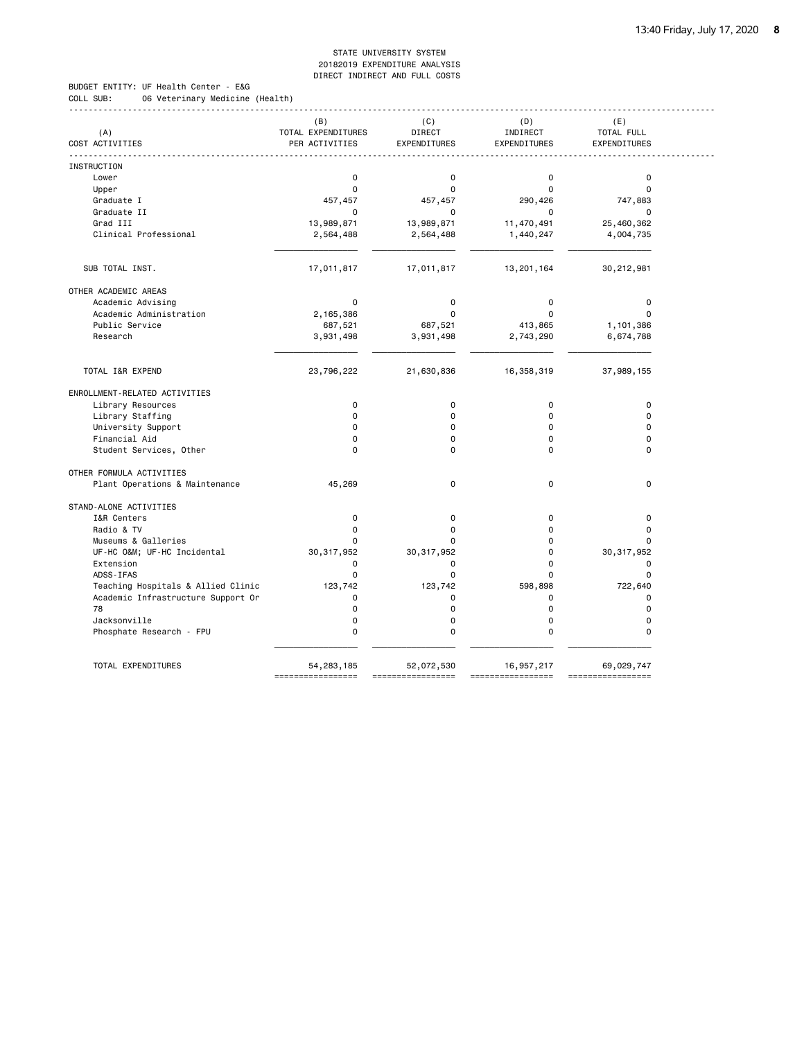BUDGET ENTITY: UF Health Center - E&G COLL SUB: 06 Veterinary Medicine (Health)

|                                    | (B)                | (C)          | (D)                 | (E)                 |
|------------------------------------|--------------------|--------------|---------------------|---------------------|
| (A)                                | TOTAL EXPENDITURES | DIRECT       | INDIRECT            | TOTAL FULL          |
| COST ACTIVITIES                    | PER ACTIVITIES     | EXPENDITURES | <b>EXPENDITURES</b> | <b>EXPENDITURES</b> |
| INSTRUCTION                        |                    |              |                     |                     |
| Lower                              | $\mathbf 0$        | $\mathbf 0$  | $\mathbf 0$         | $\pmb{0}$           |
| Upper                              | $\mathbf 0$        | $\Omega$     | $\Omega$            | $\mathbf 0$         |
| Graduate I                         | 457,457            | 457,457      | 290,426             | 747,883             |
| Graduate II                        | $\mathbf 0$        | 0            | 0                   | $\Omega$            |
| Grad III                           | 13,989,871         | 13,989,871   | 11,470,491          | 25,460,362          |
| Clinical Professional              | 2,564,488          | 2,564,488    | 1,440,247           | 4,004,735           |
|                                    |                    |              |                     |                     |
| SUB TOTAL INST.                    | 17,011,817         | 17,011,817   | 13,201,164          | 30,212,981          |
| OTHER ACADEMIC AREAS               |                    |              |                     |                     |
| Academic Advising                  | $\mathbf 0$        | 0            | $\Omega$            | $\mathbf 0$         |
| Academic Administration            | 2,165,386          | $\mathbf 0$  | $\Omega$            | $\mathbf 0$         |
| Public Service                     | 687,521            | 687,521      | 413,865             | 1,101,386           |
| Research                           | 3,931,498          | 3,931,498    | 2,743,290           | 6,674,788           |
|                                    |                    |              |                     |                     |
| TOTAL I&R EXPEND                   | 23,796,222         | 21,630,836   | 16,358,319          | 37,989,155          |
| ENROLLMENT-RELATED ACTIVITIES      |                    |              |                     |                     |
| Library Resources                  | $\mathbf 0$        | $\mathbf 0$  | 0                   | $\mathbf 0$         |
| Library Staffing                   | $\Omega$           | $\mathbf 0$  | $\Omega$            | $\Omega$            |
| University Support                 | $\Omega$           | $\mathbf 0$  | $\Omega$            | $\mathbf 0$         |
| Financial Aid                      | $\Omega$           | $\mathbf 0$  | $\Omega$            | $\mathbf 0$         |
| Student Services, Other            | $\Omega$           | $\Omega$     | 0                   | $\Omega$            |
| OTHER FORMULA ACTIVITIES           |                    |              |                     |                     |
| Plant Operations & Maintenance     | 45,269             | 0            | $\mathbf 0$         | $\mathbf 0$         |
| STAND-ALONE ACTIVITIES             |                    |              |                     |                     |
| I&R Centers                        | $\mathbf 0$        | 0            | $\Omega$            | $\mathbf 0$         |
| Radio & TV                         | $\Omega$           | $\Omega$     | $\Omega$            | $\Omega$            |
| Museums & Galleries                | 0                  | 0            | 0                   | $\mathbf 0$         |
| UF-HC O&M UF-HC Incidental         | 30, 317, 952       | 30, 317, 952 | 0                   | 30, 317, 952        |
| Extension                          | $\mathbf 0$        | 0            | 0                   | $\mathbf 0$         |
| ADSS-IFAS                          | $\mathbf 0$        | $\mathbf 0$  | 0                   | $\mathbf 0$         |
| Teaching Hospitals & Allied Clinic | 123,742            | 123,742      | 598,898             | 722,640             |
| Academic Infrastructure Support Or | $\mathbf 0$        | 0            | 0                   | $\mathbf 0$         |
| 78                                 | $\Omega$           | $\mathbf 0$  | $\Omega$            | $\mathbf 0$         |
| Jacksonville                       | $\mathbf 0$        | $\mathbf 0$  | 0                   | $\mathbf 0$         |
| Phosphate Research - FPU           | $\Omega$           | $\mathbf 0$  | $\Omega$            | $\Omega$            |
|                                    |                    |              |                     |                     |
| TOTAL EXPENDITURES                 | 54, 283, 185       | 52,072,530   | 16,957,217          | 69,029,747          |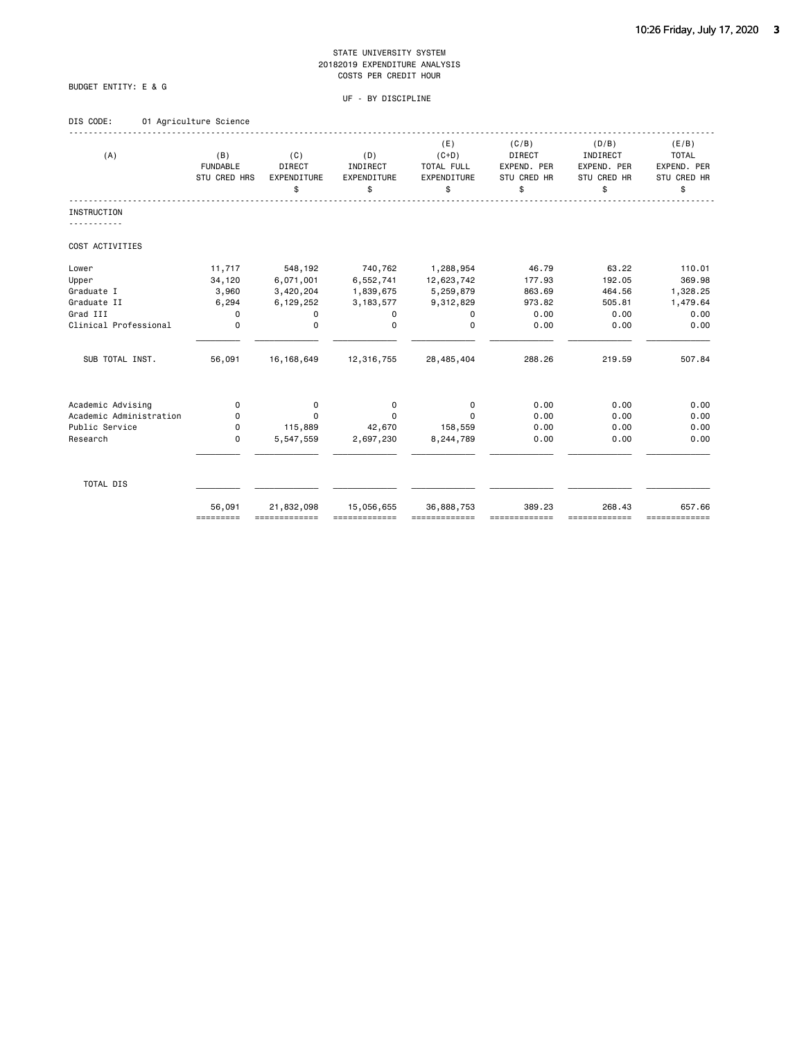### BUDGET ENTITY: E & G

### UF - BY DISCIPLINE

### DIS CODE: 01 Agriculture Science

| (A)                     | (B)<br><b>FUNDABLE</b><br>STU CRED HRS | (C)<br><b>DIRECT</b><br><b>EXPENDITURE</b><br>\$ | (D)<br>INDIRECT<br>EXPENDITURE<br>\$ | (E)<br>$(C+D)$<br>TOTAL FULL<br>EXPENDITURE<br>\$ | (C/B)<br><b>DIRECT</b><br>EXPEND. PER<br>STU CRED HR<br>\$ | (D/B)<br>INDIRECT<br>EXPEND. PER<br>STU CRED HR<br>\$ | (E/B)<br><b>TOTAL</b><br>EXPEND. PER<br>STU CRED HR<br>\$ |
|-------------------------|----------------------------------------|--------------------------------------------------|--------------------------------------|---------------------------------------------------|------------------------------------------------------------|-------------------------------------------------------|-----------------------------------------------------------|
| <b>INSTRUCTION</b>      |                                        |                                                  |                                      |                                                   |                                                            |                                                       |                                                           |
| COST ACTIVITIES         |                                        |                                                  |                                      |                                                   |                                                            |                                                       |                                                           |
| Lower                   | 11,717                                 | 548,192                                          | 740,762                              | 1,288,954                                         | 46.79                                                      | 63.22                                                 | 110.01                                                    |
| Upper                   | 34,120                                 | 6,071,001                                        | 6,552,741                            | 12,623,742                                        | 177.93                                                     | 192.05                                                | 369.98                                                    |
| Graduate I              | 3,960                                  | 3,420,204                                        | 1,839,675                            | 5,259,879                                         | 863.69                                                     | 464.56                                                | 1,328.25                                                  |
| Graduate II             | 6,294                                  | 6,129,252                                        | 3, 183, 577                          | 9,312,829                                         | 973.82                                                     | 505.81                                                | 1,479.64                                                  |
| Grad III                | 0                                      | 0                                                | 0                                    | 0                                                 | 0.00                                                       | 0.00                                                  | 0.00                                                      |
| Clinical Professional   | $\mathbf 0$                            | $\mathbf 0$                                      | $\Omega$                             | $\mathbf 0$                                       | 0.00                                                       | 0.00                                                  | 0.00                                                      |
| SUB TOTAL INST.         | 56,091                                 | 16, 168, 649                                     | 12,316,755                           | 28,485,404                                        | 288.26                                                     | 219.59                                                | 507.84                                                    |
| Academic Advising       | 0                                      | 0                                                | 0                                    | 0                                                 | 0.00                                                       | 0.00                                                  | 0.00                                                      |
| Academic Administration | 0                                      | $\Omega$                                         | 0                                    | $\Omega$                                          | 0.00                                                       | 0.00                                                  | 0.00                                                      |
| Public Service          | 0                                      | 115,889                                          | 42,670                               | 158,559                                           | 0.00                                                       | 0.00                                                  | 0.00                                                      |
| Research                | $\mathbf 0$                            | 5,547,559                                        | 2,697,230                            | 8,244,789                                         | 0.00                                                       | 0.00                                                  | 0.00                                                      |
| TOTAL DIS               |                                        |                                                  |                                      |                                                   |                                                            |                                                       |                                                           |
|                         | 56,091<br>=========                    | 21,832,098                                       | 15,056,655                           | 36,888,753                                        | 389.23                                                     | 268.43<br>==========                                  | 657.66<br>=============                                   |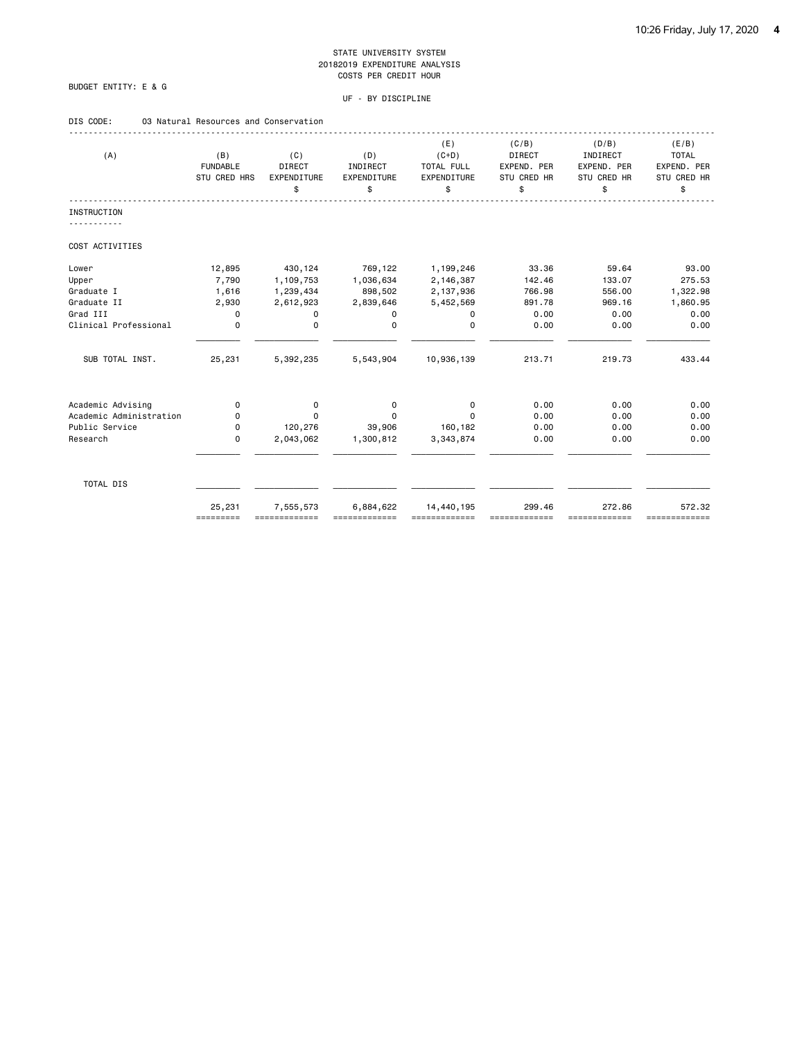### BUDGET ENTITY: E & G

### UF - BY DISCIPLINE

### DIS CODE: 03 Natural Resources and Conservation

| (A)                     | (B)<br><b>FUNDABLE</b><br>STU CRED HRS | (C)<br>DIRECT<br><b>EXPENDITURE</b><br>\$ | (D)<br>INDIRECT<br>EXPENDITURE<br>\$ | (E)<br>$(C+D)$<br>TOTAL FULL<br>EXPENDITURE<br>\$ | (C/B)<br><b>DIRECT</b><br>EXPEND. PER<br>STU CRED HR<br>\$ | (D/B)<br>INDIRECT<br>EXPEND. PER<br>STU CRED HR<br>\$ | (E/B)<br><b>TOTAL</b><br>EXPEND. PER<br>STU CRED HR<br>\$ |
|-------------------------|----------------------------------------|-------------------------------------------|--------------------------------------|---------------------------------------------------|------------------------------------------------------------|-------------------------------------------------------|-----------------------------------------------------------|
| <b>INSTRUCTION</b>      |                                        |                                           |                                      |                                                   |                                                            |                                                       |                                                           |
| COST ACTIVITIES         |                                        |                                           |                                      |                                                   |                                                            |                                                       |                                                           |
| Lower                   | 12,895                                 | 430,124                                   | 769,122                              | 1,199,246                                         | 33.36                                                      | 59.64                                                 | 93.00                                                     |
| Upper                   | 7,790                                  | 1,109,753                                 | 1,036,634                            | 2,146,387                                         | 142.46                                                     | 133.07                                                | 275.53                                                    |
| Graduate I              | 1,616                                  | 1,239,434                                 | 898,502                              | 2,137,936                                         | 766.98                                                     | 556.00                                                | 1,322.98                                                  |
| Graduate II             | 2,930                                  | 2,612,923                                 | 2,839,646                            | 5,452,569                                         | 891.78                                                     | 969.16                                                | 1,860.95                                                  |
| Grad III                | 0                                      | 0                                         | 0                                    | $\mathbf 0$                                       | 0.00                                                       | 0.00                                                  | 0.00                                                      |
| Clinical Professional   | $\mathbf 0$                            | $\mathbf 0$                               | $\Omega$                             | $\Omega$                                          | 0.00                                                       | 0.00                                                  | 0.00                                                      |
| SUB TOTAL INST.         | 25,231                                 | 5,392,235                                 | 5,543,904                            | 10,936,139                                        | 213.71                                                     | 219.73                                                | 433.44                                                    |
| Academic Advising       | 0                                      | 0                                         | 0                                    | $\mathbf 0$                                       | 0.00                                                       | 0.00                                                  | 0.00                                                      |
| Academic Administration | 0                                      | $\Omega$                                  | $\Omega$                             | $\Omega$                                          | 0.00                                                       | 0.00                                                  | 0.00                                                      |
| Public Service          | 0                                      | 120,276                                   | 39,906                               | 160,182                                           | 0.00                                                       | 0.00                                                  | 0.00                                                      |
| Research                | 0                                      | 2,043,062                                 | 1,300,812                            | 3,343,874                                         | 0.00                                                       | 0.00                                                  | 0.00                                                      |
| TOTAL DIS               |                                        |                                           |                                      |                                                   |                                                            |                                                       |                                                           |
|                         | 25,231<br>=========                    | 7,555,573                                 | 6,884,622                            | 14,440,195<br>=============                       | 299.46                                                     | 272.86<br>=============                               | 572.32<br>=============                                   |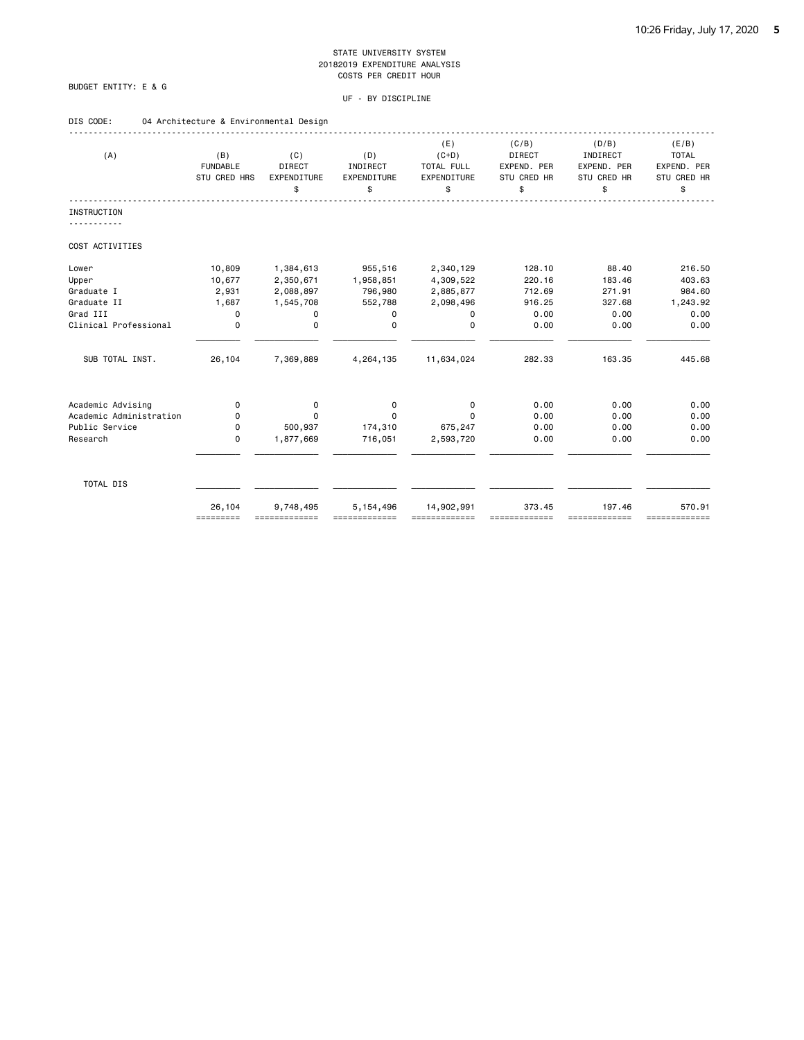### BUDGET ENTITY: E & G

| DIS CODE:<br>04 Architecture & Environmental Design |  |
|-----------------------------------------------------|--|
|-----------------------------------------------------|--|

|                         |                 |               |             | (E)         | (C/B)         | (D/B)       | (E/B)         |
|-------------------------|-----------------|---------------|-------------|-------------|---------------|-------------|---------------|
| (A)                     | (B)             | (C)           | (D)         | $(C+D)$     | <b>DIRECT</b> | INDIRECT    | <b>TOTAL</b>  |
|                         | <b>FUNDABLE</b> | <b>DIRECT</b> | INDIRECT    | TOTAL FULL  | EXPEND. PER   | EXPEND. PER | EXPEND. PER   |
|                         | STU CRED HRS    | EXPENDITURE   | EXPENDITURE | EXPENDITURE | STU CRED HR   | STU CRED HR | STU CRED HR   |
|                         |                 | \$            | \$          | \$          | \$            | \$          | \$            |
| <b>INSTRUCTION</b>      |                 |               |             |             |               |             |               |
|                         |                 |               |             |             |               |             |               |
| COST ACTIVITIES         |                 |               |             |             |               |             |               |
| Lower                   | 10,809          | 1,384,613     | 955,516     | 2,340,129   | 128.10        | 88.40       | 216.50        |
| Upper                   | 10,677          | 2,350,671     | 1,958,851   | 4,309,522   | 220.16        | 183.46      | 403.63        |
| Graduate I              | 2,931           | 2,088,897     | 796,980     | 2,885,877   | 712.69        | 271.91      | 984.60        |
| Graduate II             | 1,687           | 1,545,708     | 552,788     | 2,098,496   | 916.25        | 327.68      | 1,243.92      |
| Grad III                | $\mathbf 0$     | 0             | 0           | 0           | 0.00          | 0.00        | 0.00          |
| Clinical Professional   | $\mathbf 0$     | 0             | $\Omega$    | $\Omega$    | 0.00          | 0.00        | 0.00          |
| SUB TOTAL INST.         | 26,104          | 7,369,889     | 4,264,135   | 11,634,024  | 282.33        | 163.35      | 445.68        |
|                         |                 |               |             |             |               |             |               |
| Academic Advising       | 0               | 0             | 0           | 0           | 0.00          | 0.00        | 0.00          |
| Academic Administration | 0               | 0             | $\Omega$    | $\Omega$    | 0.00          | 0.00        | 0.00          |
| Public Service          | 0               | 500,937       | 174,310     | 675,247     | 0.00          | 0.00        | 0.00          |
| Research                | $\mathbf 0$     | 1,877,669     | 716,051     | 2,593,720   | 0.00          | 0.00        | 0.00          |
|                         |                 |               |             |             |               |             |               |
| TOTAL DIS               |                 |               |             |             |               |             |               |
|                         | 26,104          | 9,748,495     | 5,154,496   | 14,902,991  | 373.45        | 197.46      | 570.91        |
|                         | =========       |               |             |             |               | ==========  | ============= |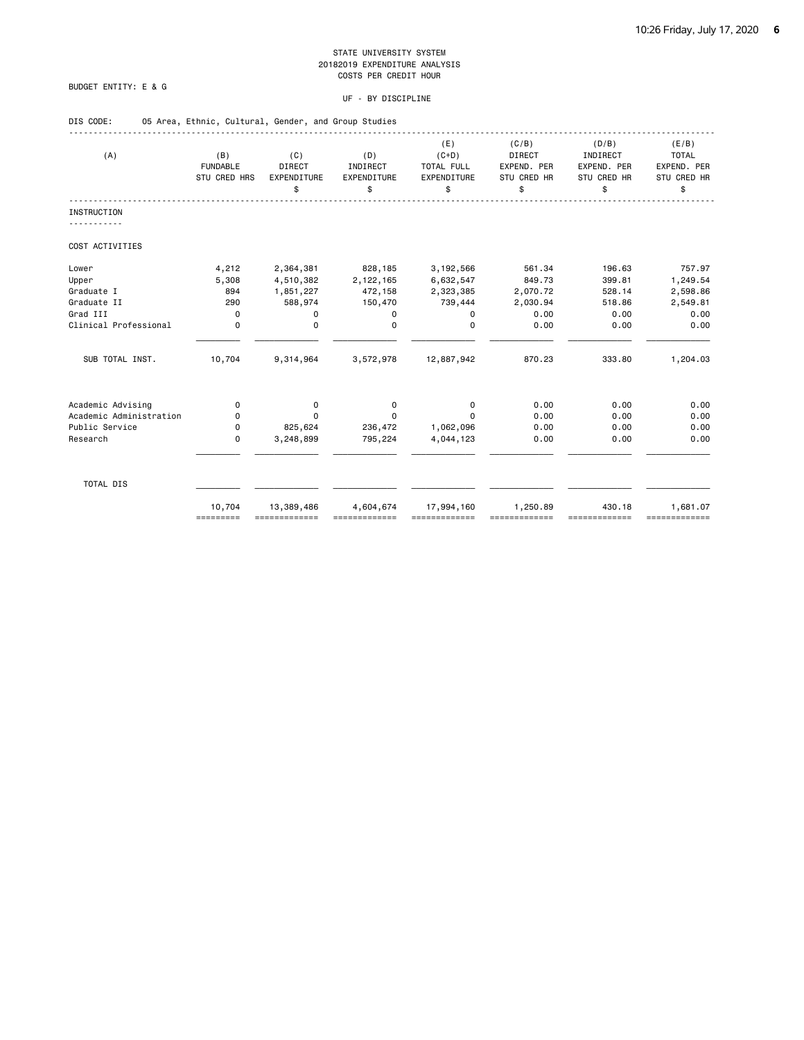### BUDGET ENTITY: E & G

### UF - BY DISCIPLINE

| DIS CODE:               | 05 Area, Ethnic, Cultural, Gender, and Group Studies |                                    |                                      |                                                   |                                                     |                                                       |                                                           |
|-------------------------|------------------------------------------------------|------------------------------------|--------------------------------------|---------------------------------------------------|-----------------------------------------------------|-------------------------------------------------------|-----------------------------------------------------------|
| (A)                     | (B)<br><b>FUNDABLE</b><br>STU CRED HRS               | (C)<br>DIRECT<br>EXPENDITURE<br>\$ | (D)<br>INDIRECT<br>EXPENDITURE<br>\$ | (E)<br>$(C+D)$<br>TOTAL FULL<br>EXPENDITURE<br>\$ | (C/B)<br>DIRECT<br>EXPEND. PER<br>STU CRED HR<br>\$ | (D/B)<br>INDIRECT<br>EXPEND. PER<br>STU CRED HR<br>\$ | (E/B)<br><b>TOTAL</b><br>EXPEND. PER<br>STU CRED HR<br>\$ |
| <b>INSTRUCTION</b>      |                                                      |                                    |                                      |                                                   |                                                     |                                                       |                                                           |
| .                       |                                                      |                                    |                                      |                                                   |                                                     |                                                       |                                                           |
| COST ACTIVITIES         |                                                      |                                    |                                      |                                                   |                                                     |                                                       |                                                           |
| Lower                   | 4,212                                                | 2,364,381                          | 828,185                              | 3,192,566                                         | 561.34                                              | 196.63                                                | 757.97                                                    |
| Upper                   | 5,308                                                | 4,510,382                          | 2,122,165                            | 6,632,547                                         | 849.73                                              | 399.81                                                | 1,249.54                                                  |
| Graduate I              | 894                                                  | 1,851,227                          | 472,158                              | 2,323,385                                         | 2,070.72                                            | 528.14                                                | 2,598.86                                                  |
| Graduate II             | 290                                                  | 588,974                            | 150,470                              | 739,444                                           | 2,030.94                                            | 518.86                                                | 2,549.81                                                  |
| Grad III                | 0                                                    | $\mathbf 0$                        | 0                                    | 0                                                 | 0.00                                                | 0.00                                                  | 0.00                                                      |
| Clinical Professional   | 0                                                    | 0                                  | $\Omega$                             | $\Omega$                                          | 0.00                                                | 0.00                                                  | 0.00                                                      |
| SUB TOTAL INST.         | 10,704                                               | 9,314,964                          | 3,572,978                            | 12,887,942                                        | 870.23                                              | 333.80                                                | 1,204.03                                                  |
| Academic Advising       | 0                                                    | 0                                  | 0                                    | 0                                                 | 0.00                                                | 0.00                                                  | 0.00                                                      |
| Academic Administration | 0                                                    | 0                                  | 0                                    | $\Omega$                                          | 0.00                                                | 0.00                                                  | 0.00                                                      |
| Public Service          | 0                                                    | 825,624                            | 236,472                              | 1,062,096                                         | 0.00                                                | 0.00                                                  | 0.00                                                      |
| Research                | 0                                                    | 3,248,899                          | 795,224                              | 4,044,123                                         | 0.00                                                | 0.00                                                  | 0.00                                                      |
| TOTAL DIS               |                                                      |                                    |                                      |                                                   |                                                     |                                                       |                                                           |
|                         | 10,704                                               | 13,389,486                         | 4,604,674                            | 17,994,160                                        | 1,250.89                                            | 430.18                                                | 1,681.07                                                  |

========= ============= ============= ============= ============= ============= =============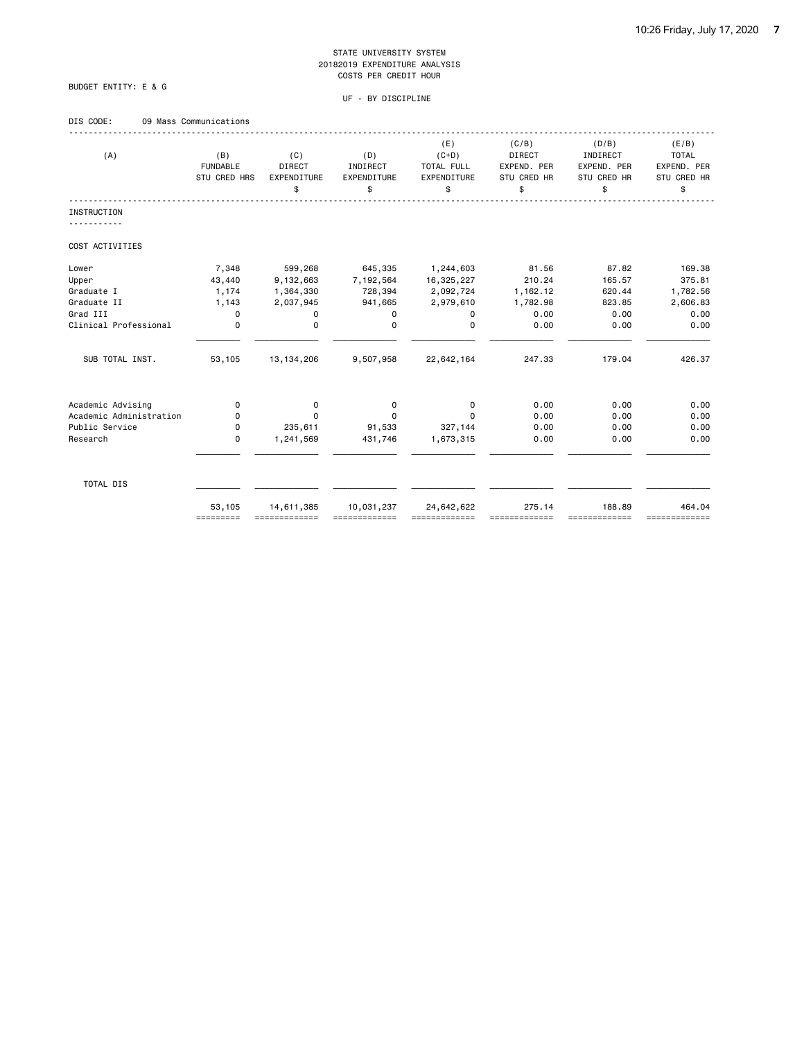### BUDGET ENTITY: E & G

### UF - BY DISCIPLINE

### DIS CODE: 09 Mass Communications

| (A)                     | (B)<br><b>FUNDABLE</b><br>STU CRED HRS | (C)<br><b>DIRECT</b><br><b>EXPENDITURE</b><br>\$ | (D)<br>INDIRECT<br>EXPENDITURE<br>\$ | (E)<br>$(C+D)$<br>TOTAL FULL<br>EXPENDITURE<br>\$ | (C/B)<br><b>DIRECT</b><br>EXPEND. PER<br>STU CRED HR<br>\$ | (D/B)<br>INDIRECT<br>EXPEND. PER<br>STU CRED HR<br>\$ | (E/B)<br><b>TOTAL</b><br>EXPEND. PER<br>STU CRED HR<br>\$ |
|-------------------------|----------------------------------------|--------------------------------------------------|--------------------------------------|---------------------------------------------------|------------------------------------------------------------|-------------------------------------------------------|-----------------------------------------------------------|
| <b>INSTRUCTION</b>      |                                        |                                                  |                                      |                                                   |                                                            |                                                       |                                                           |
| COST ACTIVITIES         |                                        |                                                  |                                      |                                                   |                                                            |                                                       |                                                           |
| Lower                   | 7,348                                  | 599,268                                          | 645,335                              | 1,244,603                                         | 81.56                                                      | 87.82                                                 | 169.38                                                    |
| Upper                   | 43,440                                 | 9,132,663                                        | 7,192,564                            | 16,325,227                                        | 210.24                                                     | 165.57                                                | 375.81                                                    |
| Graduate I              | 1,174                                  | 1,364,330                                        | 728,394                              | 2,092,724                                         | 1,162.12                                                   | 620.44                                                | 1,782.56                                                  |
| Graduate II             | 1,143                                  | 2,037,945                                        | 941,665                              | 2,979,610                                         | 1,782.98                                                   | 823.85                                                | 2,606.83                                                  |
| Grad III                | $\mathbf 0$                            | 0                                                | 0                                    | 0                                                 | 0.00                                                       | 0.00                                                  | 0.00                                                      |
| Clinical Professional   | $\mathbf 0$                            | $\mathbf 0$                                      | 0                                    | $\Omega$                                          | 0.00                                                       | 0.00                                                  | 0.00                                                      |
| SUB TOTAL INST.         | 53,105                                 | 13, 134, 206                                     | 9,507,958                            | 22,642,164                                        | 247.33                                                     | 179.04                                                | 426.37                                                    |
| Academic Advising       | 0                                      | 0                                                | 0                                    | 0                                                 | 0.00                                                       | 0.00                                                  | 0.00                                                      |
| Academic Administration | 0                                      | $\Omega$                                         | 0                                    | $\Omega$                                          | 0.00                                                       | 0.00                                                  | 0.00                                                      |
| Public Service          | 0                                      | 235,611                                          | 91,533                               | 327,144                                           | 0.00                                                       | 0.00                                                  | 0.00                                                      |
| Research                | $\mathbf 0$                            | 1,241,569                                        | 431,746                              | 1,673,315                                         | 0.00                                                       | 0.00                                                  | 0.00                                                      |
| TOTAL DIS               |                                        |                                                  |                                      |                                                   |                                                            |                                                       |                                                           |
|                         | 53,105<br>=========                    | 14,611,385<br>=============                      | 10,031,237                           | 24,642,622<br>,,,,,,,,,,,,,,                      | 275.14                                                     | 188.89<br>==========                                  | 464.04<br>=============                                   |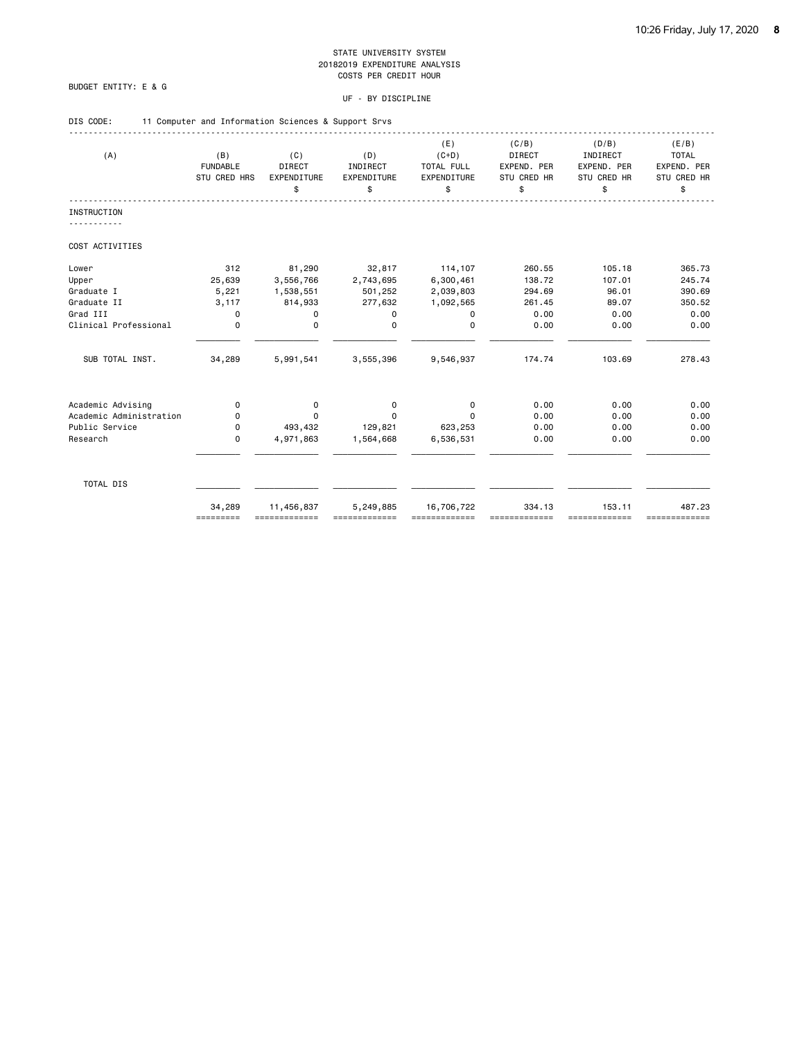### BUDGET ENTITY: E & G

| DIS CODE: |  | 11 Computer and Information Sciences & Support Srvs |  |  |  |
|-----------|--|-----------------------------------------------------|--|--|--|
|           |  |                                                     |  |  |  |

| (A)                     | (B)<br><b>FUNDABLE</b><br>STU CRED HRS | (C)<br><b>DIRECT</b><br>EXPENDITURE<br>\$ | (D)<br>INDIRECT<br>EXPENDITURE<br>\$ | (E)<br>$(C+D)$<br>TOTAL FULL<br>EXPENDITURE<br>\$ | (C/B)<br><b>DIRECT</b><br>EXPEND. PER<br><b>STU CRED HR</b><br>\$ | (D/B)<br>INDIRECT<br>EXPEND. PER<br>STU CRED HR<br>\$ | (E/B)<br><b>TOTAL</b><br>EXPEND. PER<br>STU CRED HR<br>\$ |
|-------------------------|----------------------------------------|-------------------------------------------|--------------------------------------|---------------------------------------------------|-------------------------------------------------------------------|-------------------------------------------------------|-----------------------------------------------------------|
| <b>INSTRUCTION</b>      |                                        |                                           |                                      |                                                   |                                                                   |                                                       |                                                           |
| COST ACTIVITIES         |                                        |                                           |                                      |                                                   |                                                                   |                                                       |                                                           |
| Lower                   | 312                                    | 81,290                                    | 32,817                               | 114,107                                           | 260.55                                                            | 105.18                                                | 365.73                                                    |
| Upper                   | 25,639                                 | 3,556,766                                 | 2,743,695                            | 6,300,461                                         | 138.72                                                            | 107.01                                                | 245.74                                                    |
| Graduate I              | 5,221                                  | 1,538,551                                 | 501,252                              | 2,039,803                                         | 294.69                                                            | 96.01                                                 | 390.69                                                    |
| Graduate II             | 3,117                                  | 814,933                                   | 277,632                              | 1,092,565                                         | 261.45                                                            | 89.07                                                 | 350.52                                                    |
| Grad III                | $\mathbf 0$                            | 0                                         | 0                                    | $\mathbf 0$                                       | 0.00                                                              | 0.00                                                  | 0.00                                                      |
| Clinical Professional   | $\mathbf 0$                            | $\mathbf 0$                               | $\Omega$                             | 0                                                 | 0.00                                                              | 0.00                                                  | 0.00                                                      |
| SUB TOTAL INST.         | 34,289                                 | 5,991,541                                 | 3,555,396                            | 9,546,937                                         | 174.74                                                            | 103.69                                                | 278.43                                                    |
| Academic Advising       | 0                                      | 0                                         | 0                                    | 0                                                 | 0.00                                                              | 0.00                                                  | 0.00                                                      |
| Academic Administration | 0                                      | $\Omega$                                  | $\Omega$                             | $\Omega$                                          | 0.00                                                              | 0.00                                                  | 0.00                                                      |
| Public Service          | 0                                      | 493,432                                   | 129,821                              | 623,253                                           | 0.00                                                              | 0.00                                                  | 0.00                                                      |
| Research                | $\mathbf 0$                            | 4,971,863                                 | 1,564,668                            | 6,536,531                                         | 0.00                                                              | 0.00                                                  | 0.00                                                      |
|                         |                                        |                                           |                                      |                                                   |                                                                   |                                                       |                                                           |
| TOTAL DIS               |                                        |                                           |                                      |                                                   |                                                                   |                                                       |                                                           |
|                         | 34,289<br>=========                    | 11,456,837                                | 5,249,885                            | 16,706,722                                        | 334.13                                                            | 153.11<br>-------------                               | 487.23<br>=============                                   |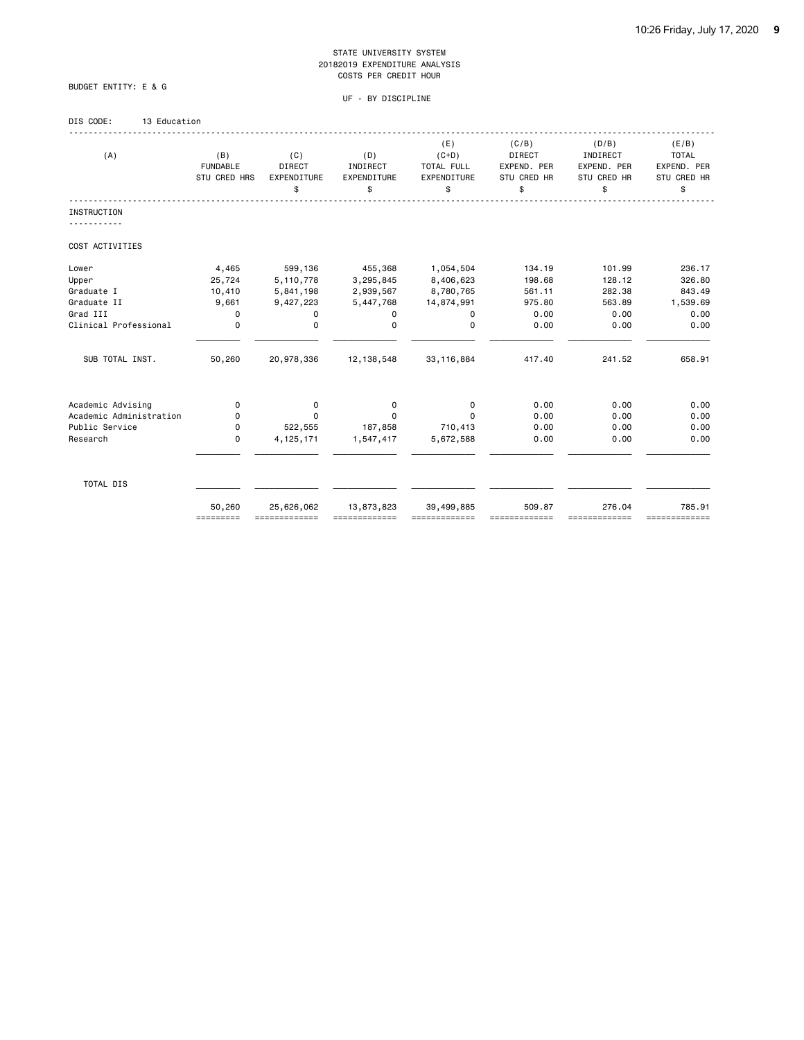UF - BY DISCIPLINE

# BUDGET ENTITY: E & G

### DIS CODE: 13 Education

| (A)                     | (B)<br><b>FUNDABLE</b><br><b>STU CRED HRS</b> | (C)<br><b>DIRECT</b><br>EXPENDITURE<br>\$ | (D)<br>INDIRECT<br>EXPENDITURE<br>\$ | (E)<br>$(C+D)$<br>TOTAL FULL<br>EXPENDITURE<br>\$ | (C/B)<br><b>DIRECT</b><br>EXPEND. PER<br>STU CRED HR<br>\$ | (D/B)<br>INDIRECT<br>EXPEND. PER<br>STU CRED HR<br>\$ | (E/B)<br><b>TOTAL</b><br>EXPEND. PER<br>STU CRED HR<br>\$ |
|-------------------------|-----------------------------------------------|-------------------------------------------|--------------------------------------|---------------------------------------------------|------------------------------------------------------------|-------------------------------------------------------|-----------------------------------------------------------|
| INSTRUCTION             |                                               |                                           |                                      |                                                   |                                                            |                                                       |                                                           |
| COST ACTIVITIES         |                                               |                                           |                                      |                                                   |                                                            |                                                       |                                                           |
| Lower                   | 4,465                                         | 599,136                                   | 455,368                              | 1,054,504                                         | 134.19                                                     | 101.99                                                | 236.17                                                    |
| Upper                   | 25,724                                        | 5,110,778                                 | 3,295,845                            | 8,406,623                                         | 198.68                                                     | 128.12                                                | 326.80                                                    |
| Graduate I              | 10,410                                        | 5,841,198                                 | 2,939,567                            | 8,780,765                                         | 561.11                                                     | 282.38                                                | 843.49                                                    |
| Graduate II             | 9,661                                         | 9,427,223                                 | 5,447,768                            | 14,874,991                                        | 975.80                                                     | 563.89                                                | 1,539.69                                                  |
| Grad III                | $\mathbf 0$                                   | 0                                         | 0                                    | 0                                                 | 0.00                                                       | 0.00                                                  | 0.00                                                      |
| Clinical Professional   | 0                                             | $\mathbf 0$                               | $\Omega$                             | $\Omega$                                          | 0.00                                                       | 0.00                                                  | 0.00                                                      |
| SUB TOTAL INST.         | 50,260                                        | 20,978,336                                | 12, 138, 548                         | 33, 116, 884                                      | 417.40                                                     | 241.52                                                | 658.91                                                    |
| Academic Advising       | 0                                             | 0                                         | 0                                    | 0                                                 | 0.00                                                       | 0.00                                                  | 0.00                                                      |
| Academic Administration | 0                                             | $\Omega$                                  | 0                                    | $\Omega$                                          | 0.00                                                       | 0.00                                                  | 0.00                                                      |
| Public Service          | 0                                             | 522,555                                   | 187,858                              | 710,413                                           | 0.00                                                       | 0.00                                                  | 0.00                                                      |
| Research                | 0                                             | 4, 125, 171                               | 1,547,417                            | 5,672,588                                         | 0.00                                                       | 0.00                                                  | 0.00                                                      |
| TOTAL DIS               |                                               |                                           |                                      |                                                   |                                                            |                                                       |                                                           |
|                         | 50,260<br>=========                           | 25,626,062                                | 13,873,823                           | 39,499,885<br>-------------                       | 509.87                                                     | 276.04<br>==========                                  | 785.91<br>=============                                   |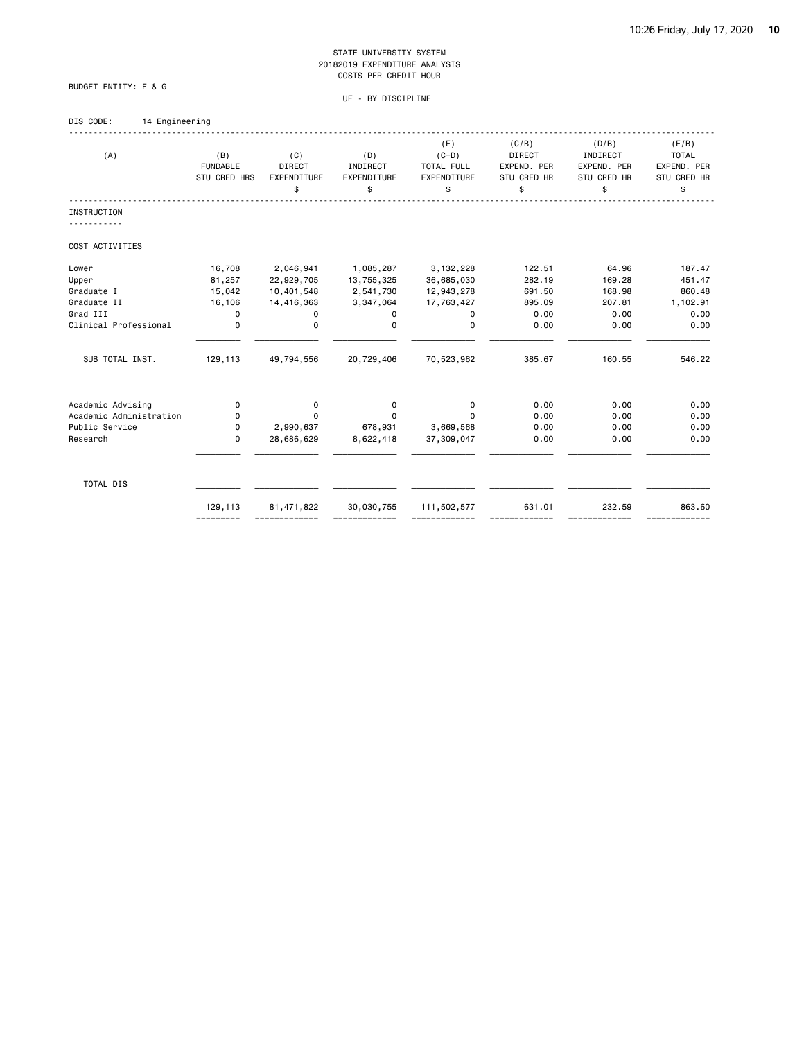UF - BY DISCIPLINE

BUDGET ENTITY: E & G

| DIS CODE: | 14 Engineering |  |
|-----------|----------------|--|
|           |                |  |

| (A)                     | (B)<br><b>FUNDABLE</b><br>STU CRED HRS | (C)<br><b>DIRECT</b><br>EXPENDITURE<br>\$ | (D)<br>INDIRECT<br>EXPENDITURE<br>\$ | (E)<br>$(C+D)$<br>TOTAL FULL<br>EXPENDITURE<br>\$ | (C/B)<br><b>DIRECT</b><br>EXPEND. PER<br><b>STU CRED HR</b><br>\$ | (D/B)<br>INDIRECT<br>EXPEND. PER<br>STU CRED HR<br>\$ | (E/B)<br><b>TOTAL</b><br>EXPEND. PER<br>STU CRED HR<br>\$ |
|-------------------------|----------------------------------------|-------------------------------------------|--------------------------------------|---------------------------------------------------|-------------------------------------------------------------------|-------------------------------------------------------|-----------------------------------------------------------|
| <b>INSTRUCTION</b>      |                                        |                                           |                                      |                                                   |                                                                   |                                                       |                                                           |
| COST ACTIVITIES         |                                        |                                           |                                      |                                                   |                                                                   |                                                       |                                                           |
| Lower                   | 16,708                                 | 2,046,941                                 | 1,085,287                            | 3, 132, 228                                       | 122.51                                                            | 64.96                                                 | 187.47                                                    |
| Upper                   | 81,257                                 | 22,929,705                                | 13,755,325                           | 36,685,030                                        | 282.19                                                            | 169.28                                                | 451.47                                                    |
| Graduate I              | 15,042                                 | 10,401,548                                | 2,541,730                            | 12,943,278                                        | 691.50                                                            | 168.98                                                | 860.48                                                    |
| Graduate II             | 16,106                                 | 14,416,363                                | 3,347,064                            | 17,763,427                                        | 895.09                                                            | 207.81                                                | 1,102.91                                                  |
| Grad III                | 0                                      | 0                                         | 0                                    | 0                                                 | 0.00                                                              | 0.00                                                  | 0.00                                                      |
| Clinical Professional   | $\mathbf 0$                            | $\mathbf 0$                               | 0                                    | $\Omega$                                          | 0.00                                                              | 0.00                                                  | 0.00                                                      |
| SUB TOTAL INST.         | 129,113                                | 49,794,556                                | 20,729,406                           | 70,523,962                                        | 385.67                                                            | 160.55                                                | 546.22                                                    |
| Academic Advising       | 0                                      | 0                                         | 0                                    | 0                                                 | 0.00                                                              | 0.00                                                  | 0.00                                                      |
| Academic Administration | 0                                      | $\Omega$                                  | $\Omega$                             | $\Omega$                                          | 0.00                                                              | 0.00                                                  | 0.00                                                      |
| Public Service          | 0                                      | 2,990,637                                 | 678,931                              | 3,669,568                                         | 0.00                                                              | 0.00                                                  | 0.00                                                      |
| Research                | $\Omega$                               | 28,686,629                                | 8,622,418                            | 37,309,047                                        | 0.00                                                              | 0.00                                                  | 0.00                                                      |
| TOTAL DIS               |                                        |                                           |                                      |                                                   |                                                                   |                                                       |                                                           |
|                         | 129,113<br>=========                   | 81, 471, 822                              | 30,030,755                           | 111,502,577                                       | 631.01                                                            | 232.59<br>==========                                  | 863.60<br>=============                                   |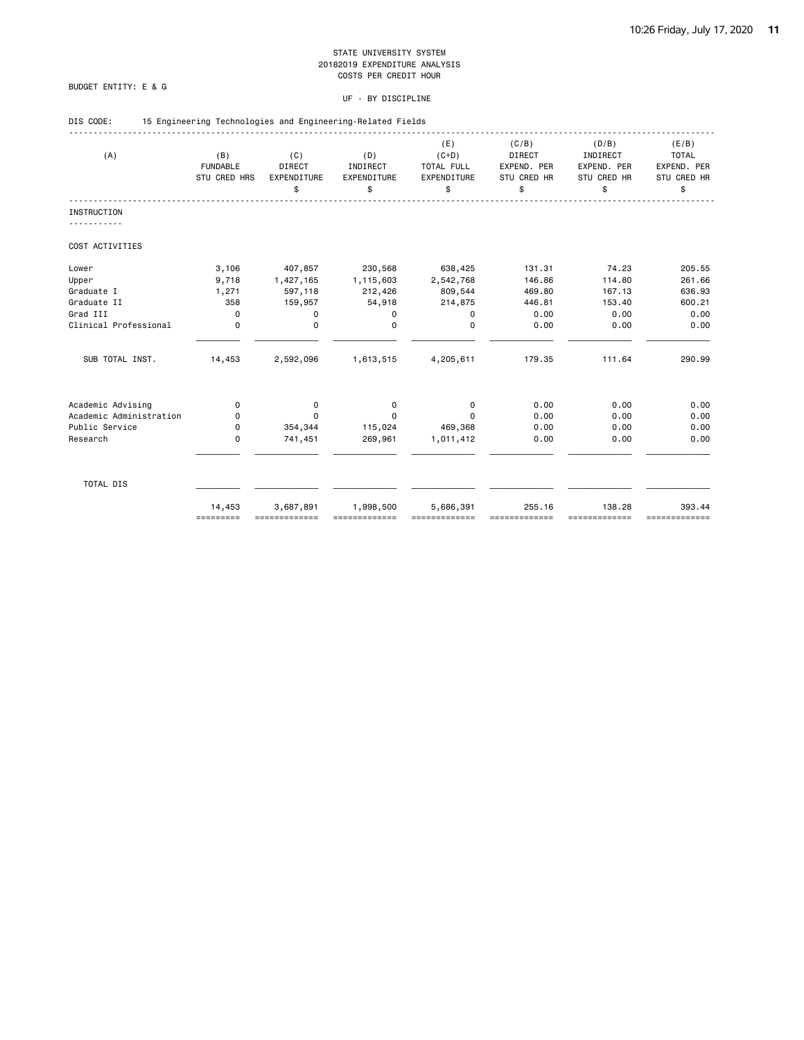### BUDGET ENTITY: E & G

| DIS CODE: |  | 15 Engineering Technologies and Engineering-Related Fields |  |
|-----------|--|------------------------------------------------------------|--|
|           |  |                                                            |  |

| (A)                     | (B)<br><b>FUNDABLE</b><br>STU CRED HRS | (C)<br><b>DIRECT</b><br>EXPENDITURE<br>\$ | (D)<br>INDIRECT<br>EXPENDITURE<br>\$ | (E)<br>$(C+D)$<br>TOTAL FULL<br>EXPENDITURE<br>\$ | (C/B)<br><b>DIRECT</b><br>EXPEND. PER<br><b>STU CRED HR</b><br>\$ | (D/B)<br>INDIRECT<br>EXPEND. PER<br>STU CRED HR<br>\$ | (E/B)<br><b>TOTAL</b><br>EXPEND. PER<br>STU CRED HR<br>\$ |
|-------------------------|----------------------------------------|-------------------------------------------|--------------------------------------|---------------------------------------------------|-------------------------------------------------------------------|-------------------------------------------------------|-----------------------------------------------------------|
| <b>INSTRUCTION</b>      |                                        |                                           |                                      |                                                   |                                                                   |                                                       |                                                           |
| COST ACTIVITIES         |                                        |                                           |                                      |                                                   |                                                                   |                                                       |                                                           |
| Lower                   | 3,106                                  | 407,857                                   | 230,568                              | 638,425                                           | 131.31                                                            | 74.23                                                 | 205.55                                                    |
| Upper                   | 9,718                                  | 1,427,165                                 | 1,115,603                            | 2,542,768                                         | 146.86                                                            | 114.80                                                | 261.66                                                    |
| Graduate I              | 1,271                                  | 597,118                                   | 212,426                              | 809,544                                           | 469.80                                                            | 167.13                                                | 636.93                                                    |
| Graduate II             | 358                                    | 159,957                                   | 54,918                               | 214,875                                           | 446.81                                                            | 153.40                                                | 600.21                                                    |
| Grad III                | $\mathbf 0$                            | 0                                         | 0                                    | $\mathbf 0$                                       | 0.00                                                              | 0.00                                                  | 0.00                                                      |
| Clinical Professional   | $\mathbf 0$                            | $\mathbf 0$                               | $\Omega$                             | 0                                                 | 0.00                                                              | 0.00                                                  | 0.00                                                      |
| SUB TOTAL INST.         | 14,453                                 | 2,592,096                                 | 1,613,515                            | 4,205,611                                         | 179.35                                                            | 111.64                                                | 290.99                                                    |
| Academic Advising       | 0                                      | 0                                         | 0                                    | 0                                                 | 0.00                                                              | 0.00                                                  | 0.00                                                      |
| Academic Administration | 0                                      | $\Omega$                                  | $\Omega$                             | $\Omega$                                          | 0.00                                                              | 0.00                                                  | 0.00                                                      |
| Public Service          | 0                                      | 354,344                                   | 115,024                              | 469,368                                           | 0.00                                                              | 0.00                                                  | 0.00                                                      |
| Research                | 0                                      | 741,451                                   | 269,961                              | 1,011,412                                         | 0.00                                                              | 0.00                                                  | 0.00                                                      |
|                         |                                        |                                           |                                      |                                                   |                                                                   |                                                       |                                                           |
| TOTAL DIS               |                                        |                                           |                                      |                                                   |                                                                   |                                                       |                                                           |
|                         | 14,453<br>=========                    | 3,687,891                                 | 1,998,500                            | 5,686,391                                         | 255.16                                                            | 138.28<br>-------------                               | 393.44<br>=============                                   |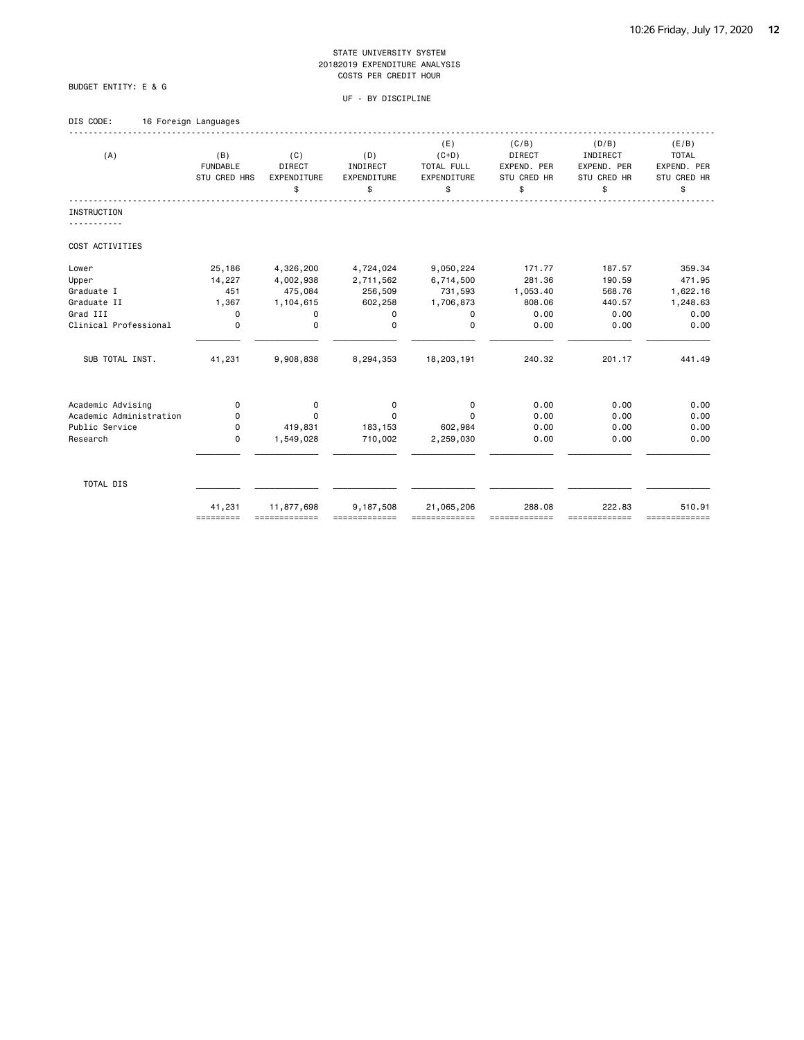### BUDGET ENTITY: E & G

| 16 Foreign Languages |  |
|----------------------|--|
|                      |  |
|                      |  |

| (A)                     | (B)<br><b>FUNDABLE</b><br>STU CRED HRS | (C)<br><b>DIRECT</b><br>EXPENDITURE<br>\$ | (D)<br>INDIRECT<br>EXPENDITURE<br>\$ | (E)<br>$(C+D)$<br><b>TOTAL FULL</b><br>EXPENDITURE<br>\$ | (C/B)<br><b>DIRECT</b><br>EXPEND. PER<br>STU CRED HR<br>\$ | (D/B)<br>INDIRECT<br>EXPEND. PER<br>STU CRED HR<br>\$ | (E/B)<br><b>TOTAL</b><br>EXPEND. PER<br>STU CRED HR<br>\$ |
|-------------------------|----------------------------------------|-------------------------------------------|--------------------------------------|----------------------------------------------------------|------------------------------------------------------------|-------------------------------------------------------|-----------------------------------------------------------|
| <b>INSTRUCTION</b>      |                                        |                                           |                                      |                                                          |                                                            |                                                       |                                                           |
|                         |                                        |                                           |                                      |                                                          |                                                            |                                                       |                                                           |
| COST ACTIVITIES         |                                        |                                           |                                      |                                                          |                                                            |                                                       |                                                           |
| Lower                   | 25,186                                 | 4,326,200                                 | 4,724,024                            | 9,050,224                                                | 171.77                                                     | 187.57                                                | 359.34                                                    |
| Upper                   | 14,227                                 | 4,002,938                                 | 2,711,562                            | 6,714,500                                                | 281.36                                                     | 190.59                                                | 471.95                                                    |
| Graduate I              | 451                                    | 475,084                                   | 256,509                              | 731,593                                                  | 1,053.40                                                   | 568.76                                                | 1,622.16                                                  |
| Graduate II             | 1,367                                  | 1,104,615                                 | 602,258                              | 1,706,873                                                | 808.06                                                     | 440.57                                                | 1,248.63                                                  |
| Grad III                | 0                                      | 0                                         | $\Omega$                             | 0                                                        | 0.00                                                       | 0.00                                                  | 0.00                                                      |
| Clinical Professional   | $\mathbf 0$                            | $\mathbf 0$                               | $\mathbf 0$                          | $\mathbf 0$                                              | 0.00                                                       | 0.00                                                  | 0.00                                                      |
| SUB TOTAL INST.         | 41,231                                 | 9,908,838                                 | 8,294,353                            | 18,203,191                                               | 240.32                                                     | 201.17                                                | 441.49                                                    |
| Academic Advising       | $\mathbf 0$                            | 0                                         | $\mathbf 0$                          | 0                                                        | 0.00                                                       | 0.00                                                  | 0.00                                                      |
| Academic Administration | 0                                      | 0                                         | $\Omega$                             | $\Omega$                                                 | 0.00                                                       | 0.00                                                  | 0.00                                                      |
| Public Service          | 0                                      | 419,831                                   | 183,153                              | 602,984                                                  | 0.00                                                       | 0.00                                                  | 0.00                                                      |
| Research                | 0                                      | 1,549,028                                 | 710,002                              | 2,259,030                                                | 0.00                                                       | 0.00                                                  | 0.00                                                      |
| TOTAL DIS               |                                        |                                           |                                      |                                                          |                                                            |                                                       |                                                           |
|                         | 41,231<br>=========                    | 11,877,698<br>=============               | 9,187,508                            | 21,065,206                                               | 288.08                                                     | 222.83<br>===========                                 | 510.91<br>=============                                   |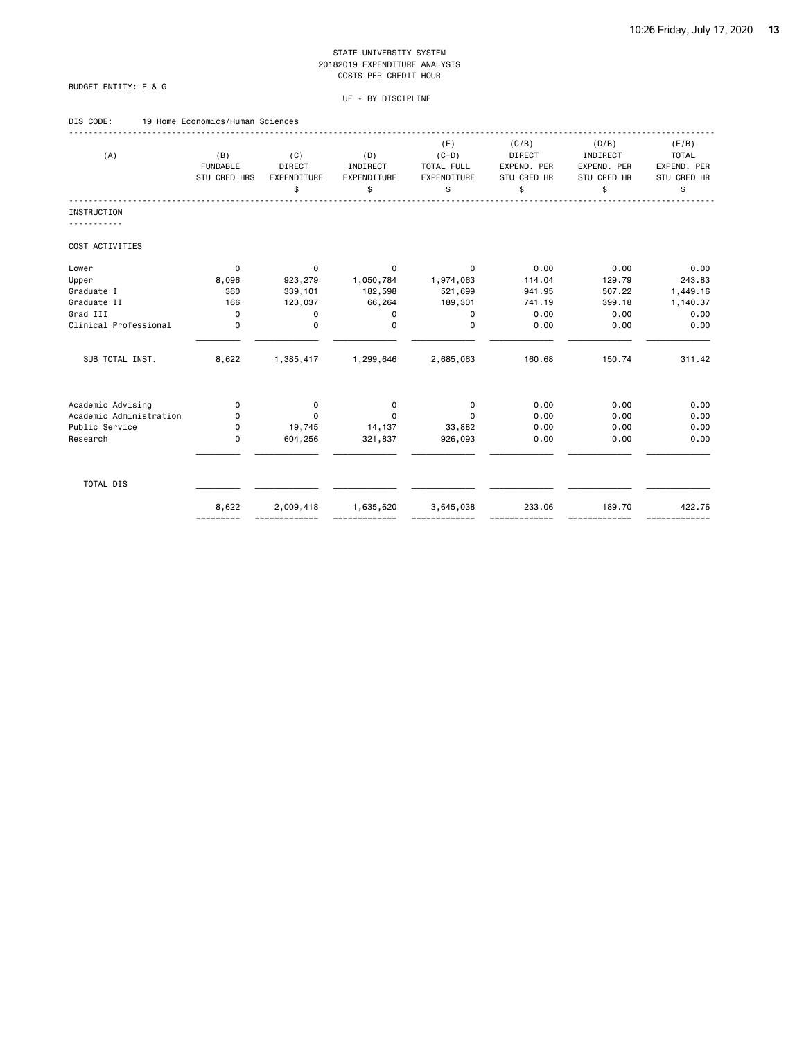### BUDGET ENTITY: E & G

| DIS CODE: |  | 19 Home Economics/Human Sciences |  |  |
|-----------|--|----------------------------------|--|--|
|           |  |                                  |  |  |

| (A)                     | (B)             | (C)           | (D)         | (E)<br>$(C+D)$ | (C/B)<br><b>DIRECT</b> | (D/B)<br>INDIRECT | (E/B)<br><b>TOTAL</b> |
|-------------------------|-----------------|---------------|-------------|----------------|------------------------|-------------------|-----------------------|
|                         | <b>FUNDABLE</b> | <b>DIRECT</b> | INDIRECT    | TOTAL FULL     | EXPEND. PER            | EXPEND. PER       | EXPEND. PER           |
|                         | STU CRED HRS    | EXPENDITURE   | EXPENDITURE | EXPENDITURE    | STU CRED HR            | STU CRED HR       | STU CRED HR           |
|                         |                 | \$            | \$          | \$             | \$                     | \$                | \$                    |
| <b>INSTRUCTION</b>      |                 |               |             |                |                        |                   |                       |
| COST ACTIVITIES         |                 |               |             |                |                        |                   |                       |
|                         |                 |               |             |                |                        |                   |                       |
| Lower                   | 0               | 0             | 0           | 0              | 0.00                   | 0.00              | 0.00                  |
| Upper                   | 8,096           | 923,279       | 1,050,784   | 1,974,063      | 114.04                 | 129.79            | 243.83                |
| Graduate I              | 360             | 339,101       | 182,598     | 521,699        | 941.95                 | 507.22            | 1,449.16              |
| Graduate II             | 166             | 123,037       | 66,264      | 189,301        | 741.19                 | 399.18            | 1,140.37              |
| Grad III                | $\mathbf 0$     | 0             | 0           | $\mathbf 0$    | 0.00                   | 0.00              | 0.00                  |
| Clinical Professional   | $\mathbf 0$     | 0             | $\Omega$    | $\Omega$       | 0.00                   | 0.00              | 0.00                  |
| SUB TOTAL INST.         | 8,622           | 1,385,417     | 1,299,646   | 2,685,063      | 160.68                 | 150.74            | 311.42                |
|                         |                 |               |             |                |                        |                   |                       |
| Academic Advising       | 0               | 0             | 0           | 0              | 0.00                   | 0.00              | 0.00                  |
| Academic Administration | 0               | $\Omega$      | $\Omega$    | $\Omega$       | 0.00                   | 0.00              | 0.00                  |
| Public Service          | 0               | 19,745        | 14,137      | 33,882         | 0.00                   | 0.00              | 0.00                  |
| Research                | 0               | 604,256       | 321,837     | 926,093        | 0.00                   | 0.00              | 0.00                  |
| TOTAL DIS               |                 |               |             |                |                        |                   |                       |
|                         |                 |               |             |                |                        |                   |                       |
|                         | 8,622           | 2,009,418     | 1,635,620   | 3,645,038      | 233.06                 | 189.70            | 422.76                |
|                         | =========       |               |             |                |                        | ==========        | =============         |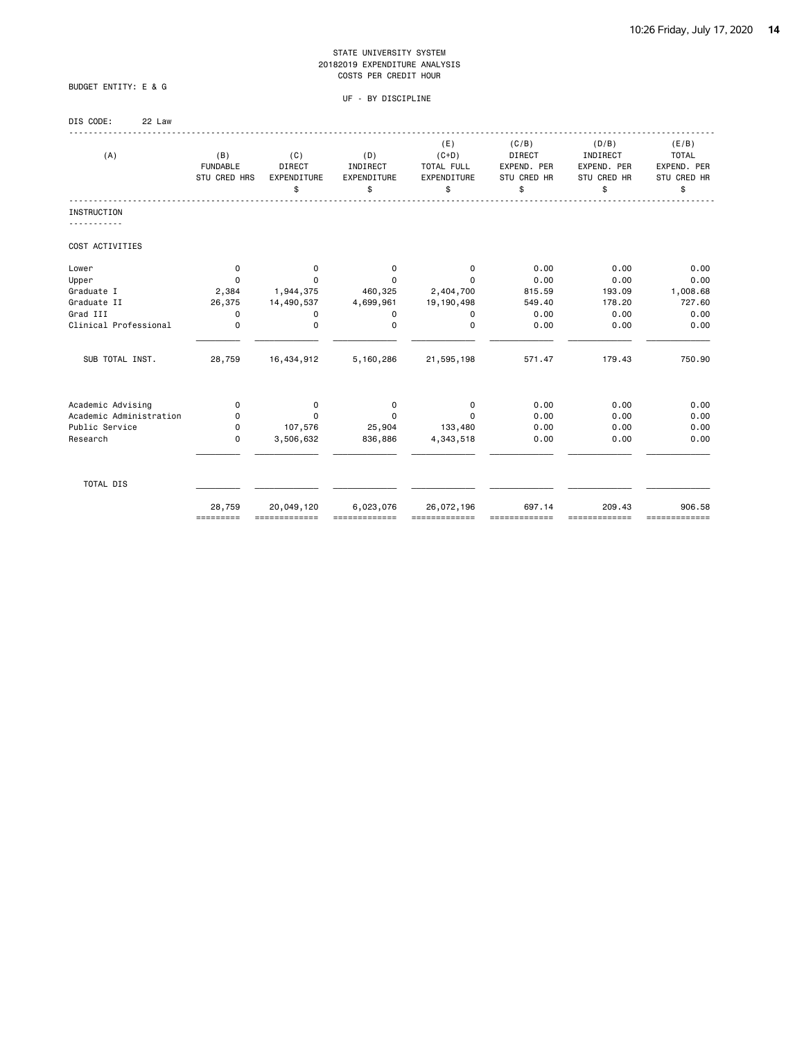### BUDGET ENTITY: E & G

| DIS CODE: | 22 Law |
|-----------|--------|
|-----------|--------|

| (A)                     | (B)<br><b>FUNDABLE</b><br>STU CRED HRS | (C)<br><b>DIRECT</b><br>EXPENDITURE<br>\$ | (D)<br>INDIRECT<br>EXPENDITURE<br>\$ | (E)<br>$(C+D)$<br>TOTAL FULL<br>EXPENDITURE<br>\$ | (C/B)<br>DIRECT<br>EXPEND. PER<br>STU CRED HR<br>\$ | (D/B)<br>INDIRECT<br>EXPEND. PER<br>STU CRED HR<br>\$ | (E/B)<br><b>TOTAL</b><br>EXPEND. PER<br>STU CRED HR<br>\$ |
|-------------------------|----------------------------------------|-------------------------------------------|--------------------------------------|---------------------------------------------------|-----------------------------------------------------|-------------------------------------------------------|-----------------------------------------------------------|
| <b>INSTRUCTION</b>      |                                        |                                           |                                      |                                                   |                                                     |                                                       |                                                           |
| COST ACTIVITIES         |                                        |                                           |                                      |                                                   |                                                     |                                                       |                                                           |
| Lower                   | 0                                      | 0                                         | 0                                    | 0                                                 | 0.00                                                | 0.00                                                  | 0.00                                                      |
| Upper                   | $\Omega$                               | 0                                         | $\Omega$                             | $\Omega$                                          | 0.00                                                | 0.00                                                  | 0.00                                                      |
| Graduate I              | 2,384                                  | 1,944,375                                 | 460,325                              | 2,404,700                                         | 815.59                                              | 193.09                                                | 1,008.68                                                  |
| Graduate II             | 26,375                                 | 14,490,537                                | 4,699,961                            | 19,190,498                                        | 549.40                                              | 178.20                                                | 727.60                                                    |
| Grad III                | 0                                      | 0                                         | 0                                    | 0                                                 | 0.00                                                | 0.00                                                  | 0.00                                                      |
| Clinical Professional   | 0                                      | 0                                         | 0                                    | 0                                                 | 0.00                                                | 0.00                                                  | 0.00                                                      |
| SUB TOTAL INST.         | 28,759                                 | 16,434,912                                | 5,160,286                            | 21,595,198                                        | 571.47                                              | 179.43                                                | 750.90                                                    |
| Academic Advising       | 0                                      | 0                                         | 0                                    | 0                                                 | 0.00                                                | 0.00                                                  | 0.00                                                      |
| Academic Administration | 0                                      | 0                                         | $\Omega$                             | $\Omega$                                          | 0.00                                                | 0.00                                                  | 0.00                                                      |
| Public Service          | 0                                      | 107,576                                   | 25,904                               | 133,480                                           | 0.00                                                | 0.00                                                  | 0.00                                                      |
| Research                | $\mathbf 0$                            | 3,506,632                                 | 836,886                              | 4,343,518                                         | 0.00                                                | 0.00                                                  | 0.00                                                      |
| TOTAL DIS               |                                        |                                           |                                      |                                                   |                                                     |                                                       |                                                           |
|                         | 28,759<br>=========                    | 20,049,120<br>=============               | 6,023,076<br>=============           | 26,072,196<br>=============                       | 697.14<br>=============                             | 209.43<br>=============                               | 906.58<br>=============                                   |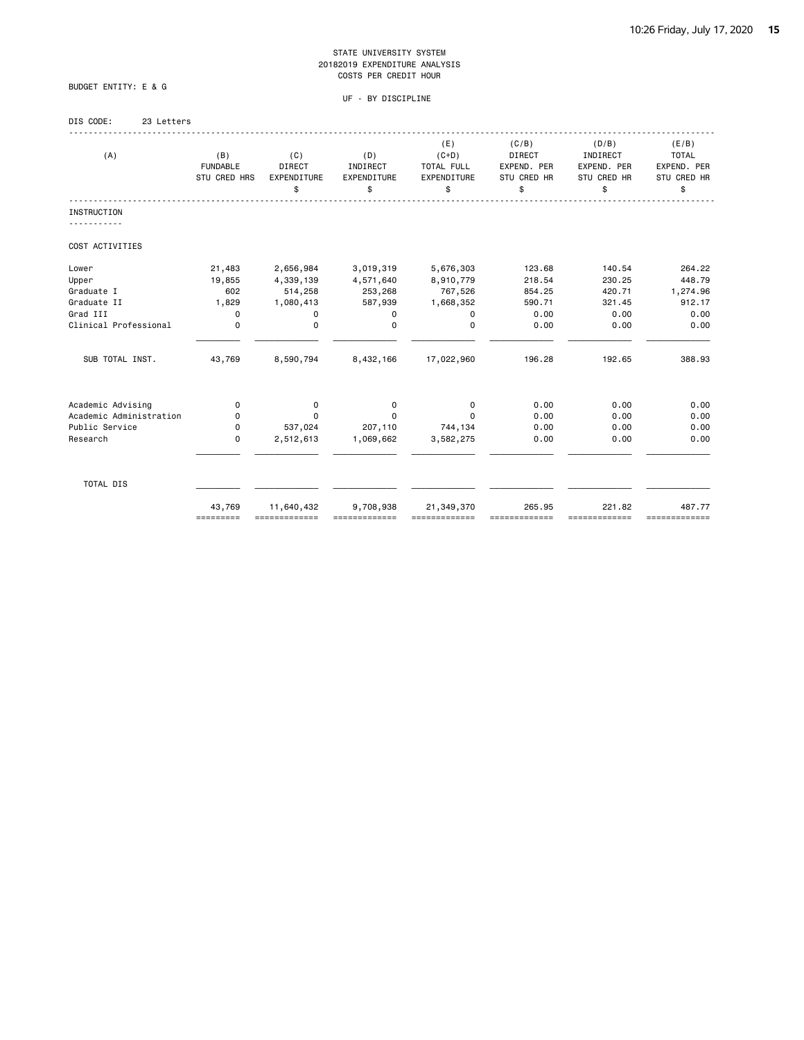BUDGET ENTITY: E & G

### UF - BY DISCIPLINE

### DIS CODE: 23 Letters

| (A)                     | (B)<br><b>FUNDABLE</b><br>STU CRED HRS | (C)<br><b>DIRECT</b><br>EXPENDITURE<br>\$ | (D)<br>INDIRECT<br>EXPENDITURE<br>\$ | (E)<br>$(C+D)$<br>TOTAL FULL<br>EXPENDITURE<br>\$ | (C/B)<br>DIRECT<br>EXPEND. PER<br><b>STU CRED HR</b><br>\$ | (D/B)<br>INDIRECT<br>EXPEND. PER<br>STU CRED HR<br>\$ | (E/B)<br><b>TOTAL</b><br>EXPEND. PER<br>STU CRED HR<br>\$ |
|-------------------------|----------------------------------------|-------------------------------------------|--------------------------------------|---------------------------------------------------|------------------------------------------------------------|-------------------------------------------------------|-----------------------------------------------------------|
| <b>INSTRUCTION</b>      |                                        |                                           |                                      |                                                   |                                                            |                                                       |                                                           |
| COST ACTIVITIES         |                                        |                                           |                                      |                                                   |                                                            |                                                       |                                                           |
| Lower                   | 21,483                                 | 2,656,984                                 | 3,019,319                            | 5,676,303                                         | 123.68                                                     | 140.54                                                | 264.22                                                    |
| Upper                   | 19,855                                 | 4,339,139                                 | 4,571,640                            | 8,910,779                                         | 218.54                                                     | 230.25                                                | 448.79                                                    |
| Graduate I              | 602                                    | 514,258                                   | 253,268                              | 767,526                                           | 854.25                                                     | 420.71                                                | 1,274.96                                                  |
| Graduate II             | 1,829                                  | 1,080,413                                 | 587,939                              | 1,668,352                                         | 590.71                                                     | 321.45                                                | 912.17                                                    |
| Grad III                | 0                                      | 0                                         | 0                                    | 0                                                 | 0.00                                                       | 0.00                                                  | 0.00                                                      |
| Clinical Professional   | $\mathbf 0$                            | 0                                         | 0                                    | $\Omega$                                          | 0.00                                                       | 0.00                                                  | 0.00                                                      |
| SUB TOTAL INST.         | 43,769                                 | 8,590,794                                 | 8,432,166                            | 17,022,960                                        | 196.28                                                     | 192.65                                                | 388.93                                                    |
| Academic Advising       | 0                                      | 0                                         | 0                                    | 0                                                 | 0.00                                                       | 0.00                                                  | 0.00                                                      |
| Academic Administration | 0                                      | $\Omega$                                  | $\Omega$                             | $\Omega$                                          | 0.00                                                       | 0.00                                                  | 0.00                                                      |
| Public Service          | 0                                      | 537,024                                   | 207,110                              | 744,134                                           | 0.00                                                       | 0.00                                                  | 0.00                                                      |
| Research                | $\mathbf 0$                            | 2,512,613                                 | 1,069,662                            | 3,582,275                                         | 0.00                                                       | 0.00                                                  | 0.00                                                      |
| TOTAL DIS               |                                        |                                           |                                      |                                                   |                                                            |                                                       |                                                           |
|                         | 43,769<br>=========                    | 11,640,432<br>=============               | 9,708,938                            | 21,349,370<br>-------------                       | 265.95                                                     | 221.82<br>=============                               | 487.77<br>=============                                   |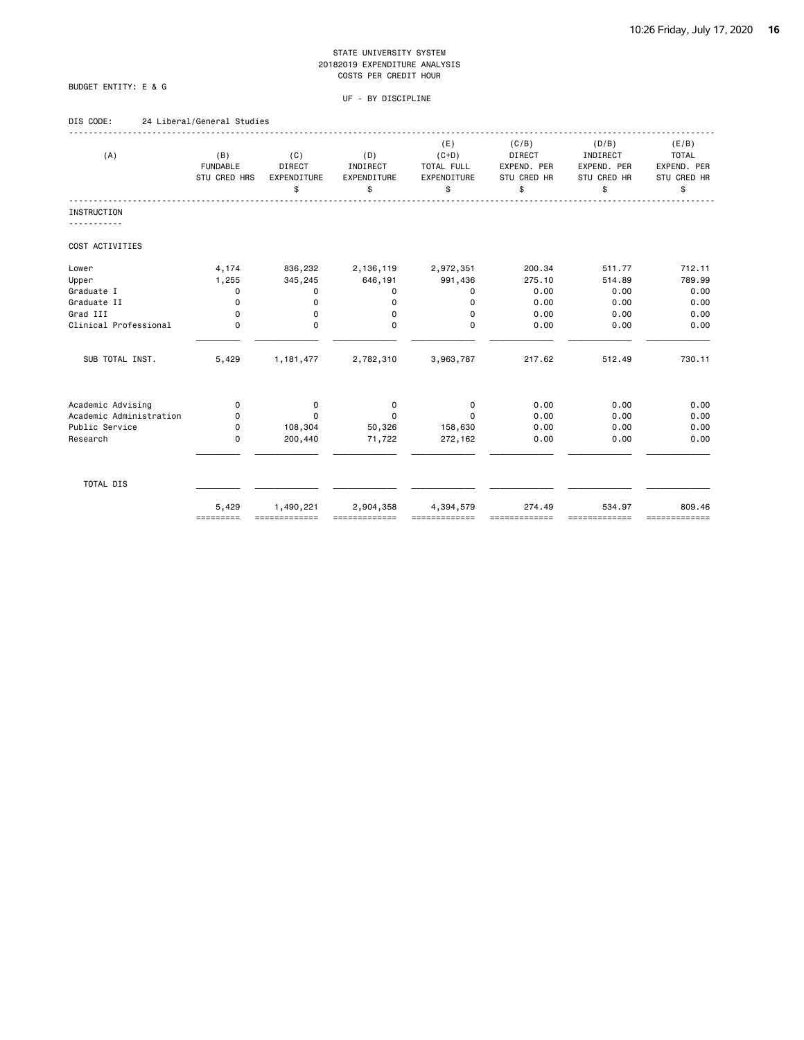### BUDGET ENTITY: E & G

#### UF - BY DISCIPLINE

### DIS CODE: 24 Liberal/General Studies

| (A)                     | (B)<br><b>FUNDABLE</b><br>STU CRED HRS | (C)<br><b>DIRECT</b><br>EXPENDITURE<br>\$ | (D)<br>INDIRECT<br>EXPENDITURE<br>\$ | (E)<br>$(C+D)$<br>TOTAL FULL<br>EXPENDITURE<br>\$ | (C/B)<br><b>DIRECT</b><br>EXPEND. PER<br>STU CRED HR<br>\$ | (D/B)<br>INDIRECT<br>EXPEND. PER<br>STU CRED HR<br>\$ | (E/B)<br><b>TOTAL</b><br>EXPEND. PER<br>STU CRED HR<br>\$ |
|-------------------------|----------------------------------------|-------------------------------------------|--------------------------------------|---------------------------------------------------|------------------------------------------------------------|-------------------------------------------------------|-----------------------------------------------------------|
| <b>INSTRUCTION</b>      |                                        |                                           |                                      |                                                   |                                                            |                                                       |                                                           |
| COST ACTIVITIES         |                                        |                                           |                                      |                                                   |                                                            |                                                       |                                                           |
| Lower                   | 4,174                                  | 836,232                                   | 2,136,119                            | 2,972,351                                         | 200.34                                                     | 511.77                                                | 712.11                                                    |
| Upper                   | 1,255                                  | 345,245                                   | 646,191                              | 991,436                                           | 275.10                                                     | 514.89                                                | 789.99                                                    |
| Graduate I              | 0                                      | 0                                         | 0                                    | 0                                                 | 0.00                                                       | 0.00                                                  | 0.00                                                      |
| Graduate II             | $\mathbf 0$                            | 0                                         | $\Omega$                             | 0                                                 | 0.00                                                       | 0.00                                                  | 0.00                                                      |
| Grad III                | $\mathbf 0$                            | 0                                         | 0                                    | 0                                                 | 0.00                                                       | 0.00                                                  | 0.00                                                      |
| Clinical Professional   | $\Omega$                               | $\Omega$                                  | $\Omega$                             | $\Omega$                                          | 0.00                                                       | 0.00                                                  | 0.00                                                      |
| SUB TOTAL INST.         | 5,429                                  | 1, 181, 477                               | 2,782,310                            | 3,963,787                                         | 217.62                                                     | 512.49                                                | 730.11                                                    |
| Academic Advising       | 0                                      | 0                                         | 0                                    | 0                                                 | 0.00                                                       | 0.00                                                  | 0.00                                                      |
| Academic Administration | 0                                      | $\Omega$                                  | 0                                    | $\Omega$                                          | 0.00                                                       | 0.00                                                  | 0.00                                                      |
| Public Service          | 0                                      | 108,304                                   | 50,326                               | 158,630                                           | 0.00                                                       | 0.00                                                  | 0.00                                                      |
| Research                | $\mathbf 0$                            | 200,440                                   | 71,722                               | 272,162                                           | 0.00                                                       | 0.00                                                  | 0.00                                                      |
| TOTAL DIS               |                                        |                                           |                                      |                                                   |                                                            |                                                       |                                                           |
|                         | 5,429<br>=========                     | 1,490,221<br>=============                | 2,904,358                            | 4,394,579                                         | 274.49                                                     | 534.97<br>=============                               | 809.46<br>=============                                   |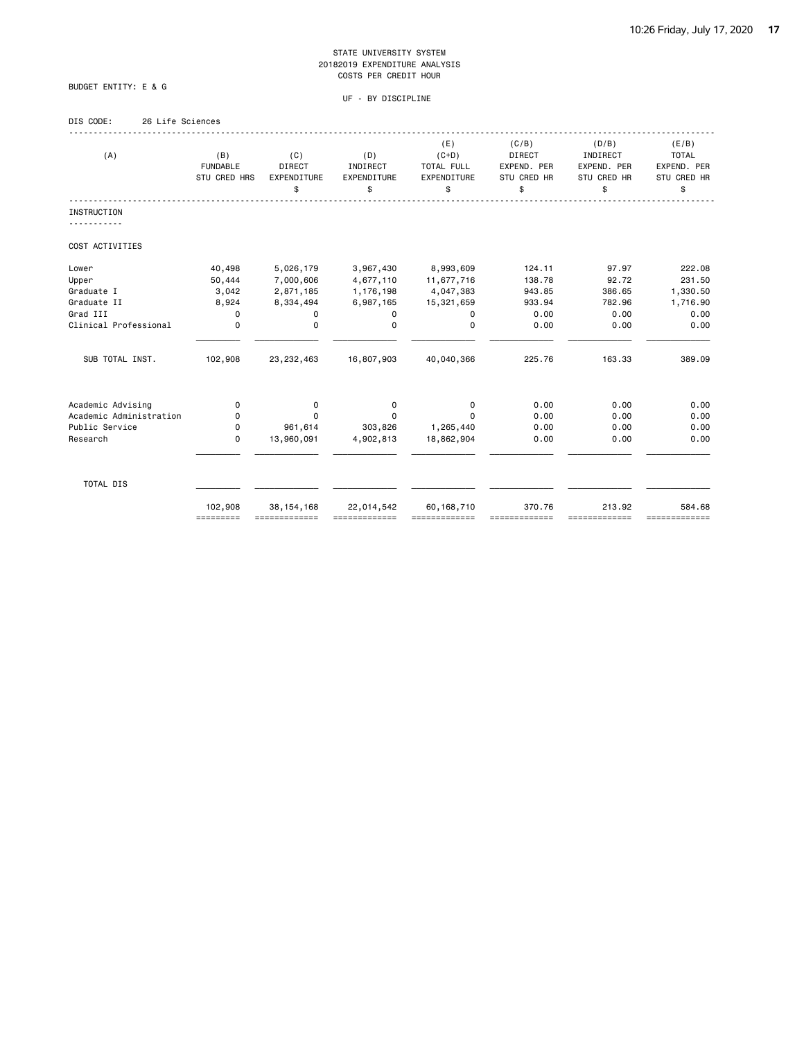### BUDGET ENTITY: E & G

### UF - BY DISCIPLINE

### DIS CODE: 26 Life Sciences

| (A)                     | (B)<br><b>FUNDABLE</b><br>STU CRED HRS | (C)<br>DIRECT<br>EXPENDITURE<br>\$ | (D)<br>INDIRECT<br>EXPENDITURE<br>\$ | (E)<br>$(C+D)$<br>TOTAL FULL<br>EXPENDITURE<br>\$ | (C/B)<br><b>DIRECT</b><br>EXPEND. PER<br>STU CRED HR<br>\$ | (D/B)<br>INDIRECT<br>EXPEND. PER<br>STU CRED HR<br>\$ | (E/B)<br><b>TOTAL</b><br>EXPEND. PER<br>STU CRED HR<br>\$ |
|-------------------------|----------------------------------------|------------------------------------|--------------------------------------|---------------------------------------------------|------------------------------------------------------------|-------------------------------------------------------|-----------------------------------------------------------|
| <b>INSTRUCTION</b>      |                                        |                                    |                                      |                                                   |                                                            |                                                       |                                                           |
| COST ACTIVITIES         |                                        |                                    |                                      |                                                   |                                                            |                                                       |                                                           |
| Lower                   | 40,498                                 | 5,026,179                          | 3,967,430                            | 8,993,609                                         | 124.11                                                     | 97.97                                                 | 222.08                                                    |
| Upper                   | 50,444                                 | 7,000,606                          | 4,677,110                            | 11,677,716                                        | 138.78                                                     | 92.72                                                 | 231.50                                                    |
| Graduate I              | 3,042                                  | 2,871,185                          | 1,176,198                            | 4,047,383                                         | 943.85                                                     | 386.65                                                | 1,330.50                                                  |
| Graduate II             | 8,924                                  | 8,334,494                          | 6,987,165                            | 15,321,659                                        | 933.94                                                     | 782.96                                                | 1,716.90                                                  |
| Grad III                | 0                                      | 0                                  | 0                                    | 0                                                 | 0.00                                                       | 0.00                                                  | 0.00                                                      |
| Clinical Professional   | 0                                      | $\mathbf 0$                        | $\Omega$                             | $\Omega$                                          | 0.00                                                       | 0.00                                                  | 0.00                                                      |
| SUB TOTAL INST.         | 102,908                                | 23, 232, 463                       | 16,807,903                           | 40,040,366                                        | 225.76                                                     | 163.33                                                | 389.09                                                    |
| Academic Advising       | 0                                      | 0                                  | 0                                    | 0                                                 | 0.00                                                       | 0.00                                                  | 0.00                                                      |
| Academic Administration | 0                                      | $\Omega$                           | $\Omega$                             | $\Omega$                                          | 0.00                                                       | 0.00                                                  | 0.00                                                      |
| Public Service          | 0                                      | 961,614                            | 303,826                              | 1,265,440                                         | 0.00                                                       | 0.00                                                  | 0.00                                                      |
| Research                | 0                                      | 13,960,091                         | 4,902,813                            | 18,862,904                                        | 0.00                                                       | 0.00                                                  | 0.00                                                      |
| TOTAL DIS               |                                        |                                    |                                      |                                                   |                                                            |                                                       |                                                           |
|                         | 102,908<br>=========                   | 38, 154, 168<br>=============      | 22,014,542                           | 60, 168, 710                                      | 370.76                                                     | 213.92<br>==========                                  | 584.68<br>=============                                   |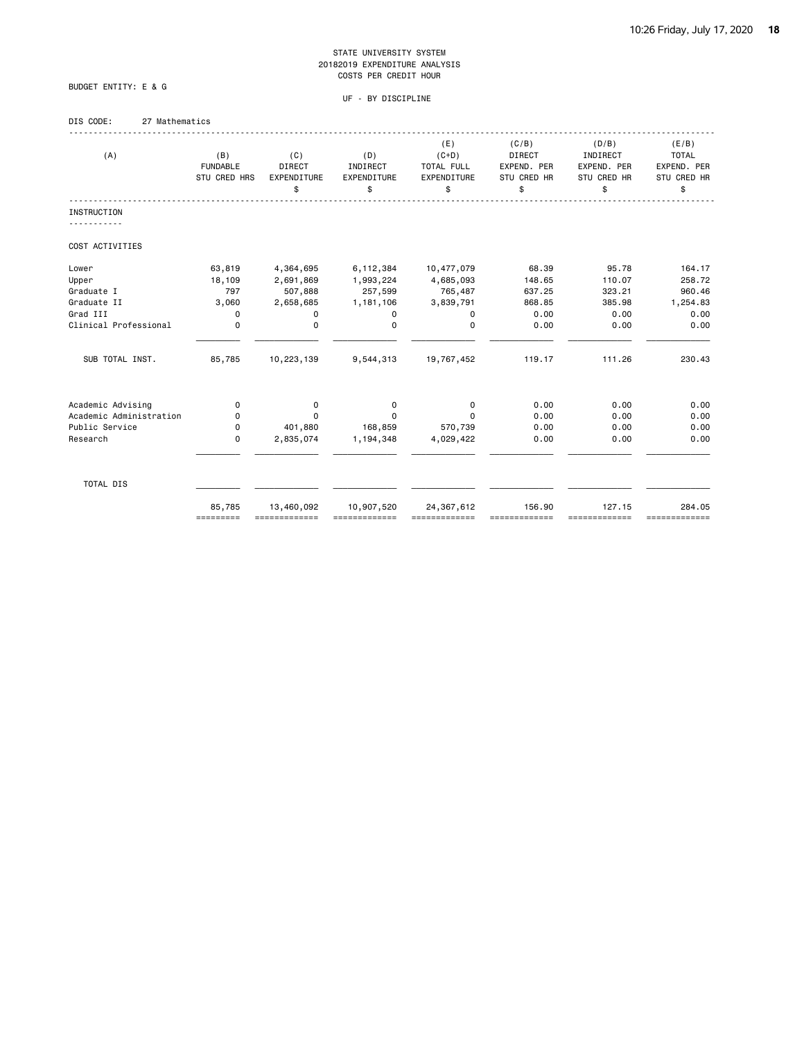UF - BY DISCIPLINE

### DIS CODE: 27 Mathematics

BUDGET ENTITY: E & G

| (A)                     | (B)                             | (C)                          | (D)                     | (E)<br>$(C+D)$            | (C/B)<br><b>DIRECT</b>     | (D/B)<br>INDIRECT          | (E/B)<br><b>TOTAL</b>      |
|-------------------------|---------------------------------|------------------------------|-------------------------|---------------------------|----------------------------|----------------------------|----------------------------|
|                         | <b>FUNDABLE</b><br>STU CRED HRS | <b>DIRECT</b><br>EXPENDITURE | INDIRECT<br>EXPENDITURE | TOTAL FULL<br>EXPENDITURE | EXPEND. PER<br>STU CRED HR | EXPEND. PER<br>STU CRED HR | EXPEND. PER<br>STU CRED HR |
|                         |                                 | \$                           | \$                      | \$                        | \$                         | \$                         | \$                         |
| <b>INSTRUCTION</b>      |                                 |                              |                         |                           |                            |                            |                            |
| COST ACTIVITIES         |                                 |                              |                         |                           |                            |                            |                            |
| Lower                   | 63,819                          | 4,364,695                    | 6,112,384               | 10,477,079                | 68.39                      | 95.78                      | 164.17                     |
| Upper                   | 18,109                          | 2,691,869                    | 1,993,224               | 4,685,093                 | 148.65                     | 110.07                     | 258.72                     |
| Graduate I              | 797                             | 507,888                      | 257,599                 | 765,487                   | 637.25                     | 323.21                     | 960.46                     |
| Graduate II             | 3,060                           | 2,658,685                    | 1,181,106               | 3,839,791                 | 868.85                     | 385.98                     | 1,254.83                   |
| Grad III                | 0                               | 0                            | 0                       | 0                         | 0.00                       | 0.00                       | 0.00                       |
| Clinical Professional   | $\mathbf 0$                     | 0                            | $\Omega$                | $\mathbf 0$               | 0.00                       | 0.00                       | 0.00                       |
| SUB TOTAL INST.         | 85,785                          | 10,223,139                   | 9,544,313               | 19,767,452                | 119.17                     | 111.26                     | 230.43                     |
| Academic Advising       | 0                               | 0                            | 0                       | 0                         | 0.00                       | 0.00                       | 0.00                       |
| Academic Administration | 0                               | $\Omega$                     | 0                       | $\Omega$                  | 0.00                       | 0.00                       | 0.00                       |
| Public Service          | 0                               | 401,880                      | 168,859                 | 570,739                   | 0.00                       | 0.00                       | 0.00                       |
| Research                | $\mathbf 0$                     | 2,835,074                    | 1,194,348               | 4,029,422                 | 0.00                       | 0.00                       | 0.00                       |
| TOTAL DIS               |                                 |                              |                         |                           |                            |                            |                            |
|                         |                                 |                              |                         |                           |                            |                            |                            |
|                         | 85,785<br>=========             | 13,460,092<br>-------------  | 10,907,520              | 24, 367, 612              | 156.90                     | 127.15<br>==========       | 284.05<br>=============    |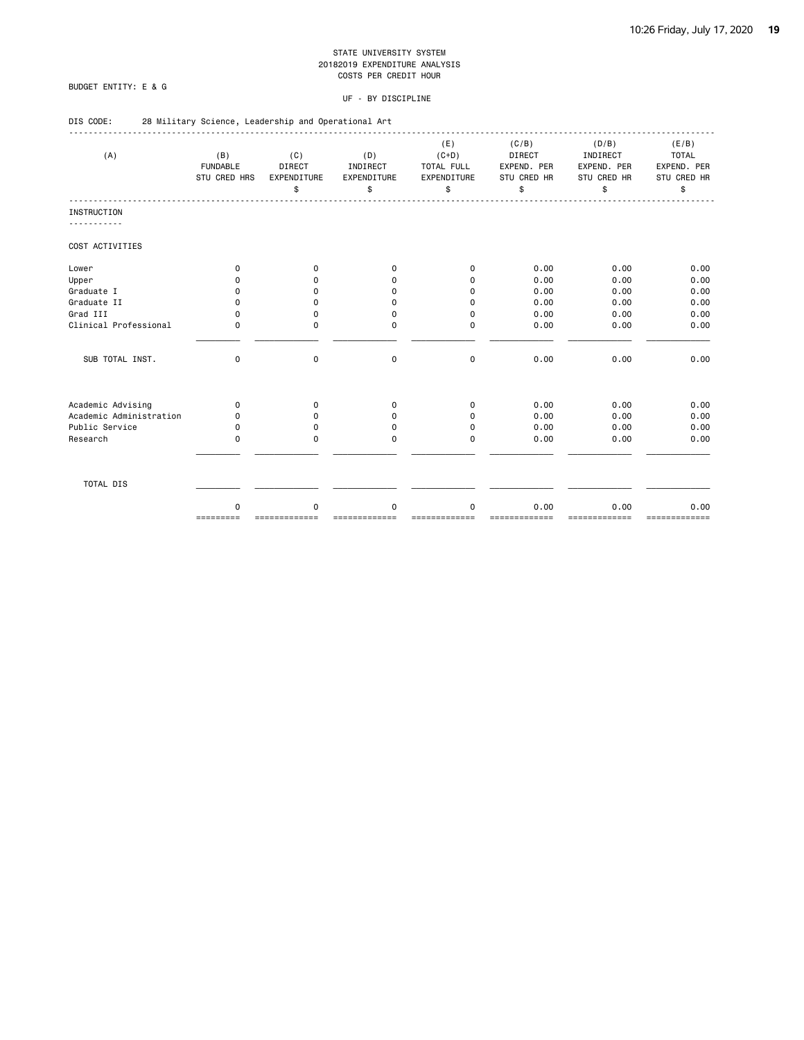### BUDGET ENTITY: E & G

DIS CODE: 28 Military Science, Leadership and Operational Art

#### UF - BY DISCIPLINE

| (A)                     | (B)<br><b>FUNDABLE</b><br><b>STU CRED HRS</b> | (C)<br>DIRECT<br><b>EXPENDITURE</b><br>\$ | (D)<br>INDIRECT<br><b>EXPENDITURE</b><br>\$ | (E)<br>$(C+D)$<br>TOTAL FULL<br>EXPENDITURE<br>\$ | (C/B)<br><b>DIRECT</b><br>EXPEND. PER<br>STU CRED HR<br>\$ | (D/B)<br>INDIRECT<br>EXPEND. PER<br>STU CRED HR<br>\$ | (E/B)<br><b>TOTAL</b><br>EXPEND. PER<br>STU CRED HR<br>\$ |
|-------------------------|-----------------------------------------------|-------------------------------------------|---------------------------------------------|---------------------------------------------------|------------------------------------------------------------|-------------------------------------------------------|-----------------------------------------------------------|
| <b>INSTRUCTION</b>      |                                               |                                           |                                             |                                                   |                                                            |                                                       |                                                           |
|                         |                                               |                                           |                                             |                                                   |                                                            |                                                       |                                                           |
| COST ACTIVITIES         |                                               |                                           |                                             |                                                   |                                                            |                                                       |                                                           |
| Lower                   | $\Omega$                                      | 0                                         | $\Omega$                                    | $\Omega$                                          | 0.00                                                       | 0.00                                                  | 0.00                                                      |
| Upper                   | 0                                             | 0                                         | $\Omega$                                    | $\Omega$                                          | 0.00                                                       | 0.00                                                  | 0.00                                                      |
| Graduate I              | 0                                             | 0                                         | $\Omega$                                    | $\Omega$                                          | 0.00                                                       | 0.00                                                  | 0.00                                                      |
| Graduate II             | 0                                             | $\mathbf 0$                               | $\mathbf 0$                                 | $\Omega$                                          | 0.00                                                       | 0.00                                                  | 0.00                                                      |
| Grad III                | $\Omega$                                      | 0                                         | $\Omega$                                    | $\Omega$                                          | 0.00                                                       | 0.00                                                  | 0.00                                                      |
| Clinical Professional   | $\Omega$                                      | $\Omega$                                  | 0                                           | $\Omega$                                          | 0.00                                                       | 0.00                                                  | 0.00                                                      |
| SUB TOTAL INST.         | $\mathbf 0$                                   | $\mathbf 0$                               | $\mathbf 0$                                 | $\mathbf 0$                                       | 0.00                                                       | 0.00                                                  | 0.00                                                      |
| Academic Advising       | $\mathbf 0$                                   | 0                                         | $\mathbf 0$                                 | $\mathbf 0$                                       | 0.00                                                       | 0.00                                                  | 0.00                                                      |
| Academic Administration | 0                                             | 0                                         | $\Omega$                                    | $\Omega$                                          | 0.00                                                       | 0.00                                                  | 0.00                                                      |
| Public Service          | $\Omega$                                      | 0                                         | $\Omega$                                    | $\Omega$                                          | 0.00                                                       | 0.00                                                  | 0.00                                                      |
| Research                | 0                                             | 0                                         | 0                                           | $\Omega$                                          | 0.00                                                       | 0.00                                                  | 0.00                                                      |
| TOTAL DIS               |                                               |                                           |                                             |                                                   |                                                            |                                                       |                                                           |
|                         | 0                                             | 0                                         | 0                                           | 0                                                 | 0.00                                                       | 0.00                                                  | 0.00                                                      |

========= ============= ============= ============= ============= ============= =============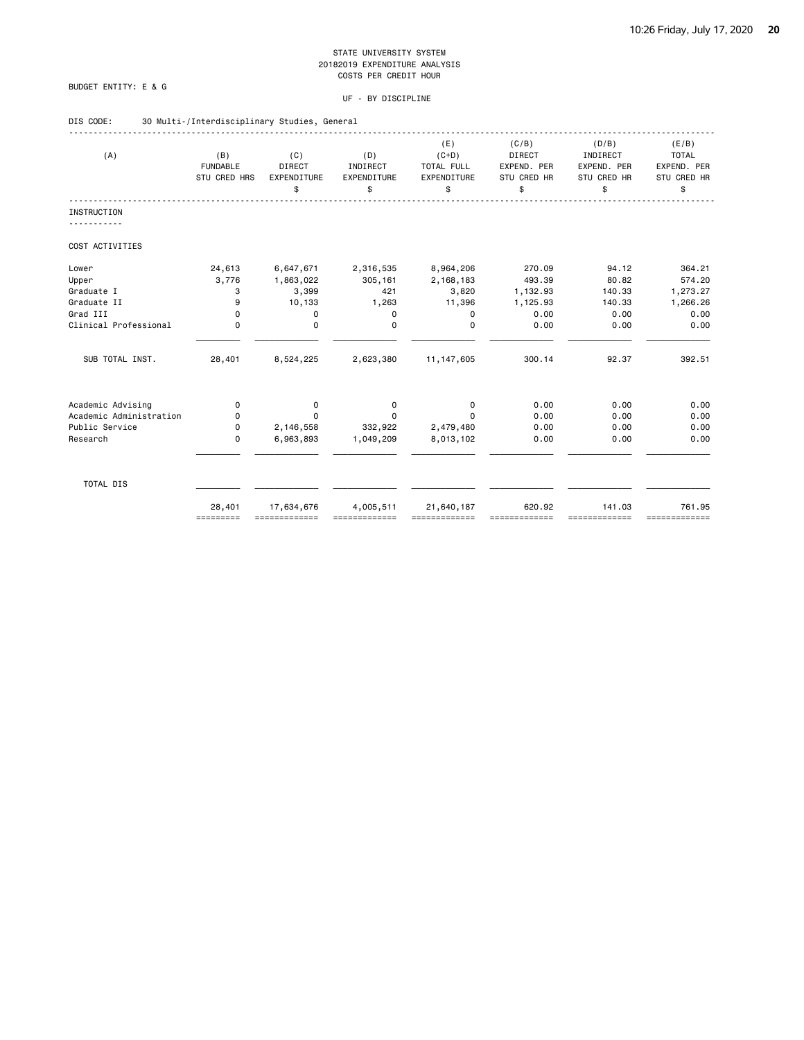### BUDGET ENTITY: E & G

| DIS CODE: |  |  |  |  |  | 30 Multi-/Interdisciplinary Studies, General |  |  |
|-----------|--|--|--|--|--|----------------------------------------------|--|--|
|-----------|--|--|--|--|--|----------------------------------------------|--|--|

| (A)                                          | (B)<br><b>FUNDABLE</b><br>STU CRED HRS | (C)<br>DIRECT<br>EXPENDITURE | (D)<br>INDIRECT<br>EXPENDITURE | (E)<br>$(C+D)$<br>TOTAL FULL<br>EXPENDITURE | (C/B)<br>DIRECT<br>EXPEND. PER<br>STU CRED HR | (D/B)<br>INDIRECT<br>EXPEND. PER<br>STU CRED HR | (E/B)<br><b>TOTAL</b><br>EXPEND. PER<br>STU CRED HR |
|----------------------------------------------|----------------------------------------|------------------------------|--------------------------------|---------------------------------------------|-----------------------------------------------|-------------------------------------------------|-----------------------------------------------------|
|                                              |                                        | \$                           | \$                             | \$                                          | \$                                            | \$                                              | \$                                                  |
| <b>INSTRUCTION</b><br><u>.</u>               |                                        |                              |                                |                                             |                                               |                                                 |                                                     |
| COST ACTIVITIES                              |                                        |                              |                                |                                             |                                               |                                                 |                                                     |
| Lower                                        | 24,613                                 | 6,647,671                    | 2,316,535                      | 8,964,206                                   | 270.09                                        | 94.12                                           | 364.21                                              |
| Upper                                        | 3,776                                  | 1,863,022                    | 305,161                        | 2,168,183                                   | 493.39                                        | 80.82                                           | 574.20                                              |
| Graduate I                                   | 3                                      | 3,399                        | 421                            | 3,820                                       | 1,132.93                                      | 140.33                                          | 1,273.27                                            |
| Graduate II                                  | 9                                      | 10,133                       | 1,263                          | 11,396                                      | 1,125.93                                      | 140.33                                          | 1,266.26                                            |
| Grad III                                     | $\mathbf 0$                            | 0                            | 0                              | 0                                           | 0.00                                          | 0.00                                            | 0.00                                                |
| Clinical Professional                        | $\Omega$                               | $\mathbf 0$                  | $\Omega$                       | $\Omega$                                    | 0.00                                          | 0.00                                            | 0.00                                                |
| SUB TOTAL INST.                              | 28,401                                 | 8,524,225                    | 2,623,380                      | 11, 147, 605                                | 300.14                                        | 92.37                                           | 392.51                                              |
|                                              |                                        |                              |                                |                                             | 0.00                                          | 0.00                                            | 0.00                                                |
| Academic Advising<br>Academic Administration | 0<br>$\Omega$                          | 0<br>$\Omega$                | 0<br>$\Omega$                  | 0<br>$\Omega$                               | 0.00                                          | 0.00                                            | 0.00                                                |
| Public Service                               | 0                                      | 2,146,558                    | 332,922                        | 2,479,480                                   | 0.00                                          | 0.00                                            | 0.00                                                |
| Research                                     | $\mathbf 0$                            | 6,963,893                    | 1,049,209                      | 8,013,102                                   | 0.00                                          | 0.00                                            | 0.00                                                |
|                                              |                                        |                              |                                |                                             |                                               |                                                 |                                                     |
| TOTAL DIS                                    |                                        |                              |                                |                                             |                                               |                                                 |                                                     |
|                                              | 28,401<br>=========                    | 17,634,676<br>=============  | 4,005,511                      | 21,640,187<br>=============                 | 620.92                                        | 141.03<br>=============                         | 761.95<br>=============                             |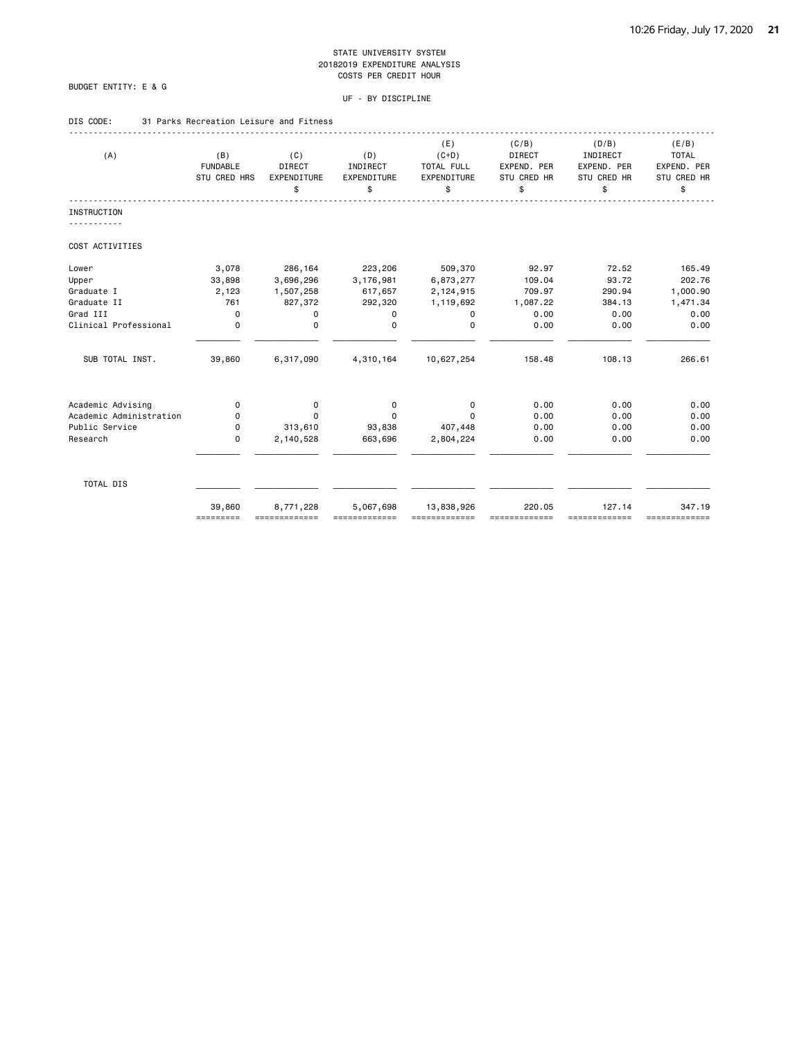### BUDGET ENTITY: E & G

### UF - BY DISCIPLINE

### DIS CODE: 31 Parks Recreation Leisure and Fitness

| (A)                                          | (B)<br><b>FUNDABLE</b><br>STU CRED HRS | (C)<br>DIRECT<br>EXPENDITURE | (D)<br>INDIRECT<br>EXPENDITURE | (E)<br>$(C+D)$<br>TOTAL FULL<br>EXPENDITURE | (C/B)<br>DIRECT<br>EXPEND. PER<br>STU CRED HR | (D/B)<br>INDIRECT<br>EXPEND. PER<br>STU CRED HR | (E/B)<br><b>TOTAL</b><br>EXPEND. PER<br>STU CRED HR |
|----------------------------------------------|----------------------------------------|------------------------------|--------------------------------|---------------------------------------------|-----------------------------------------------|-------------------------------------------------|-----------------------------------------------------|
|                                              |                                        | \$                           | \$                             | \$                                          | \$                                            | \$                                              | \$                                                  |
| <b>INSTRUCTION</b>                           |                                        |                              |                                |                                             |                                               |                                                 |                                                     |
| COST ACTIVITIES                              |                                        |                              |                                |                                             |                                               |                                                 |                                                     |
| Lower                                        | 3,078                                  | 286,164                      | 223,206                        | 509,370                                     | 92.97                                         | 72.52                                           | 165.49                                              |
| Upper                                        | 33,898                                 | 3,696,296                    | 3,176,981                      | 6,873,277                                   | 109.04                                        | 93.72                                           | 202.76                                              |
| Graduate I                                   | 2,123                                  | 1,507,258                    | 617,657                        | 2,124,915                                   | 709.97                                        | 290.94                                          | 1,000.90                                            |
| Graduate II                                  | 761                                    | 827,372                      | 292,320                        | 1,119,692                                   | 1,087.22                                      | 384.13                                          | 1,471.34                                            |
| Grad III                                     | $\mathbf 0$                            | 0                            | 0                              | 0                                           | 0.00                                          | 0.00                                            | 0.00                                                |
| Clinical Professional                        | $\mathbf 0$                            | $\mathbf 0$                  | $\Omega$                       | $\Omega$                                    | 0.00                                          | 0.00                                            | 0.00                                                |
| SUB TOTAL INST.                              | 39,860                                 | 6,317,090                    | 4,310,164                      | 10,627,254                                  | 158.48                                        | 108.13                                          | 266.61                                              |
|                                              |                                        |                              |                                |                                             | 0.00                                          | 0.00                                            | 0.00                                                |
| Academic Advising<br>Academic Administration | 0<br>0                                 | 0<br>$\Omega$                | 0<br>$\Omega$                  | 0<br>$\Omega$                               | 0.00                                          | 0.00                                            | 0.00                                                |
| Public Service                               | 0                                      | 313,610                      | 93,838                         | 407,448                                     | 0.00                                          | 0.00                                            | 0.00                                                |
| Research                                     | $\mathbf 0$                            | 2,140,528                    | 663,696                        | 2,804,224                                   | 0.00                                          | 0.00                                            | 0.00                                                |
|                                              |                                        |                              |                                |                                             |                                               |                                                 |                                                     |
| TOTAL DIS                                    |                                        |                              |                                |                                             |                                               |                                                 |                                                     |
|                                              | 39,860<br>=========                    | 8,771,228                    | 5,067,698                      | 13,838,926                                  | 220.05                                        | 127.14<br>==========                            | 347.19<br>=============                             |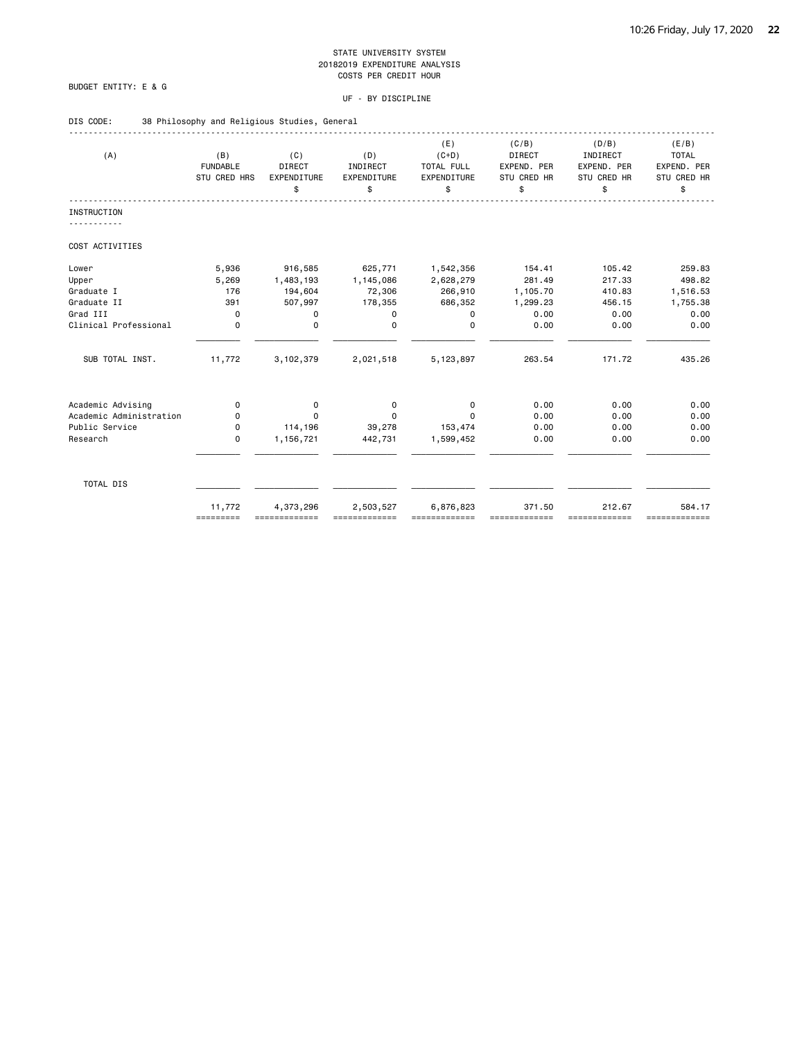### BUDGET ENTITY: E & G

| DIS CODE: | 38 Philosophy and Religious Studies, General |  |
|-----------|----------------------------------------------|--|
|-----------|----------------------------------------------|--|

| (A)                     | (B)<br><b>FUNDABLE</b><br>STU CRED HRS | (C)<br><b>DIRECT</b><br>EXPENDITURE<br>\$ | (D)<br>INDIRECT<br>EXPENDITURE<br>\$ | (E)<br>$(C+D)$<br>TOTAL FULL<br>EXPENDITURE<br>\$ | (C/B)<br><b>DIRECT</b><br>EXPEND. PER<br><b>STU CRED HR</b><br>\$ | (D/B)<br>INDIRECT<br>EXPEND. PER<br>STU CRED HR<br>\$ | (E/B)<br><b>TOTAL</b><br>EXPEND. PER<br>STU CRED HR<br>\$ |
|-------------------------|----------------------------------------|-------------------------------------------|--------------------------------------|---------------------------------------------------|-------------------------------------------------------------------|-------------------------------------------------------|-----------------------------------------------------------|
| <b>INSTRUCTION</b>      |                                        |                                           |                                      |                                                   |                                                                   |                                                       |                                                           |
| COST ACTIVITIES         |                                        |                                           |                                      |                                                   |                                                                   |                                                       |                                                           |
| Lower                   | 5,936                                  | 916,585                                   | 625,771                              | 1,542,356                                         | 154.41                                                            | 105.42                                                | 259.83                                                    |
| Upper                   | 5,269                                  | 1,483,193                                 | 1,145,086                            | 2,628,279                                         | 281.49                                                            | 217.33                                                | 498.82                                                    |
| Graduate I              | 176                                    | 194,604                                   | 72,306                               | 266,910                                           | 1,105.70                                                          | 410.83                                                | 1,516.53                                                  |
| Graduate II             | 391                                    | 507,997                                   | 178,355                              | 686,352                                           | 1,299.23                                                          | 456.15                                                | 1,755.38                                                  |
| Grad III                | $\mathbf 0$                            | 0                                         | 0                                    | 0                                                 | 0.00                                                              | 0.00                                                  | 0.00                                                      |
| Clinical Professional   | $\mathbf 0$                            | $\mathbf 0$                               | $\Omega$                             | $\Omega$                                          | 0.00                                                              | 0.00                                                  | 0.00                                                      |
| SUB TOTAL INST.         | 11,772                                 | 3,102,379                                 | 2,021,518                            | 5,123,897                                         | 263.54                                                            | 171.72                                                | 435.26                                                    |
| Academic Advising       | 0                                      | 0                                         | 0                                    | 0                                                 | 0.00                                                              | 0.00                                                  | 0.00                                                      |
| Academic Administration | 0                                      | $\Omega$                                  | 0                                    | $\Omega$                                          | 0.00                                                              | 0.00                                                  | 0.00                                                      |
| Public Service          | 0                                      | 114,196                                   | 39,278                               | 153,474                                           | 0.00                                                              | 0.00                                                  | 0.00                                                      |
| Research                | $\mathbf 0$                            | 1,156,721                                 | 442,731                              | 1,599,452                                         | 0.00                                                              | 0.00                                                  | 0.00                                                      |
| TOTAL DIS               |                                        |                                           |                                      |                                                   |                                                                   |                                                       |                                                           |
|                         | 11,772<br>=========                    | 4,373,296                                 | 2,503,527                            | 6,876,823                                         | 371.50                                                            | 212.67<br>==========                                  | 584.17<br>=============                                   |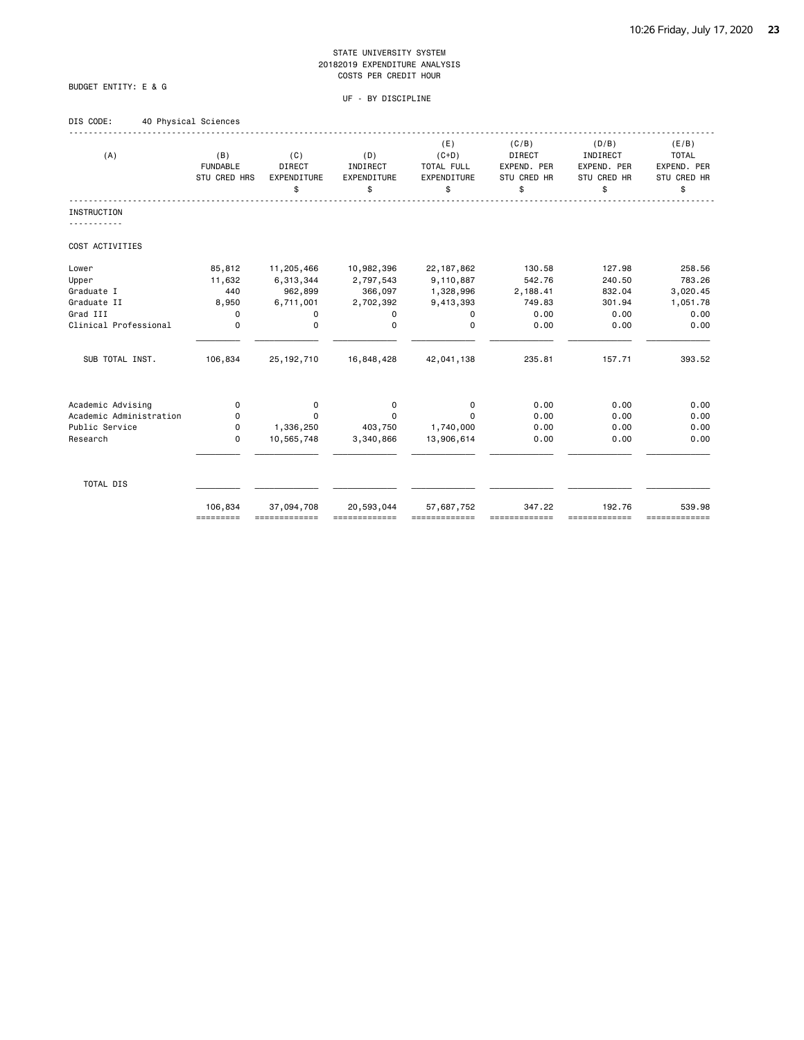### BUDGET ENTITY: E & G

| DIS CODE: | 40 Physical Sciences |
|-----------|----------------------|

| (A)                     | (B)<br><b>FUNDABLE</b><br>STU CRED HRS | (C)<br>DIRECT<br>EXPENDITURE | (D)<br>INDIRECT<br>EXPENDITURE | (E)<br>$(C+D)$<br>TOTAL FULL<br>EXPENDITURE | (C/B)<br>DIRECT<br>EXPEND. PER<br>STU CRED HR | (D/B)<br>INDIRECT<br>EXPEND. PER<br>STU CRED HR | (E/B)<br><b>TOTAL</b><br>EXPEND. PER<br>STU CRED HR |
|-------------------------|----------------------------------------|------------------------------|--------------------------------|---------------------------------------------|-----------------------------------------------|-------------------------------------------------|-----------------------------------------------------|
|                         |                                        | \$                           | \$                             | \$                                          | \$                                            | \$                                              | \$                                                  |
| <b>INSTRUCTION</b>      |                                        |                              |                                |                                             |                                               |                                                 |                                                     |
| COST ACTIVITIES         |                                        |                              |                                |                                             |                                               |                                                 |                                                     |
| Lower                   | 85,812                                 | 11,205,466                   | 10,982,396                     | 22, 187, 862                                | 130.58                                        | 127.98                                          | 258.56                                              |
| Upper                   | 11,632                                 | 6,313,344                    | 2,797,543                      | 9,110,887                                   | 542.76                                        | 240.50                                          | 783.26                                              |
| Graduate I              | 440                                    | 962,899                      | 366,097                        | 1,328,996                                   | 2,188.41                                      | 832.04                                          | 3,020.45                                            |
| Graduate II             | 8,950                                  | 6,711,001                    | 2,702,392                      | 9,413,393                                   | 749.83                                        | 301.94                                          | 1,051.78                                            |
| Grad III                | 0                                      | 0                            | 0                              | 0                                           | 0.00                                          | 0.00                                            | 0.00                                                |
| Clinical Professional   | $\Omega$                               | $\mathbf 0$                  | 0                              | $\Omega$                                    | 0.00                                          | 0.00                                            | 0.00                                                |
| SUB TOTAL INST.         | 106,834                                | 25, 192, 710                 | 16,848,428                     | 42,041,138                                  | 235.81                                        | 157.71                                          | 393.52                                              |
| Academic Advising       | 0                                      | 0                            | 0                              | 0                                           | 0.00                                          | 0.00                                            | 0.00                                                |
| Academic Administration | $\Omega$                               | $\Omega$                     | $\Omega$                       | $\Omega$                                    | 0.00                                          | 0.00                                            | 0.00                                                |
| Public Service          | 0                                      | 1,336,250                    | 403,750                        | 1,740,000                                   | 0.00                                          | 0.00                                            | 0.00                                                |
| Research                | $\Omega$                               | 10,565,748                   | 3,340,866                      | 13,906,614                                  | 0.00                                          | 0.00                                            | 0.00                                                |
| TOTAL DIS               |                                        |                              |                                |                                             |                                               |                                                 |                                                     |
|                         | 106,834<br>=========                   | 37,094,708                   | 20,593,044                     | 57,687,752                                  | 347.22                                        | 192.76<br>==========                            | 539.98<br>=============                             |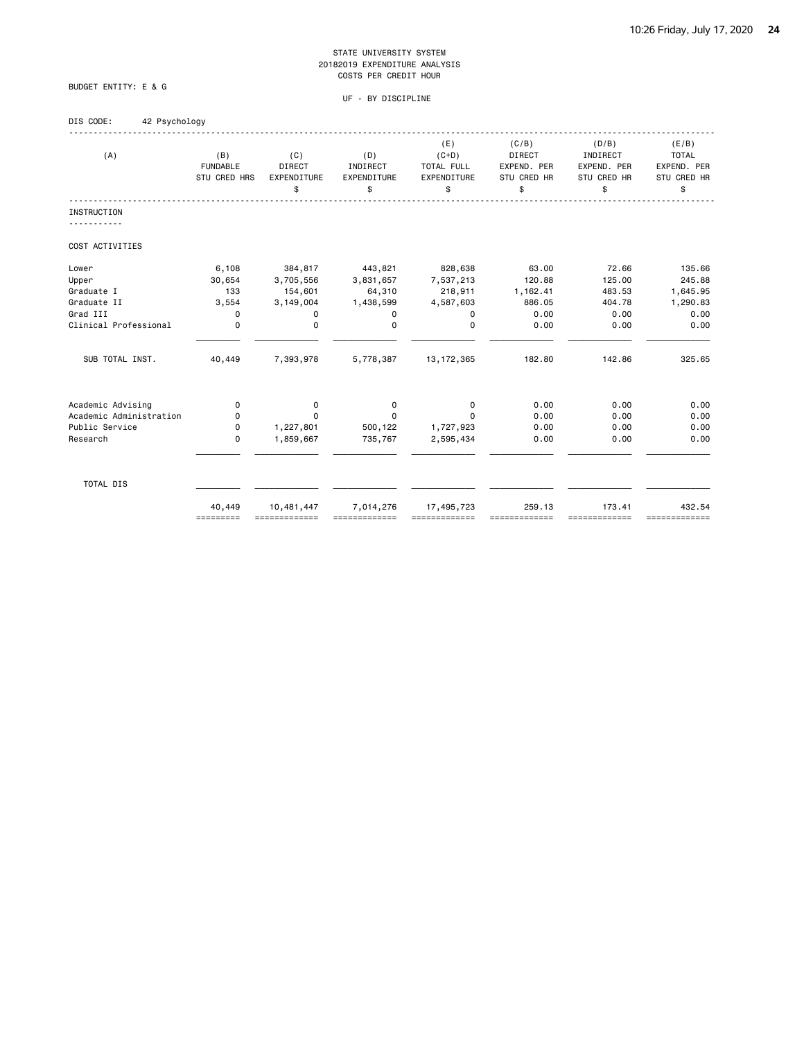UF - BY DISCIPLINE

## DIS CODE: 42 Psychology

BUDGET ENTITY: E & G

| (A)                     | (B)<br><b>FUNDABLE</b><br><b>STU CRED HRS</b> | (C)<br>DIRECT<br><b>EXPENDITURE</b><br>\$ | (D)<br>INDIRECT<br><b>EXPENDITURE</b><br>\$ | (E)<br>$(C+D)$<br>TOTAL FULL<br>EXPENDITURE<br>\$ | (C/B)<br><b>DIRECT</b><br>EXPEND. PER<br>STU CRED HR<br>\$ | (D/B)<br>INDIRECT<br>EXPEND. PER<br><b>STU CRED HR</b><br>\$ | (E/B)<br><b>TOTAL</b><br>EXPEND. PER<br><b>STU CRED HR</b><br>\$ |
|-------------------------|-----------------------------------------------|-------------------------------------------|---------------------------------------------|---------------------------------------------------|------------------------------------------------------------|--------------------------------------------------------------|------------------------------------------------------------------|
| <b>INSTRUCTION</b>      |                                               |                                           |                                             |                                                   |                                                            |                                                              |                                                                  |
|                         |                                               |                                           |                                             |                                                   |                                                            |                                                              |                                                                  |
| COST ACTIVITIES         |                                               |                                           |                                             |                                                   |                                                            |                                                              |                                                                  |
| Lower                   | 6,108                                         | 384,817                                   | 443,821                                     | 828,638                                           | 63,00                                                      | 72.66                                                        | 135.66                                                           |
| Upper                   | 30,654                                        | 3,705,556                                 | 3,831,657                                   | 7,537,213                                         | 120.88                                                     | 125.00                                                       | 245.88                                                           |
| Graduate I              | 133                                           | 154,601                                   | 64,310                                      | 218,911                                           | 1,162.41                                                   | 483.53                                                       | 1,645.95                                                         |
| Graduate II             | 3,554                                         | 3,149,004                                 | 1,438,599                                   | 4,587,603                                         | 886.05                                                     | 404.78                                                       | 1,290.83                                                         |
| Grad III                | $\Omega$                                      | $\Omega$                                  | $\Omega$                                    | $\Omega$                                          | 0.00                                                       | 0.00                                                         | 0.00                                                             |
| Clinical Professional   | 0                                             | 0                                         | 0                                           | 0                                                 | 0.00                                                       | 0.00                                                         | 0.00                                                             |
| SUB TOTAL INST.         | 40,449                                        | 7,393,978                                 | 5,778,387                                   | 13, 172, 365                                      | 182.80                                                     | 142.86                                                       | 325.65                                                           |
| Academic Advising       | 0                                             | $\mathbf 0$                               | 0                                           | 0                                                 | 0.00                                                       | 0.00                                                         | 0.00                                                             |
| Academic Administration | 0                                             | $\Omega$                                  | 0                                           | $\Omega$                                          | 0.00                                                       | 0.00                                                         | 0.00                                                             |
| Public Service          | 0                                             | 1,227,801                                 | 500,122                                     | 1,727,923                                         | 0.00                                                       | 0.00                                                         | 0.00                                                             |
| Research                | 0                                             | 1,859,667                                 | 735,767                                     | 2,595,434                                         | 0.00                                                       | 0.00                                                         | 0.00                                                             |
| TOTAL DIS               |                                               |                                           |                                             |                                                   |                                                            |                                                              |                                                                  |

 40,449 10,481,447 7,014,276 17,495,723 259.13 173.41 432.54 ========= ============= ============= ============= ============= ============= =============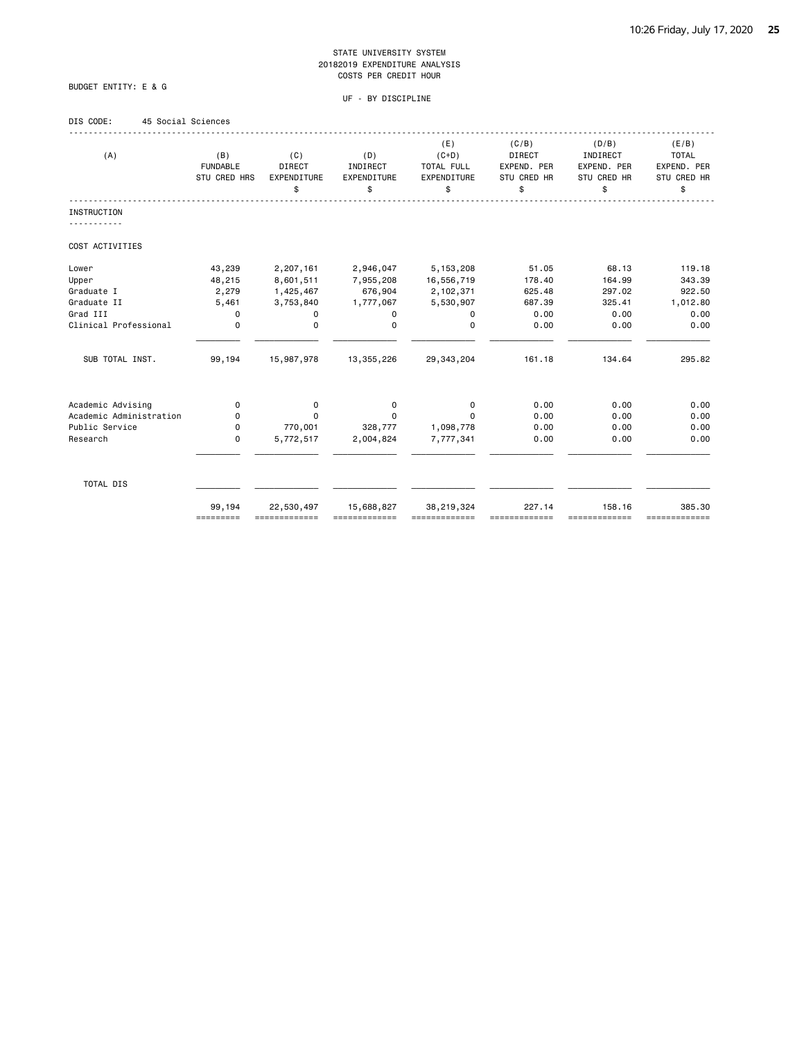### BUDGET ENTITY: E & G

| DIS CODE: |  | 45 Social Sciences |
|-----------|--|--------------------|
|           |  |                    |

| (A)                     | (B)<br><b>FUNDABLE</b><br>STU CRED HRS | (C)<br>DIRECT<br>EXPENDITURE<br>\$ | (D)<br>INDIRECT<br>EXPENDITURE<br>\$ | (E)<br>$(C+D)$<br>TOTAL FULL<br>EXPENDITURE<br>\$ | (C/B)<br>DIRECT<br>EXPEND. PER<br>STU CRED HR<br>\$ | (D/B)<br>INDIRECT<br>EXPEND. PER<br>STU CRED HR<br>\$ | (E/B)<br><b>TOTAL</b><br>EXPEND. PER<br>STU CRED HR<br>\$ |
|-------------------------|----------------------------------------|------------------------------------|--------------------------------------|---------------------------------------------------|-----------------------------------------------------|-------------------------------------------------------|-----------------------------------------------------------|
| <b>INSTRUCTION</b>      |                                        |                                    |                                      |                                                   |                                                     |                                                       |                                                           |
|                         |                                        |                                    |                                      |                                                   |                                                     |                                                       |                                                           |
| COST ACTIVITIES         |                                        |                                    |                                      |                                                   |                                                     |                                                       |                                                           |
| Lower                   | 43,239                                 | 2,207,161                          | 2,946,047                            | 5, 153, 208                                       | 51.05                                               | 68.13                                                 | 119.18                                                    |
| Upper                   | 48,215                                 | 8,601,511                          | 7,955,208                            | 16,556,719                                        | 178.40                                              | 164.99                                                | 343.39                                                    |
| Graduate I              | 2,279                                  | 1,425,467                          | 676,904                              | 2,102,371                                         | 625.48                                              | 297.02                                                | 922.50                                                    |
| Graduate II             | 5,461                                  | 3,753,840                          | 1,777,067                            | 5,530,907                                         | 687.39                                              | 325.41                                                | 1,012.80                                                  |
| Grad III                | 0                                      | 0                                  | 0                                    | 0                                                 | 0.00                                                | 0.00                                                  | 0.00                                                      |
| Clinical Professional   | $\mathbf 0$                            | $\mathbf 0$                        | $\mathbf 0$                          | $\mathbf 0$                                       | 0.00                                                | 0.00                                                  | 0.00                                                      |
| SUB TOTAL INST.         | 99,194                                 | 15,987,978                         | 13,355,226                           | 29, 343, 204                                      | 161.18                                              | 134.64                                                | 295.82                                                    |
| Academic Advising       | $\mathbf 0$                            | $\mathbf 0$                        | 0                                    | 0                                                 | 0.00                                                | 0.00                                                  | 0.00                                                      |
| Academic Administration | 0                                      | $\Omega$                           | 0                                    | $\Omega$                                          | 0.00                                                | 0.00                                                  | 0.00                                                      |
| Public Service          | 0                                      | 770,001                            | 328,777                              | 1,098,778                                         | 0.00                                                | 0.00                                                  | 0.00                                                      |
| Research                | $\mathbf 0$                            | 5,772,517                          | 2,004,824                            | 7,777,341                                         | 0.00                                                | 0.00                                                  | 0.00                                                      |
| TOTAL DIS               |                                        |                                    |                                      |                                                   |                                                     |                                                       |                                                           |
|                         | 99,194<br>=========                    | 22,530,497                         | 15,688,827                           | 38,219,324                                        | 227.14                                              | 158.16<br>-------------                               | 385.30<br>=============                                   |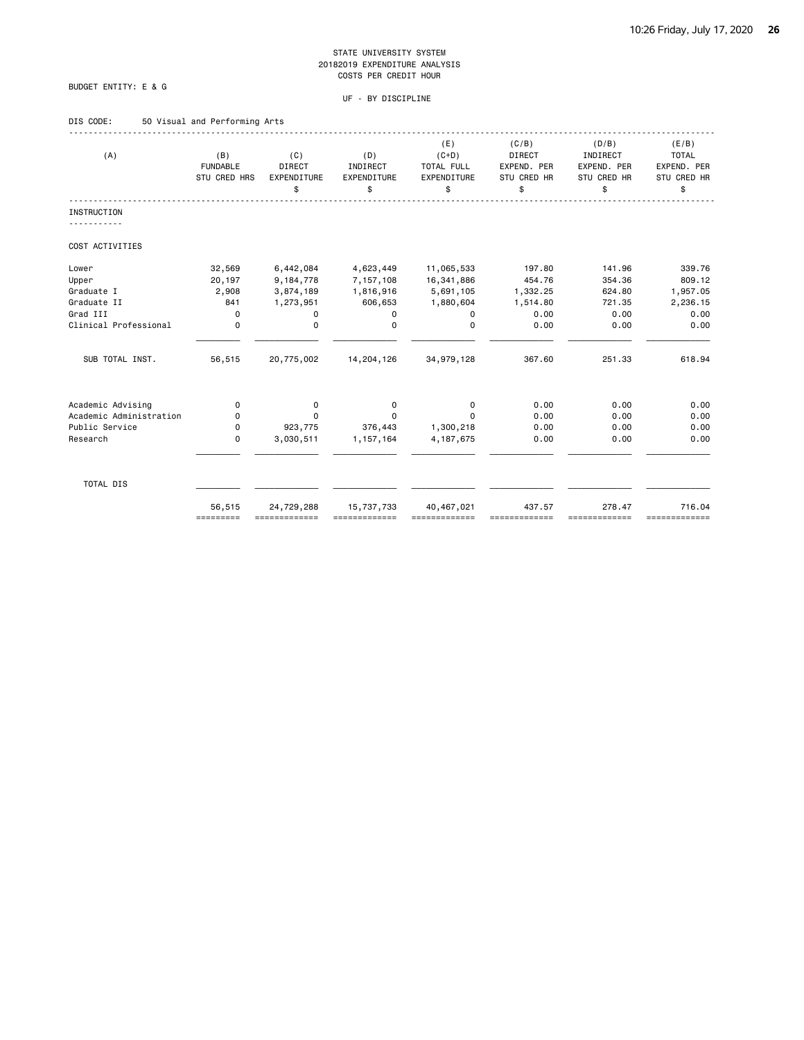### BUDGET ENTITY: E & G

#### UF - BY DISCIPLINE

### DIS CODE: 50 Visual and Performing Arts

| (A)                     | (B)<br><b>FUNDABLE</b><br>STU CRED HRS | (C)<br><b>DIRECT</b><br>EXPENDITURE<br>\$ | (D)<br>INDIRECT<br>EXPENDITURE<br>\$ | (E)<br>$(C+D)$<br>TOTAL FULL<br>EXPENDITURE<br>\$ | (C/B)<br><b>DIRECT</b><br>EXPEND. PER<br>STU CRED HR<br>\$ | (D/B)<br>INDIRECT<br>EXPEND. PER<br>STU CRED HR<br>\$ | (E/B)<br><b>TOTAL</b><br>EXPEND. PER<br>STU CRED HR<br>\$ |
|-------------------------|----------------------------------------|-------------------------------------------|--------------------------------------|---------------------------------------------------|------------------------------------------------------------|-------------------------------------------------------|-----------------------------------------------------------|
| <b>INSTRUCTION</b>      |                                        |                                           |                                      |                                                   |                                                            |                                                       |                                                           |
|                         |                                        |                                           |                                      |                                                   |                                                            |                                                       |                                                           |
| COST ACTIVITIES         |                                        |                                           |                                      |                                                   |                                                            |                                                       |                                                           |
| Lower                   | 32,569                                 | 6,442,084                                 | 4,623,449                            | 11,065,533                                        | 197.80                                                     | 141.96                                                | 339.76                                                    |
| Upper                   | 20,197                                 | 9,184,778                                 | 7,157,108                            | 16,341,886                                        | 454.76                                                     | 354.36                                                | 809.12                                                    |
| Graduate I              | 2,908                                  | 3,874,189                                 | 1,816,916                            | 5,691,105                                         | 1,332.25                                                   | 624.80                                                | 1,957.05                                                  |
| Graduate II             | 841                                    | 1,273,951                                 | 606,653                              | 1,880,604                                         | 1,514.80                                                   | 721.35                                                | 2,236.15                                                  |
| Grad III                | $\Omega$                               | 0                                         | 0                                    | $\Omega$                                          | 0.00                                                       | 0.00                                                  | 0.00                                                      |
| Clinical Professional   | $\mathbf 0$                            | $\mathbf 0$                               | $\mathbf 0$                          | $\mathbf 0$                                       | 0.00                                                       | 0.00                                                  | 0.00                                                      |
| SUB TOTAL INST.         | 56,515                                 | 20,775,002                                | 14,204,126                           | 34,979,128                                        | 367.60                                                     | 251.33                                                | 618.94                                                    |
| Academic Advising       | 0                                      | 0                                         | 0                                    | 0                                                 | 0.00                                                       | 0.00                                                  | 0.00                                                      |
| Academic Administration | 0                                      | $\Omega$                                  | 0                                    | $\Omega$                                          | 0.00                                                       | 0.00                                                  | 0.00                                                      |
| Public Service          | 0                                      | 923,775                                   | 376,443                              | 1,300,218                                         | 0.00                                                       | 0.00                                                  | 0.00                                                      |
| Research                | $\mathbf 0$                            | 3,030,511                                 | 1,157,164                            | 4, 187, 675                                       | 0.00                                                       | 0.00                                                  | 0.00                                                      |
| TOTAL DIS               |                                        |                                           |                                      |                                                   |                                                            |                                                       |                                                           |
|                         | 56,515<br>=========                    | 24,729,288                                | 15,737,733                           | 40,467,021                                        | 437.57                                                     | 278.47<br>==========                                  | 716.04<br>=============                                   |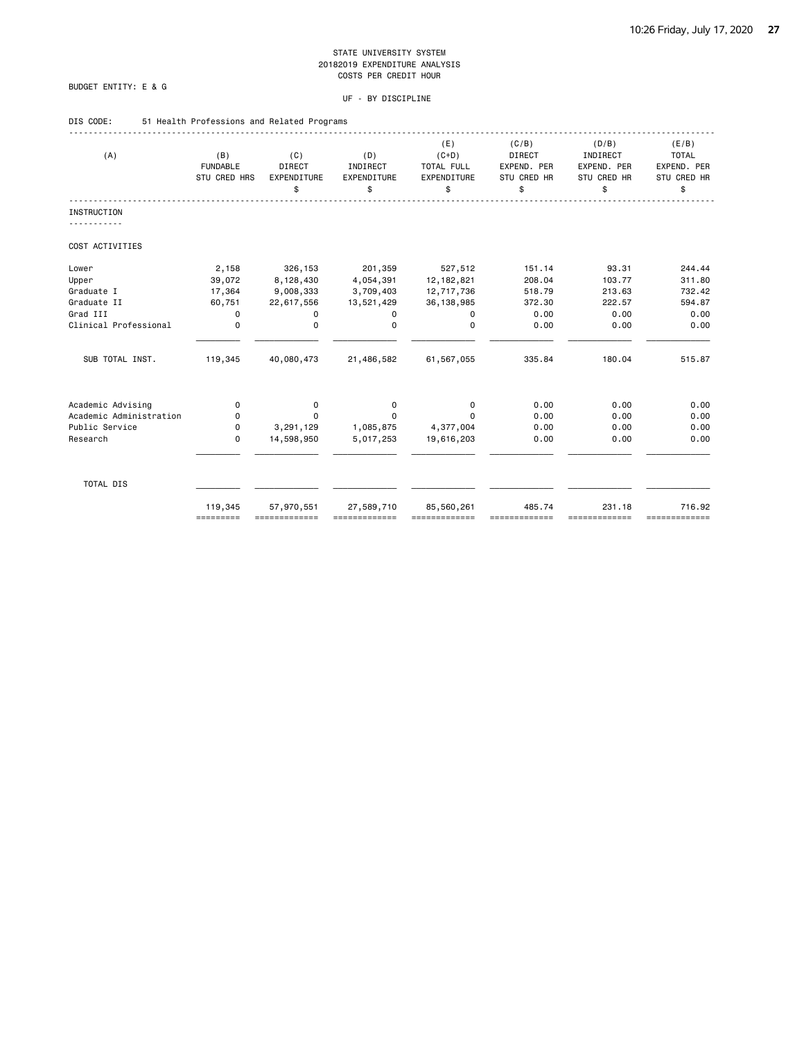### BUDGET ENTITY: E & G

### UF - BY DISCIPLINE

### DIS CODE: 51 Health Professions and Related Programs

| (A)                     | (B)                             | (C)                                | (D)                           | (E)<br>$(C+D)$                  | (C/B)<br>DIRECT                         | (D/B)<br>INDIRECT                | (E/B)<br><b>TOTAL</b>            |
|-------------------------|---------------------------------|------------------------------------|-------------------------------|---------------------------------|-----------------------------------------|----------------------------------|----------------------------------|
|                         | <b>FUNDABLE</b><br>STU CRED HRS | <b>DIRECT</b><br>EXPENDITURE<br>\$ | INDIRECT<br>EXPENDITURE<br>\$ | TOTAL FULL<br>EXPENDITURE<br>\$ | EXPEND. PER<br><b>STU CRED HR</b><br>\$ | EXPEND. PER<br>STU CRED HR<br>\$ | EXPEND. PER<br>STU CRED HR<br>\$ |
|                         |                                 |                                    |                               |                                 |                                         |                                  |                                  |
| <b>INSTRUCTION</b>      |                                 |                                    |                               |                                 |                                         |                                  |                                  |
| COST ACTIVITIES         |                                 |                                    |                               |                                 |                                         |                                  |                                  |
| Lower                   | 2,158                           | 326,153                            | 201,359                       | 527,512                         | 151.14                                  | 93.31                            | 244.44                           |
| Upper                   | 39,072                          | 8,128,430                          | 4,054,391                     | 12, 182, 821                    | 208.04                                  | 103.77                           | 311.80                           |
| Graduate I              | 17,364                          | 9,008,333                          | 3,709,403                     | 12,717,736                      | 518.79                                  | 213.63                           | 732.42                           |
| Graduate II             | 60,751                          | 22,617,556                         | 13,521,429                    | 36, 138, 985                    | 372.30                                  | 222.57                           | 594.87                           |
| Grad III                | 0                               | 0                                  | 0                             | 0                               | 0.00                                    | 0.00                             | 0.00                             |
| Clinical Professional   | $\mathbf 0$                     | 0                                  | $\Omega$                      | $\Omega$                        | 0.00                                    | 0.00                             | 0.00                             |
| SUB TOTAL INST.         | 119,345                         | 40,080,473                         | 21,486,582                    | 61,567,055                      | 335.84                                  | 180.04                           | 515.87                           |
| Academic Advising       | 0                               | 0                                  | 0                             | 0                               | 0.00                                    | 0.00                             | 0.00                             |
| Academic Administration | 0                               | 0                                  | $\Omega$                      | $\Omega$                        | 0.00                                    | 0.00                             | 0.00                             |
| Public Service          | 0                               | 3,291,129                          | 1,085,875                     | 4,377,004                       | 0.00                                    | 0.00                             | 0.00                             |
| Research                | $\Omega$                        | 14,598,950                         | 5,017,253                     | 19,616,203                      | 0.00                                    | 0.00                             | 0.00                             |
| TOTAL DIS               |                                 |                                    |                               |                                 |                                         |                                  |                                  |
|                         | 119,345<br>=========            | 57,970,551                         | 27,589,710                    | 85,560,261                      | 485.74                                  | 231.18<br>-------------          | 716.92<br>=============          |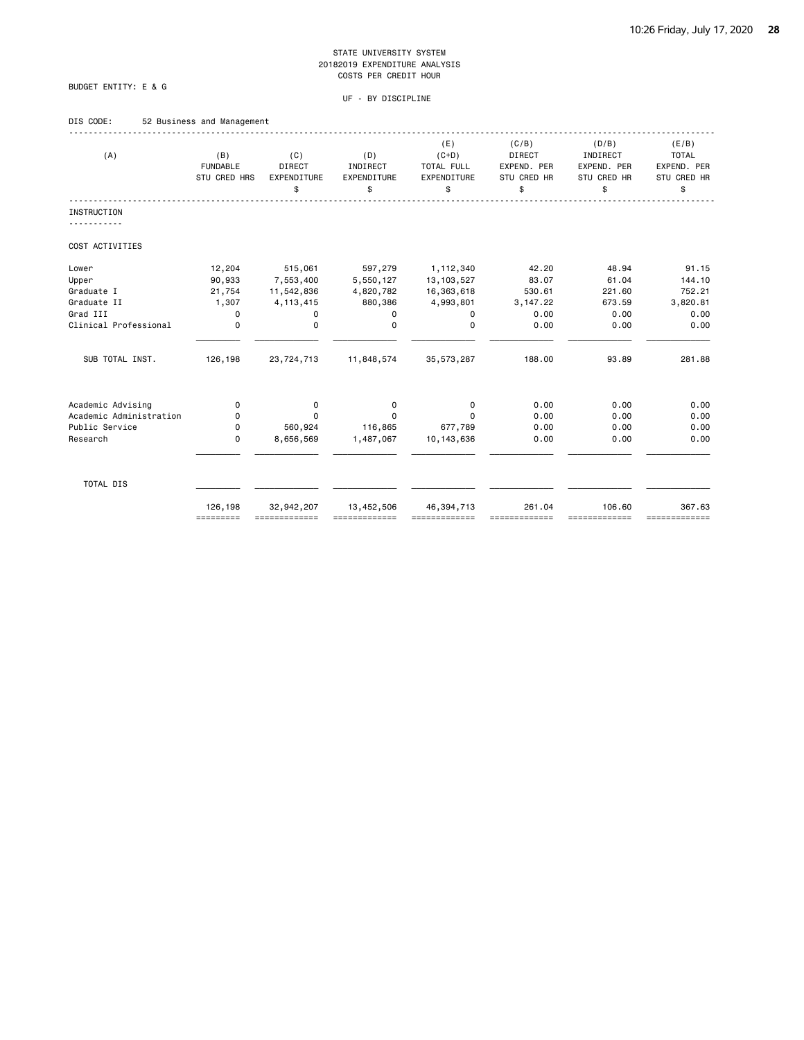### BUDGET ENTITY: E & G

| DIS CODE: |  | 52 Business and Management |  |
|-----------|--|----------------------------|--|
|           |  |                            |  |

| (A)                     | (B)<br><b>FUNDABLE</b><br>STU CRED HRS | (C)<br><b>DIRECT</b><br>EXPENDITURE<br>\$ | (D)<br>INDIRECT<br>EXPENDITURE<br>\$ | (E)<br>$(C+D)$<br><b>TOTAL FULL</b><br>EXPENDITURE<br>\$ | (C/B)<br><b>DIRECT</b><br>EXPEND. PER<br>STU CRED HR<br>\$ | (D/B)<br>INDIRECT<br>EXPEND. PER<br>STU CRED HR<br>\$ | (E/B)<br><b>TOTAL</b><br>EXPEND. PER<br>STU CRED HR<br>\$ |
|-------------------------|----------------------------------------|-------------------------------------------|--------------------------------------|----------------------------------------------------------|------------------------------------------------------------|-------------------------------------------------------|-----------------------------------------------------------|
| <b>INSTRUCTION</b>      |                                        |                                           |                                      |                                                          |                                                            |                                                       |                                                           |
|                         |                                        |                                           |                                      |                                                          |                                                            |                                                       |                                                           |
| COST ACTIVITIES         |                                        |                                           |                                      |                                                          |                                                            |                                                       |                                                           |
| Lower                   | 12,204                                 | 515,061                                   | 597,279                              | 1,112,340                                                | 42.20                                                      | 48.94                                                 | 91.15                                                     |
| Upper                   | 90,933                                 | 7,553,400                                 | 5,550,127                            | 13, 103, 527                                             | 83.07                                                      | 61.04                                                 | 144.10                                                    |
| Graduate I              | 21,754                                 | 11,542,836                                | 4,820,782                            | 16,363,618                                               | 530.61                                                     | 221.60                                                | 752.21                                                    |
| Graduate II             | 1,307                                  | 4, 113, 415                               | 880,386                              | 4,993,801                                                | 3,147.22                                                   | 673.59                                                | 3,820.81                                                  |
| Grad III                | 0                                      | 0                                         | 0                                    | 0                                                        | 0.00                                                       | 0.00                                                  | 0.00                                                      |
| Clinical Professional   | $\mathbf 0$                            | $\mathbf 0$                               | $\mathbf 0$                          | $\mathbf 0$                                              | 0.00                                                       | 0.00                                                  | 0.00                                                      |
| SUB TOTAL INST.         | 126,198                                | 23,724,713                                | 11,848,574                           | 35, 573, 287                                             | 188.00                                                     | 93.89                                                 | 281.88                                                    |
| Academic Advising       | 0                                      | 0                                         | $\mathbf 0$                          | 0                                                        | 0.00                                                       | 0.00                                                  | 0.00                                                      |
| Academic Administration | 0                                      | 0                                         | $\Omega$                             | $\Omega$                                                 | 0.00                                                       | 0.00                                                  | 0.00                                                      |
| Public Service          | 0                                      | 560,924                                   | 116,865                              | 677,789                                                  | 0.00                                                       | 0.00                                                  | 0.00                                                      |
| Research                | $\mathbf 0$                            | 8,656,569                                 | 1,487,067                            | 10, 143, 636                                             | 0.00                                                       | 0.00                                                  | 0.00                                                      |
| TOTAL DIS               |                                        |                                           |                                      |                                                          |                                                            |                                                       |                                                           |
|                         | 126,198<br>=========                   | 32,942,207                                | 13,452,506                           | 46, 394, 713                                             | 261.04                                                     | 106.60<br>==========                                  | 367.63<br>=============                                   |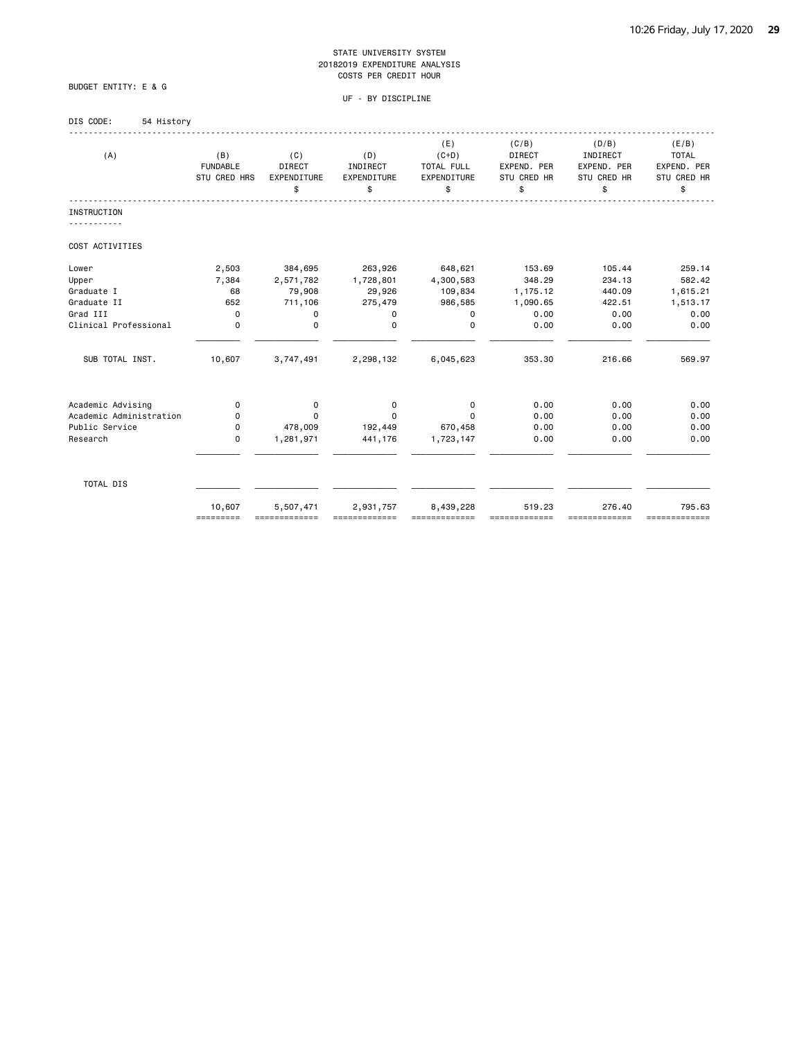BUDGET ENTITY: E & G

### UF - BY DISCIPLINE

### DIS CODE: 54 History

| (A)                     | (B)<br><b>FUNDABLE</b><br>STU CRED HRS | (C)<br><b>DIRECT</b><br>EXPENDITURE<br>\$ | (D)<br>INDIRECT<br>EXPENDITURE<br>\$ | (E)<br>$(C+D)$<br>TOTAL FULL<br>EXPENDITURE<br>\$ | (C/B)<br>DIRECT<br>EXPEND. PER<br><b>STU CRED HR</b><br>\$ | (D/B)<br>INDIRECT<br>EXPEND. PER<br>STU CRED HR<br>\$ | (E/B)<br><b>TOTAL</b><br>EXPEND. PER<br>STU CRED HR<br>\$ |
|-------------------------|----------------------------------------|-------------------------------------------|--------------------------------------|---------------------------------------------------|------------------------------------------------------------|-------------------------------------------------------|-----------------------------------------------------------|
| <b>INSTRUCTION</b>      |                                        |                                           |                                      |                                                   |                                                            |                                                       |                                                           |
| COST ACTIVITIES         |                                        |                                           |                                      |                                                   |                                                            |                                                       |                                                           |
| Lower                   | 2,503                                  | 384,695                                   | 263,926                              | 648,621                                           | 153.69                                                     | 105.44                                                | 259.14                                                    |
| Upper                   | 7,384                                  | 2,571,782                                 | 1,728,801                            | 4,300,583                                         | 348.29                                                     | 234.13                                                | 582.42                                                    |
| Graduate I              | 68                                     | 79,908                                    | 29,926                               | 109,834                                           | 1,175.12                                                   | 440.09                                                | 1,615.21                                                  |
| Graduate II             | 652                                    | 711,106                                   | 275,479                              | 986,585                                           | 1,090.65                                                   | 422.51                                                | 1,513.17                                                  |
| Grad III                | $\mathbf 0$                            | 0                                         | 0                                    | 0                                                 | 0.00                                                       | 0.00                                                  | 0.00                                                      |
| Clinical Professional   | $\mathbf 0$                            | $\mathbf 0$                               | $\Omega$                             | 0                                                 | 0.00                                                       | 0.00                                                  | 0.00                                                      |
| SUB TOTAL INST.         | 10,607                                 | 3,747,491                                 | 2,298,132                            | 6,045,623                                         | 353.30                                                     | 216.66                                                | 569.97                                                    |
| Academic Advising       | 0                                      | 0                                         | 0                                    | $\mathbf 0$                                       | 0.00                                                       | 0.00                                                  | 0.00                                                      |
| Academic Administration | 0                                      | $\Omega$                                  | $\Omega$                             | $\Omega$                                          | 0.00                                                       | 0.00                                                  | 0.00                                                      |
| Public Service          | 0                                      | 478,009                                   | 192,449                              | 670,458                                           | 0.00                                                       | 0.00                                                  | 0.00                                                      |
| Research                | 0                                      | 1,281,971                                 | 441,176                              | 1,723,147                                         | 0.00                                                       | 0.00                                                  | 0.00                                                      |
| TOTAL DIS               |                                        |                                           |                                      |                                                   |                                                            |                                                       |                                                           |
|                         | 10,607<br>=========                    | 5,507,471                                 | 2,931,757                            | 8,439,228                                         | 519.23                                                     | 276.40<br>-------------                               | 795.63<br>=============                                   |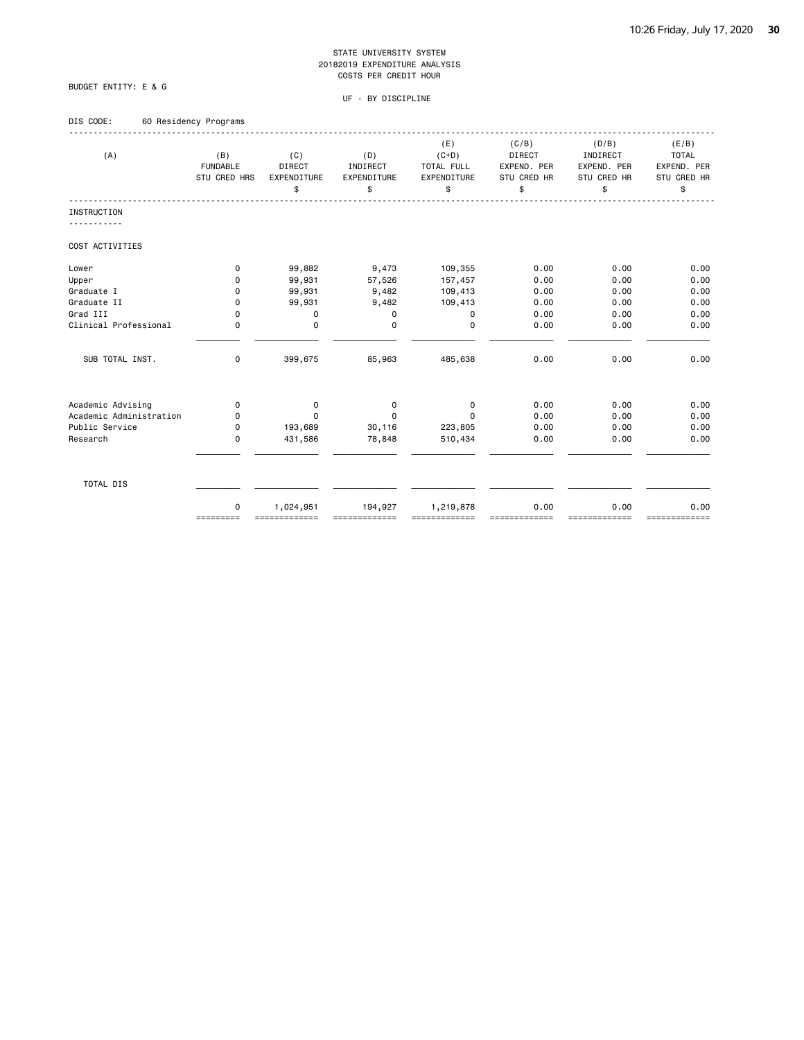### BUDGET ENTITY: E & G

| DIS CODE: | 60 Residency Programs |  |
|-----------|-----------------------|--|
|           |                       |  |

| (A)                     | (B)<br><b>FUNDABLE</b><br>STU CRED HRS | (C)<br><b>DIRECT</b><br>EXPENDITURE<br>\$ | (D)<br>INDIRECT<br>EXPENDITURE<br>\$ | (E)<br>$(C+D)$<br>TOTAL FULL<br>EXPENDITURE<br>\$ | (C/B)<br><b>DIRECT</b><br>EXPEND. PER<br>STU CRED HR<br>\$ | (D/B)<br>INDIRECT<br>EXPEND. PER<br>STU CRED HR<br>\$ | (E/B)<br><b>TOTAL</b><br>EXPEND. PER<br>STU CRED HR<br>\$ |
|-------------------------|----------------------------------------|-------------------------------------------|--------------------------------------|---------------------------------------------------|------------------------------------------------------------|-------------------------------------------------------|-----------------------------------------------------------|
| <b>INSTRUCTION</b>      |                                        |                                           |                                      |                                                   |                                                            |                                                       |                                                           |
|                         |                                        |                                           |                                      |                                                   |                                                            |                                                       |                                                           |
| COST ACTIVITIES         |                                        |                                           |                                      |                                                   |                                                            |                                                       |                                                           |
| Lower                   | $\mathbf 0$                            | 99,882                                    | 9,473                                | 109,355                                           | 0.00                                                       | 0.00                                                  | 0.00                                                      |
| Upper                   | 0                                      | 99,931                                    | 57,526                               | 157,457                                           | 0.00                                                       | 0.00                                                  | 0.00                                                      |
| Graduate I              | 0                                      | 99,931                                    | 9,482                                | 109,413                                           | 0.00                                                       | 0.00                                                  | 0.00                                                      |
| Graduate II             | 0                                      | 99,931                                    | 9,482                                | 109,413                                           | 0.00                                                       | 0.00                                                  | 0.00                                                      |
| Grad III                | 0                                      | $\mathbf 0$                               | $\mathbf 0$                          | 0                                                 | 0.00                                                       | 0.00                                                  | 0.00                                                      |
| Clinical Professional   | 0                                      | $\mathbf 0$                               | $\mathbf 0$                          | $\mathbf 0$                                       | 0.00                                                       | 0.00                                                  | 0.00                                                      |
| SUB TOTAL INST.         | 0                                      | 399,675                                   | 85,963                               | 485,638                                           | 0.00                                                       | 0.00                                                  | 0.00                                                      |
| Academic Advising       | $\Omega$                               | 0                                         | 0                                    | 0                                                 | 0.00                                                       | 0.00                                                  | 0.00                                                      |
| Academic Administration | 0                                      | $\Omega$                                  | $\Omega$                             | $\Omega$                                          | 0.00                                                       | 0.00                                                  | 0.00                                                      |
| Public Service          | $\mathbf 0$                            | 193,689                                   | 30,116                               | 223,805                                           | 0.00                                                       | 0.00                                                  | 0.00                                                      |
| Research                | $\mathbf 0$                            | 431,586                                   | 78,848                               | 510,434                                           | 0.00                                                       | 0.00                                                  | 0.00                                                      |
|                         |                                        |                                           |                                      |                                                   |                                                            |                                                       |                                                           |
| TOTAL DIS               |                                        |                                           |                                      |                                                   |                                                            |                                                       |                                                           |
|                         | $\mathbf 0$<br>=========               | 1,024,951<br>=============                | 194,927                              | 1,219,878                                         | 0.00                                                       | 0.00<br>=========                                     | 0.00<br>=============                                     |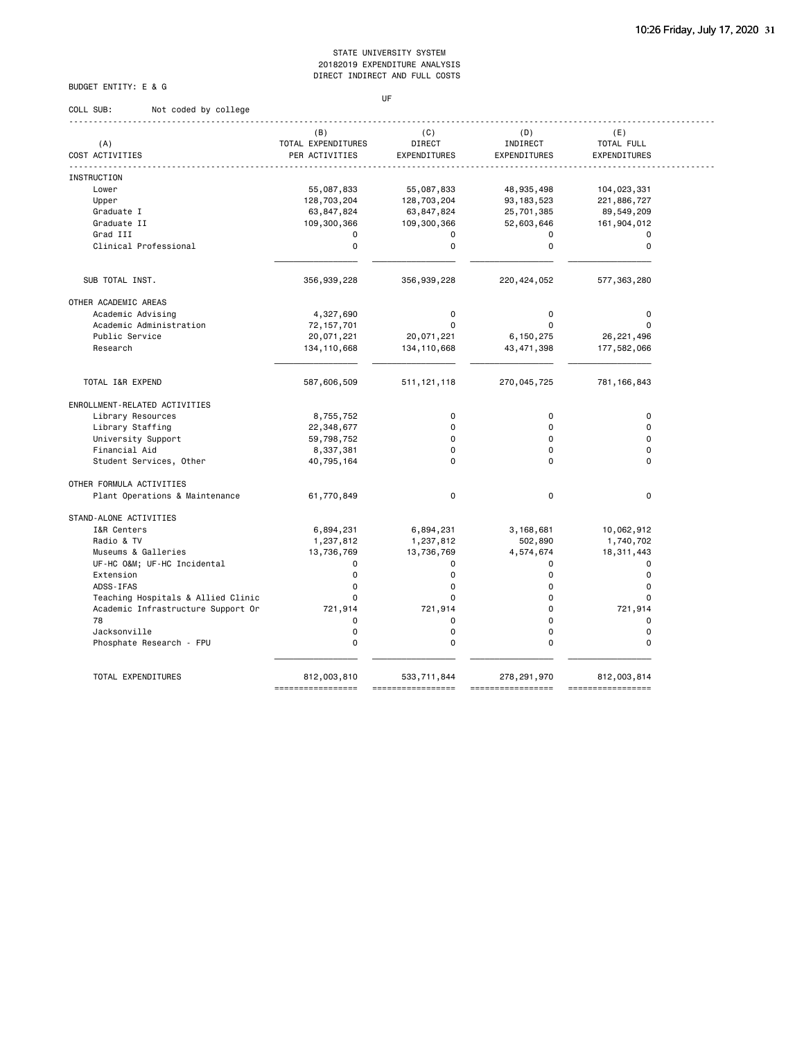### BUDGET ENTITY: E & G

COLL SUB: Not coded by college

### UF

|                                    | (B)                | (C)           | (D)           | (E)              |
|------------------------------------|--------------------|---------------|---------------|------------------|
| (A)                                | TOTAL EXPENDITURES | DIRECT        | INDIRECT      | TOTAL FULL       |
| COST ACTIVITIES                    | PER ACTIVITIES     | EXPENDITURES  | EXPENDITURES  | EXPENDITURES     |
| <b>INSTRUCTION</b>                 |                    |               |               |                  |
| Lower                              | 55,087,833         | 55,087,833    | 48,935,498    | 104,023,331      |
| Upper                              | 128,703,204        | 128,703,204   | 93, 183, 523  | 221,886,727      |
| Graduate I                         | 63,847,824         | 63,847,824    | 25,701,385    | 89,549,209       |
| Graduate II                        | 109,300,366        | 109,300,366   | 52,603,646    | 161,904,012      |
| Grad III                           | 0                  | $\mathbf 0$   | $\mathbf 0$   |                  |
| Clinical Professional              | 0                  | $\mathbf 0$   | $\mathbf 0$   | 0<br>$\mathbf 0$ |
|                                    |                    |               |               |                  |
| SUB TOTAL INST.                    | 356,939,228        | 356,939,228   | 220, 424, 052 | 577, 363, 280    |
| OTHER ACADEMIC AREAS               |                    |               |               |                  |
| Academic Advising                  | 4,327,690          | $\mathbf 0$   | $\Omega$      | $\mathbf 0$      |
| Academic Administration            | 72, 157, 701       | $\Omega$      | $\Omega$      | $\Omega$         |
| Public Service                     |                    |               |               |                  |
| Research                           | 20,071,221         | 20,071,221    | 6,150,275     | 26, 221, 496     |
|                                    | 134, 110, 668      | 134, 110, 668 | 43, 471, 398  | 177,582,066      |
| TOTAL I&R EXPEND                   | 587,606,509        | 511, 121, 118 | 270,045,725   | 781, 166, 843    |
|                                    |                    |               |               |                  |
| ENROLLMENT-RELATED ACTIVITIES      |                    |               |               |                  |
| Library Resources                  | 8,755,752          | $\mathbf 0$   | $\mathbf 0$   | $\mathbf 0$      |
| Library Staffing                   | 22,348,677         | $\mathbf 0$   | $\Omega$      | $\Omega$         |
| University Support                 | 59,798,752         | $\Omega$      | $\Omega$      | $\Omega$         |
| Financial Aid                      | 8,337,381          | $\Omega$      | $\Omega$      | $\Omega$         |
| Student Services, Other            | 40,795,164         | $\Omega$      | $\Omega$      | $\Omega$         |
| OTHER FORMULA ACTIVITIES           |                    |               |               |                  |
| Plant Operations & Maintenance     | 61,770,849         | $\mathsf 0$   | $\mathbf 0$   | $\mathbf 0$      |
| STAND-ALONE ACTIVITIES             |                    |               |               |                  |
| I&R Centers                        | 6,894,231          | 6,894,231     | 3,168,681     | 10,062,912       |
| Radio & TV                         | 1,237,812          | 1,237,812     | 502,890       | 1,740,702        |
| Museums & Galleries                | 13,736,769         | 13,736,769    | 4,574,674     | 18, 311, 443     |
| UF-HC O&M UF-HC Incidental         | 0                  | $\Omega$      | $\mathbf 0$   | $\Omega$         |
| Extension                          | $\Omega$           | $\Omega$      | $\Omega$      | $\Omega$         |
| ADSS-IFAS                          | $\Omega$           | $\Omega$      | $\Omega$      | $\Omega$         |
| Teaching Hospitals & Allied Clinic | $\Omega$           | $\Omega$      | $\Omega$      | $\Omega$         |
| Academic Infrastructure Support Or | 721,914            | 721,914       | $\Omega$      | 721,914          |
| 78                                 | 0                  | $\mathbf 0$   | $\Omega$      | $\mathbf 0$      |
| Jacksonville                       | 0                  | $\mathbf 0$   | $\mathbf 0$   | $\mathbf 0$      |
| Phosphate Research - FPU           | 0                  | $\Omega$      | $\Omega$      | $\Omega$         |
|                                    |                    |               |               |                  |
| TOTAL EXPENDITURES                 | 812,003,810        | 533,711,844   | 278,291,970   | 812,003,814      |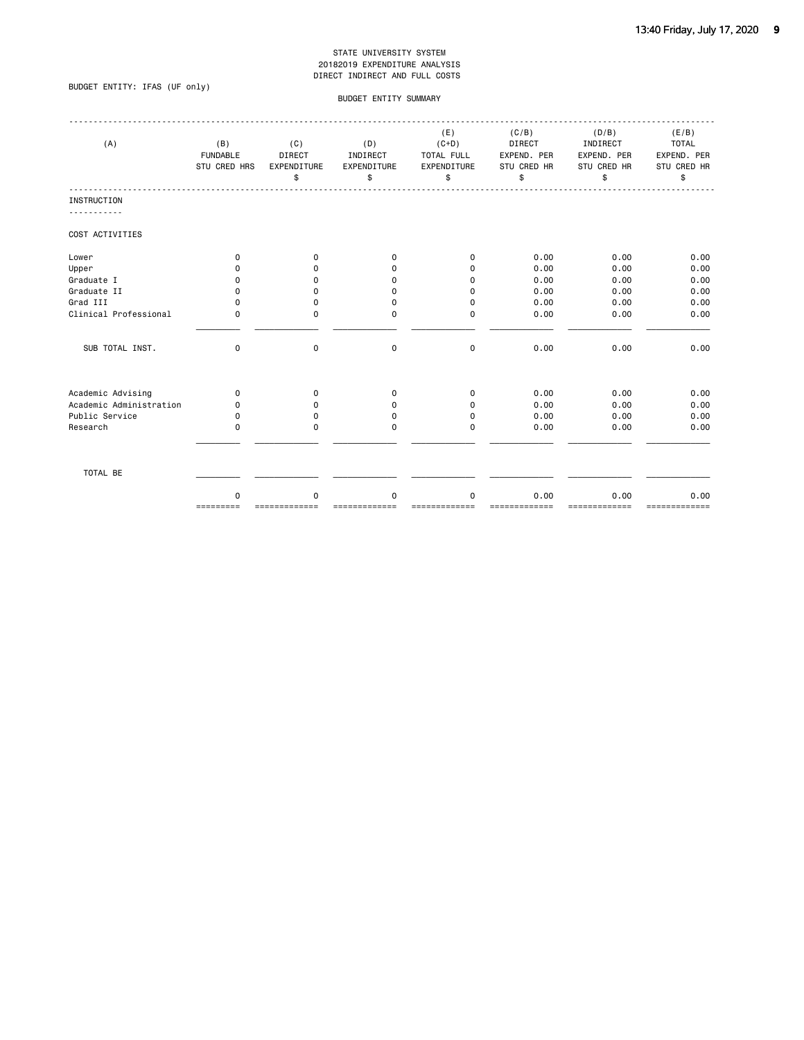### BUDGET ENTITY: IFAS (UF only)

### BUDGET ENTITY SUMMARY

| (A)                     | (B)<br><b>FUNDABLE</b><br>STU CRED HRS | (C)<br>DIRECT<br>EXPENDITURE<br>\$ | (D)<br>INDIRECT<br>EXPENDITURE<br>\$ | (E)<br>$(C+D)$<br>TOTAL FULL<br>EXPENDITURE<br>\$ | (C/B)<br><b>DIRECT</b><br>EXPEND. PER<br>STU CRED HR<br>\$ | (D/B)<br>INDIRECT<br>EXPEND. PER<br>STU CRED HR<br>\$ | (E/B)<br><b>TOTAL</b><br>EXPEND. PER<br>STU CRED HR<br>\$ |
|-------------------------|----------------------------------------|------------------------------------|--------------------------------------|---------------------------------------------------|------------------------------------------------------------|-------------------------------------------------------|-----------------------------------------------------------|
| <b>INSTRUCTION</b>      |                                        |                                    |                                      |                                                   |                                                            |                                                       |                                                           |
| COST ACTIVITIES         |                                        |                                    |                                      |                                                   |                                                            |                                                       |                                                           |
| Lower                   | 0                                      | 0                                  | 0                                    | 0                                                 | 0.00                                                       | 0.00                                                  | 0.00                                                      |
| Upper                   | 0                                      | 0                                  | 0                                    | 0                                                 | 0.00                                                       | 0.00                                                  | 0.00                                                      |
| Graduate I              | 0                                      | 0                                  | 0                                    | 0                                                 | 0.00                                                       | 0.00                                                  | 0.00                                                      |
| Graduate II             | 0                                      | $\mathbf 0$                        | 0                                    | $\mathbf 0$                                       | 0.00                                                       | 0.00                                                  | 0.00                                                      |
| Grad III                | 0                                      | $\mathbf 0$                        | 0                                    | $\mathbf 0$                                       | 0.00                                                       | 0.00                                                  | 0.00                                                      |
| Clinical Professional   | 0                                      | $\mathbf 0$                        | 0                                    | $\mathbf 0$                                       | 0.00                                                       | 0.00                                                  | 0.00                                                      |
| SUB TOTAL INST.         | 0                                      | $\mathbf 0$                        | 0                                    | 0                                                 | 0.00                                                       | 0.00                                                  | 0.00                                                      |
| Academic Advising       | 0                                      | 0                                  | 0                                    | 0                                                 | 0.00                                                       | 0.00                                                  | 0.00                                                      |
| Academic Administration | 0                                      | 0                                  | 0                                    | 0                                                 | 0.00                                                       | 0.00                                                  | 0.00                                                      |
| Public Service          | 0                                      | 0                                  | 0                                    | 0                                                 | 0.00                                                       | 0.00                                                  | 0.00                                                      |
| Research                | 0                                      | $\Omega$                           | 0                                    | $\Omega$                                          | 0.00                                                       | 0.00                                                  | 0.00                                                      |
| TOTAL BE                |                                        |                                    |                                      |                                                   |                                                            |                                                       |                                                           |
|                         | $\Omega$<br>=========                  | $\Omega$                           | 0                                    | $\Omega$                                          | 0.00<br>=========                                          | 0.00<br>========                                      | 0.00<br>=============                                     |
|                         |                                        |                                    |                                      |                                                   |                                                            |                                                       |                                                           |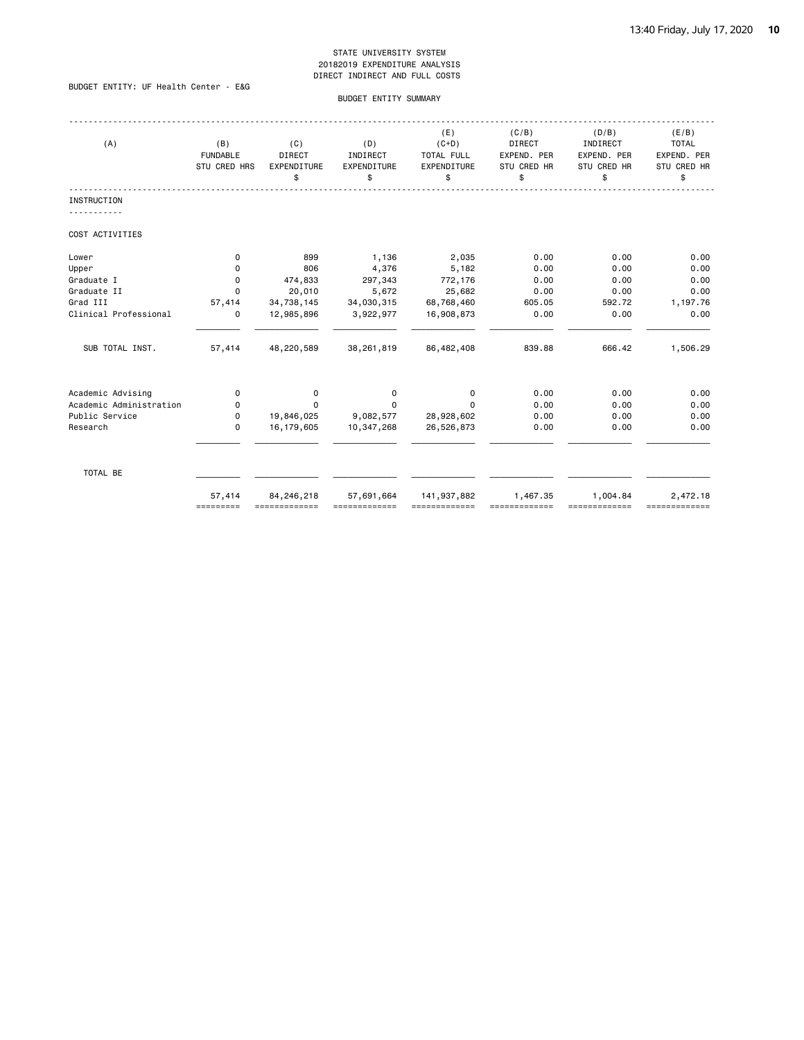### BUDGET ENTITY: UF Health Center - E&G

### BUDGET ENTITY SUMMARY

| (A)                     | (B)<br><b>FUNDABLE</b><br>STU CRED HRS | (C)<br>DIRECT<br>EXPENDITURE<br>\$ | (D)<br>INDIRECT<br>EXPENDITURE<br>\$ | (E)<br>$(C+D)$<br>TOTAL FULL<br>EXPENDITURE<br>\$ | (C/B)<br>DIRECT<br>EXPEND. PER<br>STU CRED HR<br>\$ | (D/B)<br>INDIRECT<br>EXPEND. PER<br>STU CRED HR<br>\$ | (E/B)<br><b>TOTAL</b><br>EXPEND. PER<br>STU CRED HR<br>\$ |
|-------------------------|----------------------------------------|------------------------------------|--------------------------------------|---------------------------------------------------|-----------------------------------------------------|-------------------------------------------------------|-----------------------------------------------------------|
| <b>INSTRUCTION</b>      |                                        |                                    |                                      |                                                   |                                                     |                                                       |                                                           |
| COST ACTIVITIES         |                                        |                                    |                                      |                                                   |                                                     |                                                       |                                                           |
| Lower                   | 0                                      | 899                                | 1,136                                | 2,035                                             | 0.00                                                | 0.00                                                  | 0.00                                                      |
| Upper                   | $\Omega$                               | 806                                | 4,376                                | 5,182                                             | 0.00                                                | 0.00                                                  | 0.00                                                      |
| Graduate I              | 0                                      | 474,833                            | 297,343                              | 772,176                                           | 0.00                                                | 0.00                                                  | 0.00                                                      |
| Graduate II             | $\Omega$                               | 20,010                             | 5,672                                | 25,682                                            | 0.00                                                | 0.00                                                  | 0.00                                                      |
| Grad III                | 57,414                                 | 34,738,145                         | 34,030,315                           | 68,768,460                                        | 605.05                                              | 592.72                                                | 1,197.76                                                  |
| Clinical Professional   | 0                                      | 12,985,896                         | 3,922,977                            | 16,908,873                                        | 0.00                                                | 0.00                                                  | 0.00                                                      |
| SUB TOTAL INST.         | 57,414                                 | 48,220,589                         | 38,261,819                           | 86,482,408                                        | 839.88                                              | 666.42                                                | 1,506.29                                                  |
| Academic Advising       | 0                                      | 0                                  | 0                                    | 0                                                 | 0.00                                                | 0.00                                                  | 0.00                                                      |
| Academic Administration | 0                                      | $\Omega$                           | $\Omega$                             | $\Omega$                                          | 0.00                                                | 0.00                                                  | 0.00                                                      |
| Public Service          | $\Omega$                               | 19,846,025                         | 9,082,577                            | 28,928,602                                        | 0.00                                                | 0.00                                                  | 0.00                                                      |
| Research                | $\Omega$                               | 16, 179, 605                       | 10,347,268                           | 26,526,873                                        | 0.00                                                | 0.00                                                  | 0.00                                                      |
| TOTAL BE                |                                        |                                    |                                      |                                                   |                                                     |                                                       |                                                           |
|                         | 57,414<br>=========                    | 84,246,218<br>=============        | 57,691,664                           | 141,937,882                                       | 1,467.35                                            | 1,004.84                                              | 2,472.18<br>=============                                 |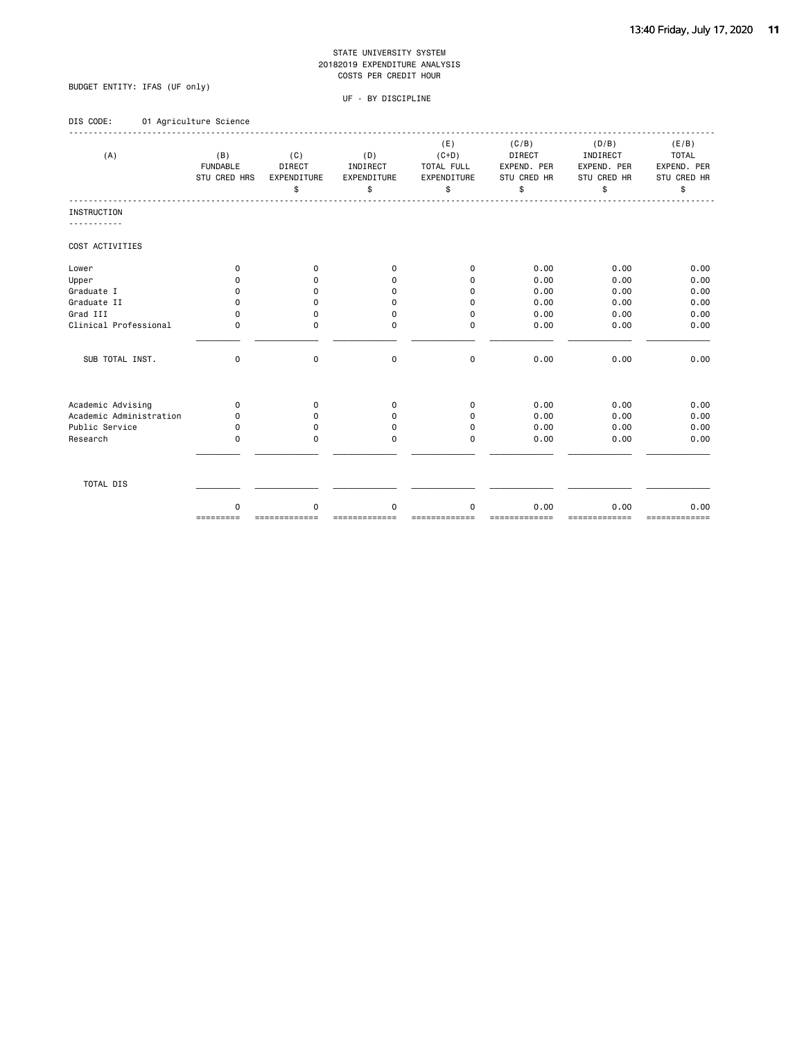### BUDGET ENTITY: IFAS (UF only)

|  | DIS CODE: |  |  |  | 01 Agriculture Science |  |
|--|-----------|--|--|--|------------------------|--|
|--|-----------|--|--|--|------------------------|--|

| (A)                     | (B)<br><b>FUNDABLE</b><br>STU CRED HRS | (C)<br><b>DIRECT</b><br>EXPENDITURE<br>\$ | (D)<br>INDIRECT<br>EXPENDITURE<br>\$ | (E)<br>$(C+D)$<br>TOTAL FULL<br>EXPENDITURE<br>\$ | (C/B)<br>DIRECT<br>EXPEND. PER<br>STU CRED HR<br>\$ | (D/B)<br>INDIRECT<br>EXPEND. PER<br>STU CRED HR<br>\$ | (E/B)<br><b>TOTAL</b><br>EXPEND. PER<br>STU CRED HR<br>\$ |
|-------------------------|----------------------------------------|-------------------------------------------|--------------------------------------|---------------------------------------------------|-----------------------------------------------------|-------------------------------------------------------|-----------------------------------------------------------|
| <b>INSTRUCTION</b>      |                                        |                                           |                                      |                                                   |                                                     |                                                       |                                                           |
| COST ACTIVITIES         |                                        |                                           |                                      |                                                   |                                                     |                                                       |                                                           |
| Lower                   | 0                                      | 0                                         | 0                                    | 0                                                 | 0.00                                                | 0.00                                                  | 0.00                                                      |
| Upper                   | O                                      | 0                                         | O                                    | $\Omega$                                          | 0.00                                                | 0.00                                                  | 0.00                                                      |
| Graduate I              | O                                      | 0                                         | 0                                    | 0                                                 | 0.00                                                | 0.00                                                  | 0.00                                                      |
| Graduate II             | 0                                      | 0                                         | $\Omega$                             | 0                                                 | 0.00                                                | 0.00                                                  | 0.00                                                      |
| Grad III                | 0                                      | $\mathbf 0$                               | $\mathbf 0$                          | $\mathbf 0$                                       | 0.00                                                | 0.00                                                  | 0.00                                                      |
| Clinical Professional   | 0                                      | $\mathbf 0$                               | $\Omega$                             | $\mathbf 0$                                       | 0.00                                                | 0.00                                                  | 0.00                                                      |
| SUB TOTAL INST.         | 0                                      | $\mathbf 0$                               | $\mathbf 0$                          | $\mathbf 0$                                       | 0.00                                                | 0.00                                                  | 0.00                                                      |
| Academic Advising       | 0                                      | 0                                         | 0                                    | 0                                                 | 0.00                                                | 0.00                                                  | 0.00                                                      |
| Academic Administration | 0                                      | 0                                         | 0                                    | $\Omega$                                          | 0.00                                                | 0.00                                                  | 0.00                                                      |
| Public Service          | 0                                      | 0                                         | 0                                    | 0                                                 | 0.00                                                | 0.00                                                  | 0.00                                                      |
| Research                | 0                                      | $\Omega$                                  | 0                                    | $\Omega$                                          | 0.00                                                | 0.00                                                  | 0.00                                                      |
| TOTAL DIS               |                                        |                                           |                                      |                                                   |                                                     |                                                       |                                                           |
|                         | $\Omega$<br>=========                  | $\Omega$                                  | $\Omega$                             | $\Omega$                                          | 0.00<br>=========                                   | 0.00<br>=========                                     | 0.00<br>=============                                     |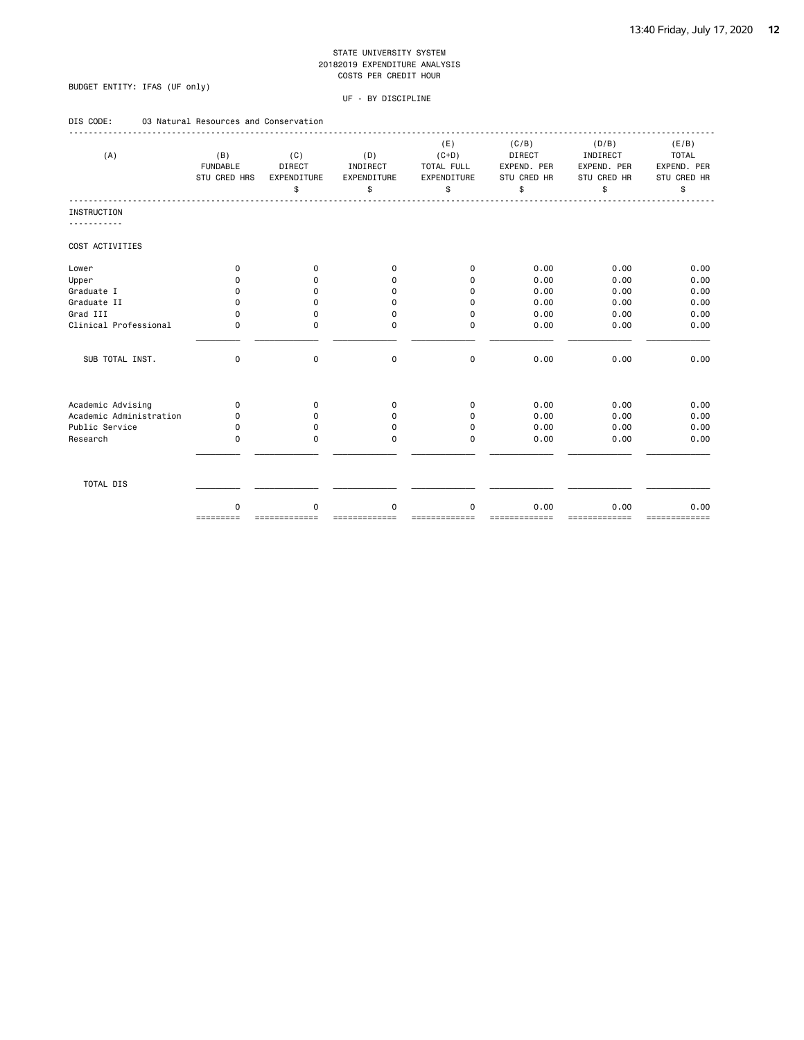### BUDGET ENTITY: IFAS (UF only)

| DIS CODE:<br>03 Natural Resources and Conservation |  |
|----------------------------------------------------|--|
|----------------------------------------------------|--|

| (A)                     | (B)<br><b>FUNDABLE</b><br>STU CRED HRS | (C)<br>DIRECT<br>EXPENDITURE<br>\$ | (D)<br>INDIRECT<br>EXPENDITURE<br>\$ | (E)<br>$(C+D)$<br>TOTAL FULL<br>EXPENDITURE<br>\$ | (C/B)<br><b>DIRECT</b><br>EXPEND. PER<br>STU CRED HR<br>\$ | (D/B)<br>INDIRECT<br>EXPEND. PER<br>STU CRED HR<br>\$ | (E/B)<br><b>TOTAL</b><br>EXPEND. PER<br>STU CRED HR<br>\$ |
|-------------------------|----------------------------------------|------------------------------------|--------------------------------------|---------------------------------------------------|------------------------------------------------------------|-------------------------------------------------------|-----------------------------------------------------------|
| <b>INSTRUCTION</b>      |                                        |                                    |                                      |                                                   |                                                            |                                                       |                                                           |
| COST ACTIVITIES         |                                        |                                    |                                      |                                                   |                                                            |                                                       |                                                           |
| Lower                   | $\Omega$                               | 0                                  | $\Omega$                             | 0                                                 | 0.00                                                       | 0.00                                                  | 0.00                                                      |
| Upper                   | <sup>0</sup>                           | 0                                  | <sup>0</sup>                         | $\Omega$                                          | 0.00                                                       | 0.00                                                  | 0.00                                                      |
| Graduate I              | $\Omega$                               | 0                                  | $\Omega$                             | $\Omega$                                          | 0.00                                                       | 0.00                                                  | 0.00                                                      |
| Graduate II             | $\Omega$                               | 0                                  | $\Omega$                             | 0                                                 | 0.00                                                       | 0.00                                                  | 0.00                                                      |
| Grad III                | $\Omega$                               | 0                                  | $\mathbf 0$                          | 0                                                 | 0.00                                                       | 0.00                                                  | 0.00                                                      |
| Clinical Professional   | $\Omega$                               | $\mathbf 0$                        | $\Omega$                             | $\Omega$                                          | 0.00                                                       | 0.00                                                  | 0.00                                                      |
| SUB TOTAL INST.         | 0                                      | 0                                  | $\mathbf 0$                          | $\mathbf 0$                                       | 0.00                                                       | 0.00                                                  | 0.00                                                      |
| Academic Advising       | $\mathbf 0$                            | 0                                  | 0                                    | 0                                                 | 0.00                                                       | 0.00                                                  | 0.00                                                      |
| Academic Administration | 0                                      | 0                                  | $\Omega$                             | 0                                                 | 0.00                                                       | 0.00                                                  | 0.00                                                      |
| Public Service          | $\Omega$                               | 0                                  | 0                                    | 0                                                 | 0.00                                                       | 0.00                                                  | 0.00                                                      |
| Research                | $\Omega$                               | $\mathbf 0$                        | 0                                    | $\Omega$                                          | 0.00                                                       | 0.00                                                  | 0.00                                                      |
| TOTAL DIS               |                                        |                                    |                                      |                                                   |                                                            |                                                       |                                                           |
|                         | $\Omega$<br>=========                  | $\Omega$                           | $\Omega$                             | $\Omega$                                          | 0.00<br>=========                                          | 0.00<br>========                                      | 0.00<br>===========                                       |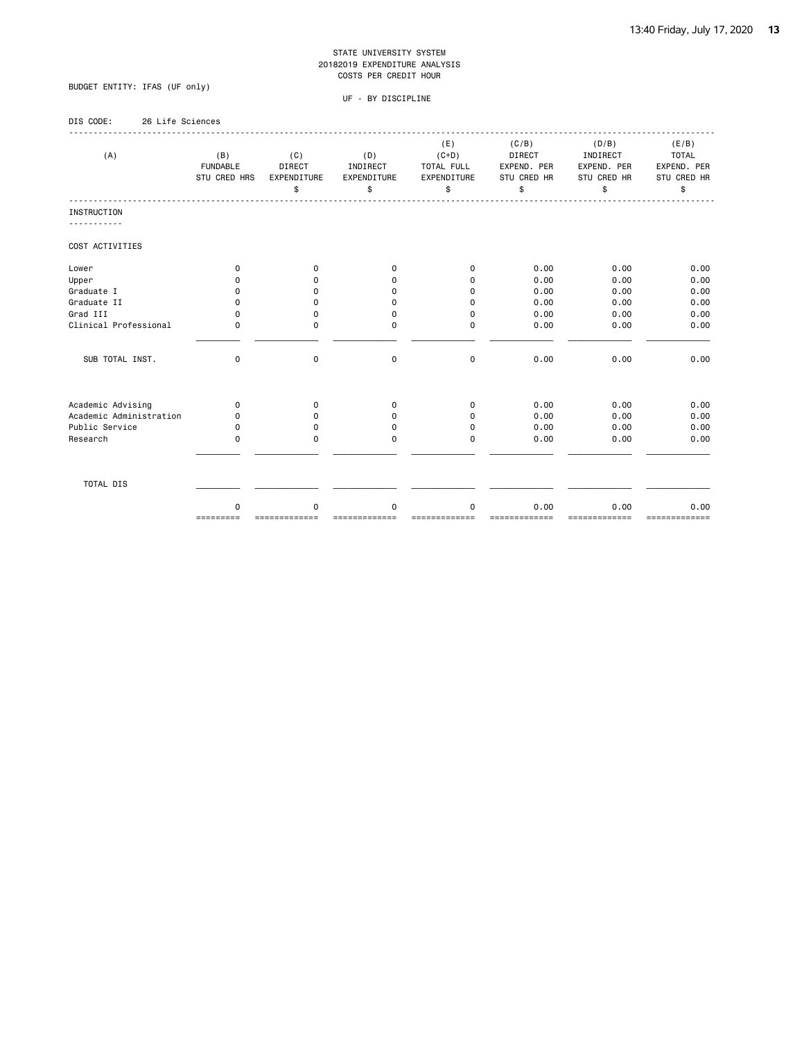### BUDGET ENTITY: IFAS (UF only)

| DIS CODE:<br>26 Life Sciences                |                                        |                                    |                                             |                                                   |                                                            |                                                       |                                                           |
|----------------------------------------------|----------------------------------------|------------------------------------|---------------------------------------------|---------------------------------------------------|------------------------------------------------------------|-------------------------------------------------------|-----------------------------------------------------------|
| (A)                                          | (B)<br><b>FUNDABLE</b><br>STU CRED HRS | (C)<br>DIRECT<br>EXPENDITURE<br>\$ | (D)<br>INDIRECT<br><b>EXPENDITURE</b><br>\$ | (E)<br>$(C+D)$<br>TOTAL FULL<br>EXPENDITURE<br>\$ | (C/B)<br><b>DIRECT</b><br>EXPEND. PER<br>STU CRED HR<br>\$ | (D/B)<br>INDIRECT<br>EXPEND. PER<br>STU CRED HR<br>\$ | (E/B)<br><b>TOTAL</b><br>EXPEND. PER<br>STU CRED HR<br>\$ |
| <b>INSTRUCTION</b>                           |                                        |                                    |                                             |                                                   |                                                            |                                                       |                                                           |
|                                              |                                        |                                    |                                             |                                                   |                                                            |                                                       |                                                           |
| COST ACTIVITIES                              |                                        |                                    |                                             |                                                   |                                                            |                                                       |                                                           |
| Lower                                        | 0                                      | $\mathbf 0$                        | $\Omega$                                    | $\mathbf 0$                                       | 0.00                                                       | 0.00                                                  | 0.00                                                      |
| Upper                                        | $\Omega$                               | $\Omega$                           | 0                                           | $\Omega$                                          | 0.00                                                       | 0.00                                                  | 0.00                                                      |
| Graduate I                                   | $\Omega$                               | 0                                  | $\Omega$                                    | 0                                                 | 0.00                                                       | 0.00                                                  | 0.00                                                      |
| Graduate II                                  | 0                                      | 0                                  | $\Omega$                                    | 0                                                 | 0.00                                                       | 0.00                                                  | 0.00                                                      |
| Grad III                                     | 0                                      | 0                                  | 0                                           | $\Omega$                                          | 0.00                                                       | 0.00                                                  | 0.00                                                      |
| Clinical Professional                        | 0                                      | $\Omega$                           | $\Omega$                                    | $\Omega$                                          | 0.00                                                       | 0.00                                                  | 0.00                                                      |
| SUB TOTAL INST.                              | $\mathbf 0$                            | $\mathbf 0$                        | $\mathbf 0$                                 | $\mathbf 0$                                       | 0.00                                                       | 0.00                                                  | 0.00                                                      |
|                                              |                                        |                                    |                                             |                                                   |                                                            |                                                       |                                                           |
| Academic Advising<br>Academic Administration | 0                                      | $\mathbf 0$                        | 0                                           | $\mathbf 0$<br>$\Omega$                           | 0.00                                                       | 0.00                                                  | 0.00                                                      |
| Public Service                               | 0<br>0                                 | 0<br>0                             | 0<br>$\Omega$                               | $\Omega$                                          | 0.00<br>0.00                                               | 0.00<br>0.00                                          | 0.00<br>0.00                                              |
| Research                                     | 0                                      | $\Omega$                           | 0                                           | $\Omega$                                          | 0.00                                                       | 0.00                                                  | 0.00                                                      |
|                                              |                                        |                                    |                                             |                                                   |                                                            |                                                       |                                                           |
| TOTAL DIS                                    |                                        |                                    |                                             |                                                   |                                                            |                                                       |                                                           |
|                                              | $\Omega$<br>=========                  | $\Omega$                           | $\Omega$                                    | $\Omega$                                          | 0.00                                                       | 0.00                                                  | 0.00                                                      |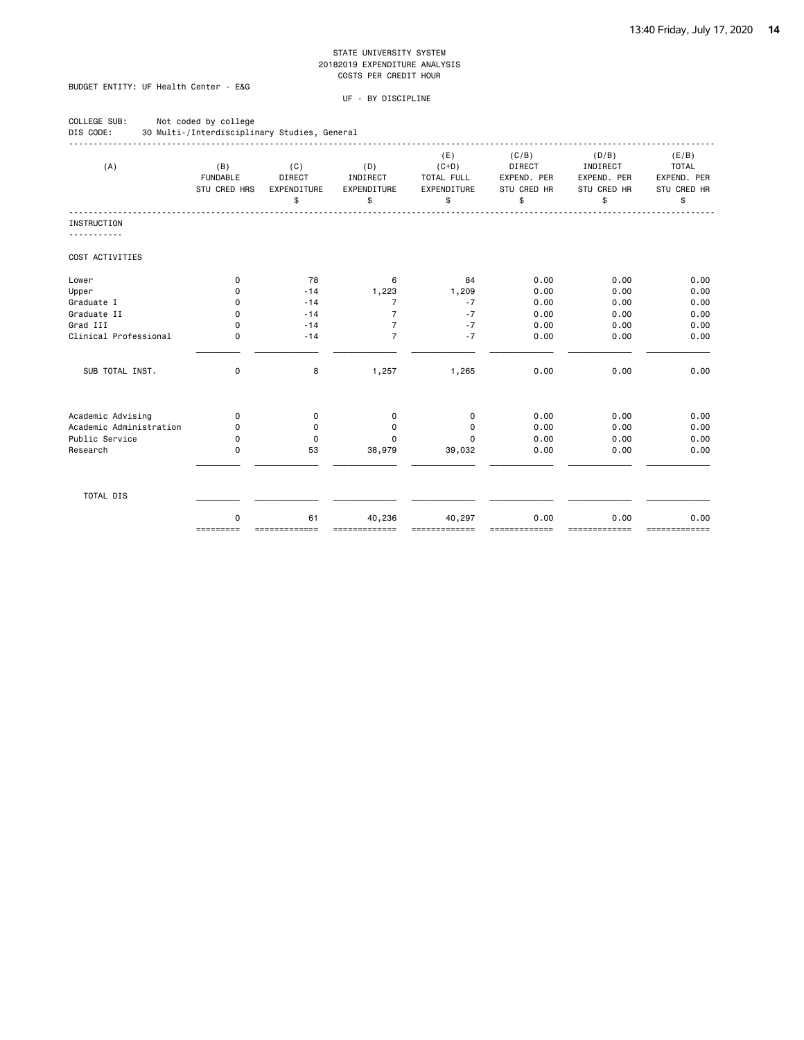### BUDGET ENTITY: UF Health Center - E&G

| COLLEGE SUB:<br>DIS CODE: | Not coded by college<br>30 Multi-/Interdisciplinary Studies, General |                                           |                                      |                                                   |                                                     |                                                       |                                                           |
|---------------------------|----------------------------------------------------------------------|-------------------------------------------|--------------------------------------|---------------------------------------------------|-----------------------------------------------------|-------------------------------------------------------|-----------------------------------------------------------|
| (A)                       | (B)<br><b>FUNDABLE</b><br><b>STU CRED HRS</b>                        | (C)<br><b>DIRECT</b><br>EXPENDITURE<br>\$ | (D)<br>INDIRECT<br>EXPENDITURE<br>\$ | (E)<br>$(C+D)$<br>TOTAL FULL<br>EXPENDITURE<br>\$ | (C/B)<br>DIRECT<br>EXPEND. PER<br>STU CRED HR<br>\$ | (D/B)<br>INDIRECT<br>EXPEND. PER<br>STU CRED HR<br>\$ | (E/B)<br><b>TOTAL</b><br>EXPEND. PER<br>STU CRED HR<br>\$ |
| <b>INSTRUCTION</b>        |                                                                      |                                           |                                      |                                                   |                                                     |                                                       |                                                           |
| <u>.</u>                  |                                                                      |                                           |                                      |                                                   |                                                     |                                                       |                                                           |
| COST ACTIVITIES           |                                                                      |                                           |                                      |                                                   |                                                     |                                                       |                                                           |
| Lower                     | 0                                                                    | 78                                        | 6                                    | 84                                                | 0.00                                                | 0.00                                                  | 0.00                                                      |
| Upper                     | 0                                                                    | $-14$                                     | 1,223                                | 1,209                                             | 0.00                                                | 0.00                                                  | 0.00                                                      |
| Graduate I                | 0                                                                    | $-14$                                     | $\overline{7}$                       | $-7$                                              | 0.00                                                | 0.00                                                  | 0.00                                                      |
| Graduate II               | 0                                                                    | $-14$                                     | $\overline{7}$                       | $-7$                                              | 0.00                                                | 0.00                                                  | 0.00                                                      |
| Grad III                  | $\Omega$                                                             | $-14$                                     | $\overline{7}$                       | $-7$                                              | 0.00                                                | 0.00                                                  | 0.00                                                      |
| Clinical Professional     | 0                                                                    | $-14$                                     | $\overline{7}$                       | $-7$                                              | 0.00                                                | 0.00                                                  | 0.00                                                      |
| SUB TOTAL INST.           | $\mathbf 0$                                                          | 8                                         | 1,257                                | 1,265                                             | 0.00                                                | 0.00                                                  | 0.00                                                      |
| Academic Advising         | 0                                                                    | 0                                         | 0                                    | 0                                                 | 0.00                                                | 0.00                                                  | 0.00                                                      |
| Academic Administration   | $\Omega$                                                             | 0                                         | 0                                    | $\mathbf 0$                                       | 0.00                                                | 0.00                                                  | 0.00                                                      |
| Public Service            | 0                                                                    | $\Omega$                                  | 0                                    | $\Omega$                                          | 0.00                                                | 0.00                                                  | 0.00                                                      |
| Research                  | 0                                                                    | 53                                        | 38,979                               | 39,032                                            | 0.00                                                | 0.00                                                  | 0.00                                                      |
| TOTAL DIS                 |                                                                      |                                           |                                      |                                                   |                                                     |                                                       |                                                           |
|                           | $\mathbf 0$<br>=========                                             | 61                                        | 40,236                               | 40,297                                            | 0.00                                                | 0.00                                                  | 0.00                                                      |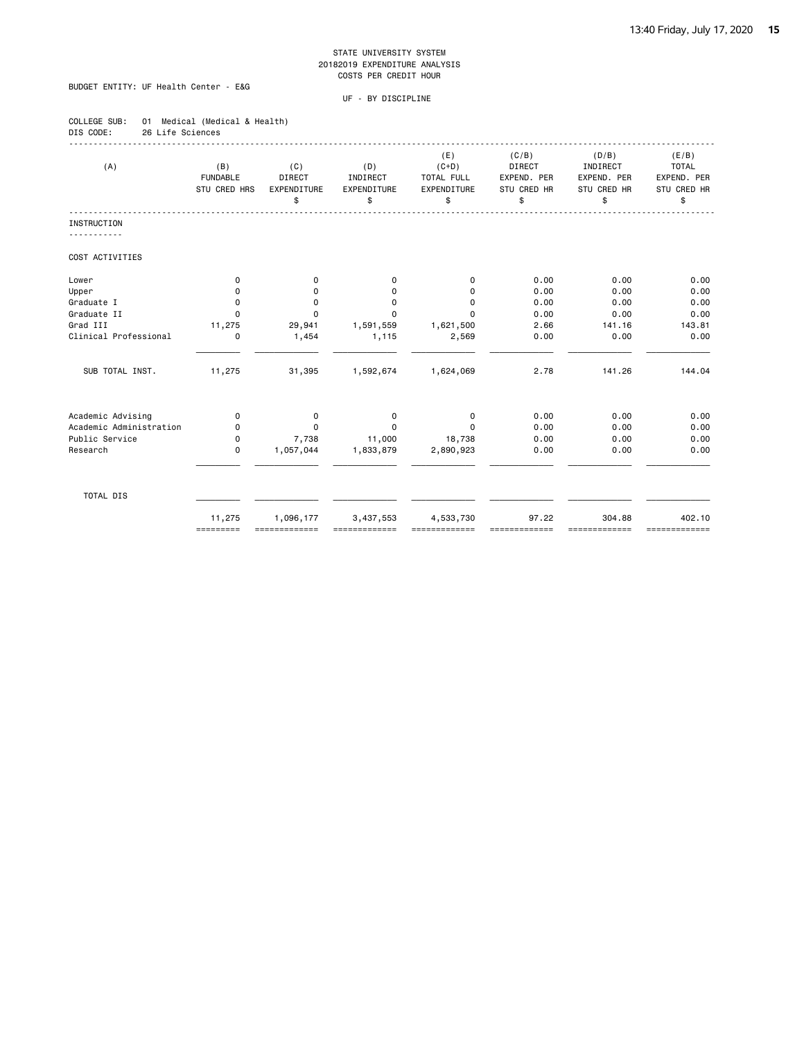### BUDGET ENTITY: UF Health Center - E&G

| COLLEGE SUB: |                  | 01 Medical (Medical & Health) |  |
|--------------|------------------|-------------------------------|--|
| DIS CODE:    | 26 Life Sciences |                               |  |

| (A)                     | (B)<br><b>FUNDABLE</b><br><b>STU CRED HRS</b> | (C)<br>DIRECT<br>EXPENDITURE<br>\$ | (D)<br>INDIRECT<br>EXPENDITURE<br>\$ | (E)<br>$(C+D)$<br>TOTAL FULL<br>EXPENDITURE<br>\$ | (C/B)<br>DIRECT<br>EXPEND. PER<br>STU CRED HR<br>\$ | (D/B)<br>INDIRECT<br>EXPEND. PER<br>STU CRED HR<br>\$ | (E/B)<br><b>TOTAL</b><br>EXPEND. PER<br>STU CRED HR<br>\$ |
|-------------------------|-----------------------------------------------|------------------------------------|--------------------------------------|---------------------------------------------------|-----------------------------------------------------|-------------------------------------------------------|-----------------------------------------------------------|
| INSTRUCTION             |                                               |                                    |                                      |                                                   |                                                     |                                                       |                                                           |
|                         |                                               |                                    |                                      |                                                   |                                                     |                                                       |                                                           |
| COST ACTIVITIES         |                                               |                                    |                                      |                                                   |                                                     |                                                       |                                                           |
| Lower                   | $\mathbf 0$                                   | 0                                  | 0                                    | $\mathbf 0$                                       | 0.00                                                | 0.00                                                  | 0.00                                                      |
| Upper                   | 0                                             | 0                                  | 0                                    | 0                                                 | 0.00                                                | 0.00                                                  | 0.00                                                      |
| Graduate I              | 0                                             | 0                                  | $\mathbf 0$                          | 0                                                 | 0.00                                                | 0.00                                                  | 0.00                                                      |
| Graduate II             | 0                                             | $\Omega$                           | $\Omega$                             | $\Omega$                                          | 0.00                                                | 0.00                                                  | 0.00                                                      |
| Grad III                | 11,275                                        | 29,941                             | 1,591,559                            | 1,621,500                                         | 2.66                                                | 141.16                                                | 143.81                                                    |
| Clinical Professional   | $\mathbf 0$                                   | 1,454                              | 1,115                                | 2,569                                             | 0.00                                                | 0.00                                                  | 0.00                                                      |
| SUB TOTAL INST.         | 11,275                                        | 31,395                             | 1,592,674                            | 1,624,069                                         | 2.78                                                | 141.26                                                | 144.04                                                    |
| Academic Advising       | $\mathbf 0$                                   | $\mathbf 0$                        | $\mathbf 0$                          | $\mathbf 0$                                       | 0.00                                                | 0.00                                                  | 0.00                                                      |
| Academic Administration | $\Omega$                                      | $\Omega$                           | $\Omega$                             | $\Omega$                                          | 0.00                                                | 0.00                                                  | 0.00                                                      |
| Public Service          | $\mathbf 0$                                   | 7,738                              | 11,000                               | 18,738                                            | 0.00                                                | 0.00                                                  | 0.00                                                      |
| Research                | $\mathbf 0$                                   | 1,057,044                          | 1,833,879                            | 2,890,923                                         | 0.00                                                | 0.00                                                  | 0.00                                                      |
| TOTAL DIS               |                                               |                                    |                                      |                                                   |                                                     |                                                       |                                                           |
|                         | 11,275<br>=========                           | 1,096,177<br>=============         | 3,437,553                            | 4,533,730                                         | 97.22                                               | 304.88<br>,,,,,,,,,,,,                                | 402.10<br>-------------                                   |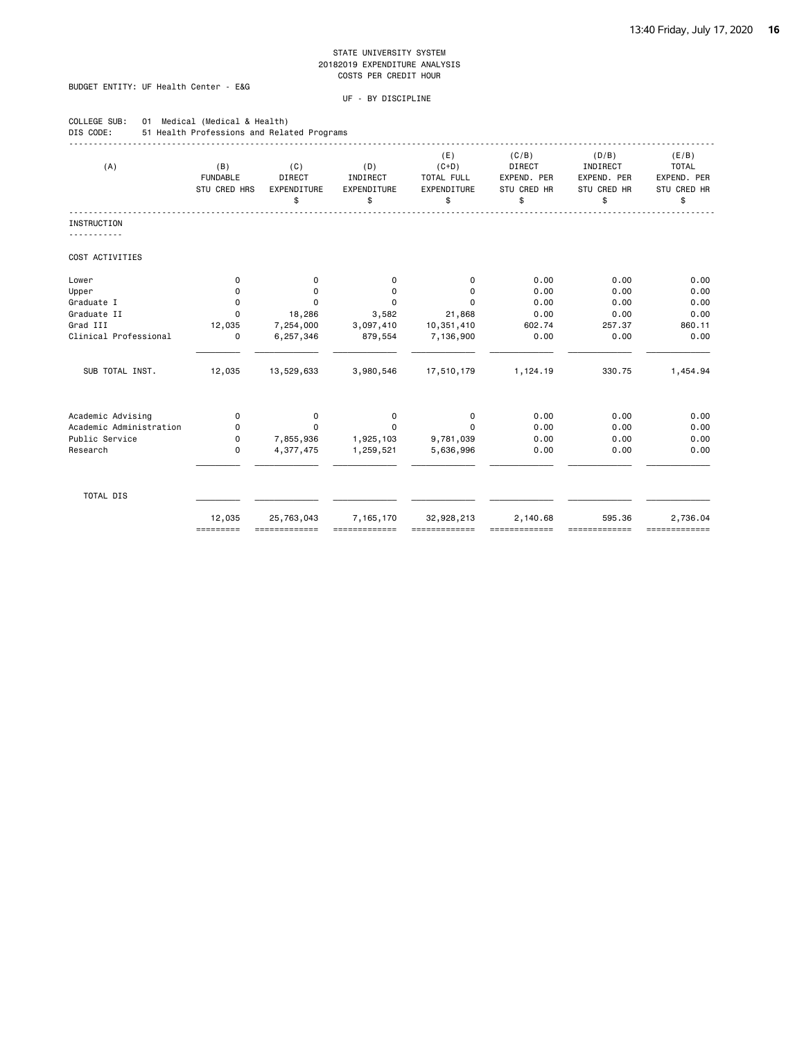### BUDGET ENTITY: UF Health Center - E&G

COLLEGE SUB: 01 Medical (Medical & Health)

| DIS CODE:               | 51 Health Professions and Related Programs |                                    |                                      |                                                   |                                                     |                                                       |                                                           |
|-------------------------|--------------------------------------------|------------------------------------|--------------------------------------|---------------------------------------------------|-----------------------------------------------------|-------------------------------------------------------|-----------------------------------------------------------|
| (A)                     | (B)<br><b>FUNDABLE</b><br>STU CRED HRS     | (C)<br>DIRECT<br>EXPENDITURE<br>\$ | (D)<br>INDIRECT<br>EXPENDITURE<br>\$ | (E)<br>$(C+D)$<br>TOTAL FULL<br>EXPENDITURE<br>\$ | (C/B)<br>DIRECT<br>EXPEND. PER<br>STU CRED HR<br>\$ | (D/B)<br>INDIRECT<br>EXPEND. PER<br>STU CRED HR<br>\$ | (E/B)<br><b>TOTAL</b><br>EXPEND. PER<br>STU CRED HR<br>\$ |
| INSTRUCTION             |                                            |                                    |                                      |                                                   |                                                     |                                                       |                                                           |
| COST ACTIVITIES         |                                            |                                    |                                      |                                                   |                                                     |                                                       |                                                           |
| Lower                   | 0                                          | 0                                  | 0                                    | 0                                                 | 0.00                                                | 0.00                                                  | 0.00                                                      |
| Upper                   | $\Omega$                                   | 0                                  | $\Omega$                             | 0                                                 | 0.00                                                | 0.00                                                  | 0.00                                                      |
| Graduate I              | $\mathbf 0$                                | 0                                  | 0                                    | 0                                                 | 0.00                                                | 0.00                                                  | 0.00                                                      |
| Graduate II             | $\Omega$                                   | 18,286                             | 3,582                                | 21,868                                            | 0.00                                                | 0.00                                                  | 0.00                                                      |
| Grad III                | 12,035                                     | 7,254,000                          | 3,097,410                            | 10,351,410                                        | 602.74                                              | 257.37                                                | 860.11                                                    |
| Clinical Professional   | $\mathbf 0$                                | 6,257,346                          | 879,554                              | 7,136,900                                         | 0.00                                                | 0.00                                                  | 0.00                                                      |
| SUB TOTAL INST.         | 12,035                                     | 13,529,633                         | 3,980,546                            | 17,510,179                                        | 1,124.19                                            | 330.75                                                | 1,454.94                                                  |
| Academic Advising       | $\mathbf 0$                                | $\mathbf 0$                        | $\mathbf 0$                          | $\mathbf 0$                                       | 0.00                                                | 0.00                                                  | 0.00                                                      |
| Academic Administration | 0                                          | 0                                  | $\Omega$                             | $\Omega$                                          | 0.00                                                | 0.00                                                  | 0.00                                                      |
| Public Service          | 0                                          | 7,855,936                          | 1,925,103                            | 9,781,039                                         | 0.00                                                | 0.00                                                  | 0.00                                                      |
| Research                | $\mathbf 0$                                | 4,377,475                          | 1,259,521                            | 5,636,996                                         | 0.00                                                | 0.00                                                  | 0.00                                                      |
| TOTAL DIS               |                                            |                                    |                                      |                                                   |                                                     |                                                       |                                                           |
|                         | 12,035<br>=========                        | 25,763,043<br>=============        | 7,165,170                            | 32,928,213<br>,,,,,,,,,,,,,,                      | 2,140.68<br>=============                           | 595.36<br>, ____________                              | 2,736.04<br>-------------                                 |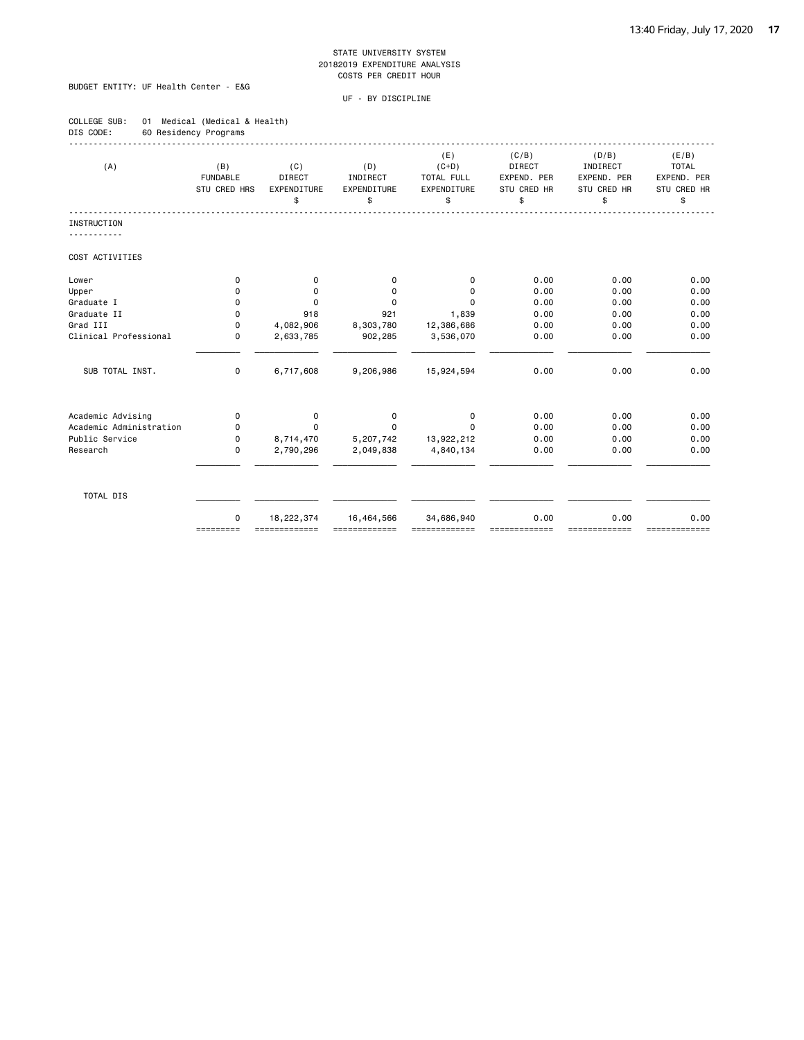### BUDGET ENTITY: UF Health Center - E&G

| COLLEGE SUB: | 01 Medical (Medical & Health) |  |
|--------------|-------------------------------|--|
| DIS CODE:    | 60 Residency Programs         |  |

| (A)                     | (B)<br><b>FUNDABLE</b><br>STU CRED HRS | (C)<br><b>DIRECT</b><br>EXPENDITURE<br>\$ | (D)<br>INDIRECT<br>EXPENDITURE<br>\$ | (E)<br>$(C+D)$<br>TOTAL FULL<br><b>EXPENDITURE</b><br>\$ | (C/B)<br><b>DIRECT</b><br>EXPEND. PER<br>STU CRED HR<br>\$ | (D/B)<br>INDIRECT<br>EXPEND, PER<br>STU CRED HR<br>\$ | (E/B)<br><b>TOTAL</b><br>EXPEND. PER<br>STU CRED HR<br>\$ |
|-------------------------|----------------------------------------|-------------------------------------------|--------------------------------------|----------------------------------------------------------|------------------------------------------------------------|-------------------------------------------------------|-----------------------------------------------------------|
| INSTRUCTION             |                                        |                                           |                                      |                                                          |                                                            |                                                       |                                                           |
| COST ACTIVITIES         |                                        |                                           |                                      |                                                          |                                                            |                                                       |                                                           |
| Lower                   | 0                                      | 0                                         | 0                                    | 0                                                        | 0.00                                                       | 0.00                                                  | 0.00                                                      |
| Upper                   | 0                                      | $\mathbf 0$                               | 0                                    | 0                                                        | 0.00                                                       | 0.00                                                  | 0.00                                                      |
| Graduate I              | 0                                      | $\mathbf 0$                               | $\mathbf 0$                          | 0                                                        | 0.00                                                       | 0.00                                                  | 0.00                                                      |
| Graduate II             | 0                                      | 918                                       | 921                                  | 1,839                                                    | 0.00                                                       | 0.00                                                  | 0.00                                                      |
| Grad III                | $\Omega$                               | 4,082,906                                 | 8,303,780                            | 12,386,686                                               | 0.00                                                       | 0.00                                                  | 0.00                                                      |
| Clinical Professional   | 0                                      | 2,633,785                                 | 902,285                              | 3,536,070                                                | 0.00                                                       | 0.00                                                  | 0.00                                                      |
| SUB TOTAL INST.         | 0                                      | 6,717,608                                 | 9,206,986                            | 15,924,594                                               | 0.00                                                       | 0.00                                                  | 0.00                                                      |
| Academic Advising       | 0                                      | $\mathbf 0$                               | $\mathbf 0$                          | $\mathbf 0$                                              | 0.00                                                       | 0.00                                                  | 0.00                                                      |
| Academic Administration | 0                                      | $\Omega$                                  | $\Omega$                             | $\Omega$                                                 | 0.00                                                       | 0.00                                                  | 0.00                                                      |
| Public Service          | 0                                      | 8,714,470                                 | 5,207,742                            | 13,922,212                                               | 0.00                                                       | 0.00                                                  | 0.00                                                      |
| Research                | $\mathbf 0$                            | 2,790,296                                 | 2,049,838                            | 4,840,134                                                | 0.00                                                       | 0.00                                                  | 0.00                                                      |
| TOTAL DIS               |                                        |                                           |                                      |                                                          |                                                            |                                                       |                                                           |
|                         | $\Omega$<br>=========                  | 18,222,374<br>=============               | 16,464,566                           | 34,686,940                                               | 0.00                                                       | 0.00<br>=======                                       | 0.00<br>=============                                     |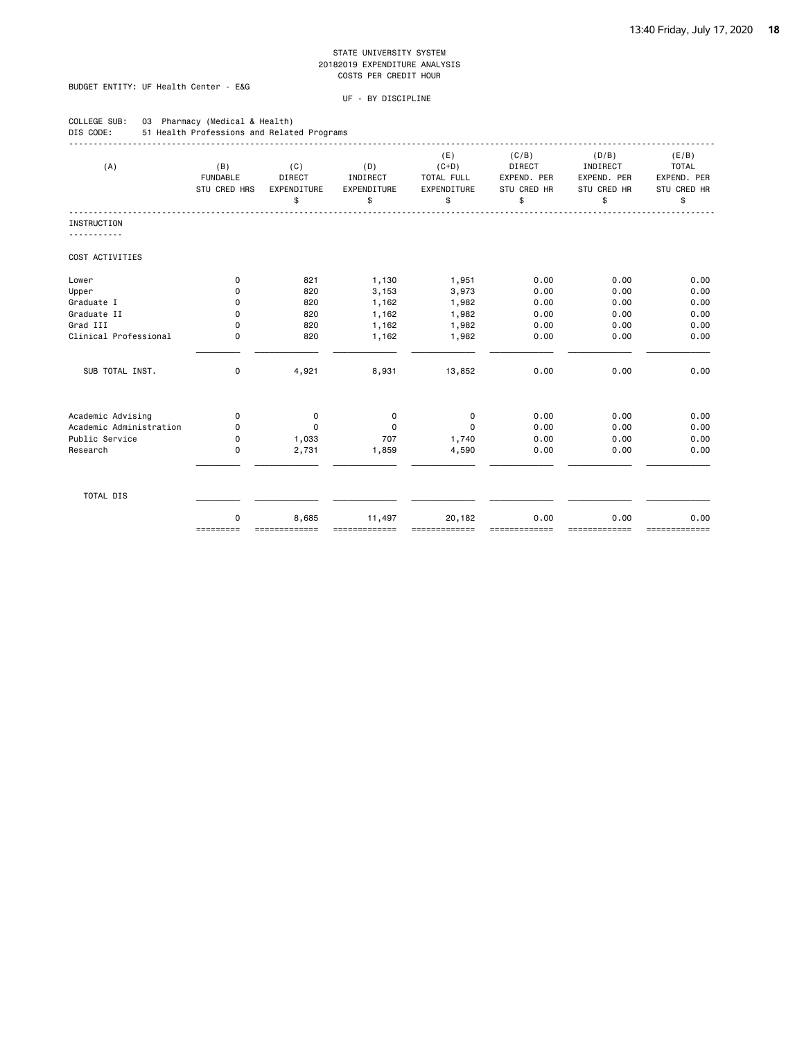### BUDGET ENTITY: UF Health Center - E&G

| COLLEGE SUB:<br>03<br>DIS CODE: | Pharmacy (Medical & Health)<br>51 Health Professions and Related Programs |                                           |                                      |                                                   |                                                     |                                                       |                                                           |
|---------------------------------|---------------------------------------------------------------------------|-------------------------------------------|--------------------------------------|---------------------------------------------------|-----------------------------------------------------|-------------------------------------------------------|-----------------------------------------------------------|
| (A)                             | (B)<br><b>FUNDABLE</b><br><b>STU CRED HRS</b>                             | (C)<br><b>DIRECT</b><br>EXPENDITURE<br>\$ | (D)<br>INDIRECT<br>EXPENDITURE<br>\$ | (E)<br>$(C+D)$<br>TOTAL FULL<br>EXPENDITURE<br>\$ | (C/B)<br>DIRECT<br>EXPEND. PER<br>STU CRED HR<br>\$ | (D/B)<br>INDIRECT<br>EXPEND. PER<br>STU CRED HR<br>\$ | (E/B)<br><b>TOTAL</b><br>EXPEND. PER<br>STU CRED HR<br>\$ |
| <b>INSTRUCTION</b>              |                                                                           |                                           |                                      |                                                   |                                                     |                                                       |                                                           |
| ---------                       |                                                                           |                                           |                                      |                                                   |                                                     |                                                       |                                                           |
| COST ACTIVITIES                 |                                                                           |                                           |                                      |                                                   |                                                     |                                                       |                                                           |
| Lower                           | 0                                                                         | 821                                       | 1,130                                | 1,951                                             | 0.00                                                | 0.00                                                  | 0.00                                                      |
| Upper                           | 0                                                                         | 820                                       | 3,153                                | 3,973                                             | 0.00                                                | 0.00                                                  | 0.00                                                      |
| Graduate I                      | 0                                                                         | 820                                       | 1,162                                | 1,982                                             | 0.00                                                | 0.00                                                  | 0.00                                                      |
| Graduate II                     | 0                                                                         | 820                                       | 1,162                                | 1,982                                             | 0.00                                                | 0.00                                                  | 0.00                                                      |
| Grad III                        | $\Omega$                                                                  | 820                                       | 1,162                                | 1,982                                             | 0.00                                                | 0.00                                                  | 0.00                                                      |
| Clinical Professional           | 0                                                                         | 820                                       | 1,162                                | 1,982                                             | 0.00                                                | 0.00                                                  | 0.00                                                      |
| SUB TOTAL INST.                 | $\mathbf 0$                                                               | 4,921                                     | 8,931                                | 13,852                                            | 0.00                                                | 0.00                                                  | 0.00                                                      |
| Academic Advising               | 0                                                                         | 0                                         | 0                                    | 0                                                 | 0.00                                                | 0.00                                                  | 0.00                                                      |
| Academic Administration         | $\Omega$                                                                  | $\Omega$                                  | $\Omega$                             | $\Omega$                                          | 0.00                                                | 0.00                                                  | 0.00                                                      |
| Public Service                  | 0                                                                         | 1,033                                     | 707                                  | 1,740                                             | 0.00                                                | 0.00                                                  | 0.00                                                      |
| Research                        | 0                                                                         | 2,731                                     | 1,859                                | 4,590                                             | 0.00                                                | 0.00                                                  | 0.00                                                      |
| TOTAL DIS                       |                                                                           |                                           |                                      |                                                   |                                                     |                                                       |                                                           |
|                                 | $\mathbf 0$<br>=========                                                  | 8,685                                     | 11,497                               | 20,182                                            | 0.00                                                | 0.00                                                  | 0.00                                                      |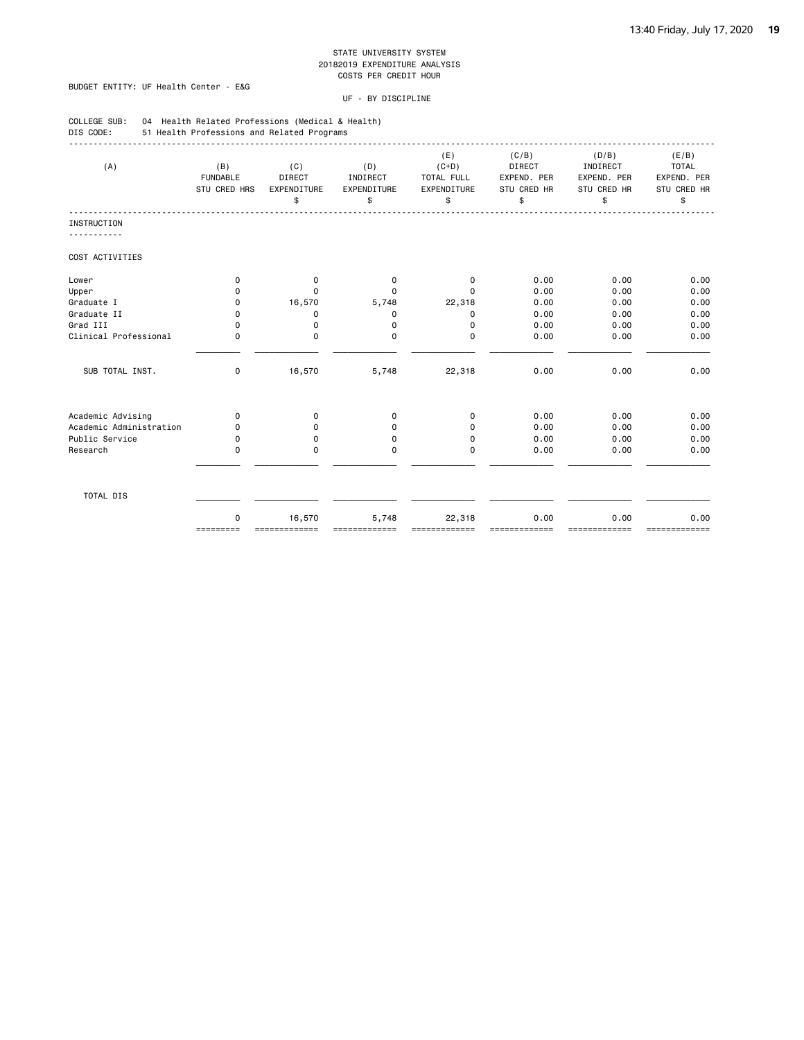### BUDGET ENTITY: UF Health Center - E&G

| COLLEGE SUB:<br>04 Health Related Professions (Medical & Health)<br>DIS CODE:<br>51 Health Professions and Related Programs |                                                                                                                                                                                                                                                                                                                                                                                                                                                                                                       |                                           |                                      |                                                   |                                                     |                                                       |                                                           |  |  |
|-----------------------------------------------------------------------------------------------------------------------------|-------------------------------------------------------------------------------------------------------------------------------------------------------------------------------------------------------------------------------------------------------------------------------------------------------------------------------------------------------------------------------------------------------------------------------------------------------------------------------------------------------|-------------------------------------------|--------------------------------------|---------------------------------------------------|-----------------------------------------------------|-------------------------------------------------------|-----------------------------------------------------------|--|--|
| (A)                                                                                                                         | (B)<br><b>FUNDABLE</b><br>STU CRED HRS                                                                                                                                                                                                                                                                                                                                                                                                                                                                | (C)<br><b>DIRECT</b><br>EXPENDITURE<br>\$ | (D)<br>INDIRECT<br>EXPENDITURE<br>\$ | (E)<br>$(C+D)$<br>TOTAL FULL<br>EXPENDITURE<br>\$ | (C/B)<br>DIRECT<br>EXPEND. PER<br>STU CRED HR<br>\$ | (D/B)<br>INDIRECT<br>EXPEND. PER<br>STU CRED HR<br>\$ | (E/B)<br><b>TOTAL</b><br>EXPEND. PER<br>STU CRED HR<br>\$ |  |  |
| INSTRUCTION                                                                                                                 |                                                                                                                                                                                                                                                                                                                                                                                                                                                                                                       |                                           |                                      |                                                   |                                                     |                                                       |                                                           |  |  |
| <u>.</u>                                                                                                                    |                                                                                                                                                                                                                                                                                                                                                                                                                                                                                                       |                                           |                                      |                                                   |                                                     |                                                       |                                                           |  |  |
| COST ACTIVITIES                                                                                                             |                                                                                                                                                                                                                                                                                                                                                                                                                                                                                                       |                                           |                                      |                                                   |                                                     |                                                       |                                                           |  |  |
| Lower                                                                                                                       | $\Omega$                                                                                                                                                                                                                                                                                                                                                                                                                                                                                              | $\mathbf 0$                               | 0                                    | 0                                                 | 0.00                                                | 0.00                                                  | 0.00                                                      |  |  |
| Upper                                                                                                                       | 0                                                                                                                                                                                                                                                                                                                                                                                                                                                                                                     | $\Omega$                                  | 0                                    | $\Omega$                                          | 0.00                                                | 0.00                                                  | 0.00                                                      |  |  |
| Graduate I                                                                                                                  | 0                                                                                                                                                                                                                                                                                                                                                                                                                                                                                                     | 16,570                                    | 5,748                                | 22,318                                            | 0.00                                                | 0.00                                                  | 0.00                                                      |  |  |
| Graduate II                                                                                                                 | $\Omega$                                                                                                                                                                                                                                                                                                                                                                                                                                                                                              | $\mathbf 0$                               | 0                                    | 0                                                 | 0.00                                                | 0.00                                                  | 0.00                                                      |  |  |
| Grad III                                                                                                                    | $\Omega$                                                                                                                                                                                                                                                                                                                                                                                                                                                                                              | $\Omega$                                  | 0                                    | 0                                                 | 0.00                                                | 0.00                                                  | 0.00                                                      |  |  |
| Clinical Professional                                                                                                       | $\mathbf 0$                                                                                                                                                                                                                                                                                                                                                                                                                                                                                           | 0                                         | 0                                    | 0                                                 | 0.00                                                | 0.00                                                  | 0.00                                                      |  |  |
| SUB TOTAL INST.                                                                                                             | 0                                                                                                                                                                                                                                                                                                                                                                                                                                                                                                     | 16,570                                    | 5,748                                | 22,318                                            | 0.00                                                | 0.00                                                  | 0.00                                                      |  |  |
| Academic Advising                                                                                                           | $\Omega$                                                                                                                                                                                                                                                                                                                                                                                                                                                                                              | 0                                         | 0                                    | 0                                                 | 0.00                                                | 0.00                                                  | 0.00                                                      |  |  |
| Academic Administration                                                                                                     | 0                                                                                                                                                                                                                                                                                                                                                                                                                                                                                                     | 0                                         | 0                                    | $\Omega$                                          | 0.00                                                | 0.00                                                  | 0.00                                                      |  |  |
| Public Service                                                                                                              | 0                                                                                                                                                                                                                                                                                                                                                                                                                                                                                                     | $\Omega$                                  | 0                                    | 0                                                 | 0.00                                                | 0.00                                                  | 0.00                                                      |  |  |
| Research                                                                                                                    | 0                                                                                                                                                                                                                                                                                                                                                                                                                                                                                                     | 0                                         | 0                                    | 0                                                 | 0.00                                                | 0.00                                                  | 0.00                                                      |  |  |
| TOTAL DIS                                                                                                                   |                                                                                                                                                                                                                                                                                                                                                                                                                                                                                                       |                                           |                                      |                                                   |                                                     |                                                       |                                                           |  |  |
|                                                                                                                             | $\mathbf 0$<br>$\begin{array}{cccccccccc} \multicolumn{2}{c}{} & \multicolumn{2}{c}{} & \multicolumn{2}{c}{} & \multicolumn{2}{c}{} & \multicolumn{2}{c}{} & \multicolumn{2}{c}{} & \multicolumn{2}{c}{} & \multicolumn{2}{c}{} & \multicolumn{2}{c}{} & \multicolumn{2}{c}{} & \multicolumn{2}{c}{} & \multicolumn{2}{c}{} & \multicolumn{2}{c}{} & \multicolumn{2}{c}{} & \multicolumn{2}{c}{} & \multicolumn{2}{c}{} & \multicolumn{2}{c}{} & \multicolumn{2}{c}{} & \multicolumn{2}{c}{} & \mult$ | 16,570                                    | 5,748                                | 22,318                                            | 0.00<br>=======                                     | 0.00<br>=======                                       | 0.00<br>=============                                     |  |  |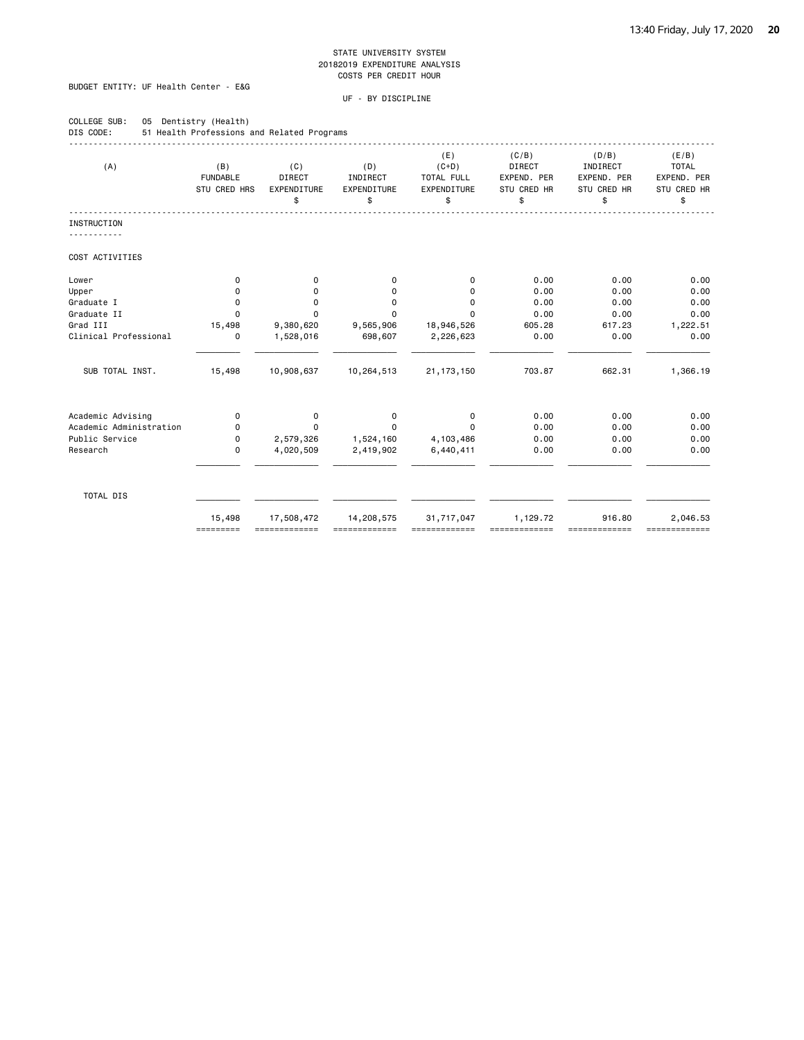### BUDGET ENTITY: UF Health Center - E&G

COLLEGE SUB: 05 Dentistry (Health)

| (A)                     | (B)<br><b>FUNDABLE</b><br>STU CRED HRS | (C)<br><b>DIRECT</b><br>EXPENDITURE<br>\$ | (D)<br>INDIRECT<br>EXPENDITURE<br>\$ | (E)<br>$(C+D)$<br>TOTAL FULL<br>EXPENDITURE<br>\$ | (C/B)<br><b>DIRECT</b><br>EXPEND. PER<br>STU CRED HR<br>\$ | (D/B)<br>INDIRECT<br>EXPEND. PER<br>STU CRED HR<br>\$ | (E/B)<br><b>TOTAL</b><br>EXPEND. PER<br>STU CRED HR<br>\$ |
|-------------------------|----------------------------------------|-------------------------------------------|--------------------------------------|---------------------------------------------------|------------------------------------------------------------|-------------------------------------------------------|-----------------------------------------------------------|
| INSTRUCTION             |                                        |                                           |                                      |                                                   |                                                            |                                                       |                                                           |
| COST ACTIVITIES         |                                        |                                           |                                      |                                                   |                                                            |                                                       |                                                           |
| Lower                   | 0                                      | 0                                         | 0                                    | 0                                                 | 0.00                                                       | 0.00                                                  | 0.00                                                      |
| Upper                   | 0                                      | 0                                         | 0                                    | 0                                                 | 0.00                                                       | 0.00                                                  | 0.00                                                      |
| Graduate I              | 0                                      | 0                                         | 0                                    | 0                                                 | 0.00                                                       | 0.00                                                  | 0.00                                                      |
| Graduate II             | $\Omega$                               | $\Omega$                                  | 0                                    | 0                                                 | 0.00                                                       | 0.00                                                  | 0.00                                                      |
| Grad III                | 15,498                                 | 9,380,620                                 | 9,565,906                            | 18,946,526                                        | 605.28                                                     | 617.23                                                | 1,222.51                                                  |
| Clinical Professional   | 0                                      | 1,528,016                                 | 698,607                              | 2,226,623                                         | 0.00                                                       | 0.00                                                  | 0.00                                                      |
| SUB TOTAL INST.         | 15,498                                 | 10,908,637                                | 10,264,513                           | 21, 173, 150                                      | 703.87                                                     | 662.31                                                | 1,366.19                                                  |
| Academic Advising       | 0                                      | 0                                         | 0                                    | 0                                                 | 0.00                                                       | 0.00                                                  | 0.00                                                      |
| Academic Administration | 0                                      | $\Omega$                                  | $\Omega$                             | $\Omega$                                          | 0.00                                                       | 0.00                                                  | 0.00                                                      |
| Public Service          | 0                                      | 2,579,326                                 | 1,524,160                            | 4,103,486                                         | 0.00                                                       | 0.00                                                  | 0.00                                                      |
| Research                | 0                                      | 4,020,509                                 | 2,419,902                            | 6,440,411                                         | 0.00                                                       | 0.00                                                  | 0.00                                                      |
| TOTAL DIS               |                                        |                                           |                                      |                                                   |                                                            |                                                       |                                                           |
|                         | 15,498<br>=========                    | 17,508,472<br>=============               | 14,208,575<br>=============          | 31,717,047                                        | 1,129.72<br>-------------                                  | 916.80<br>,,,,,,,,,,,,,,                              | 2,046.53<br>=============                                 |